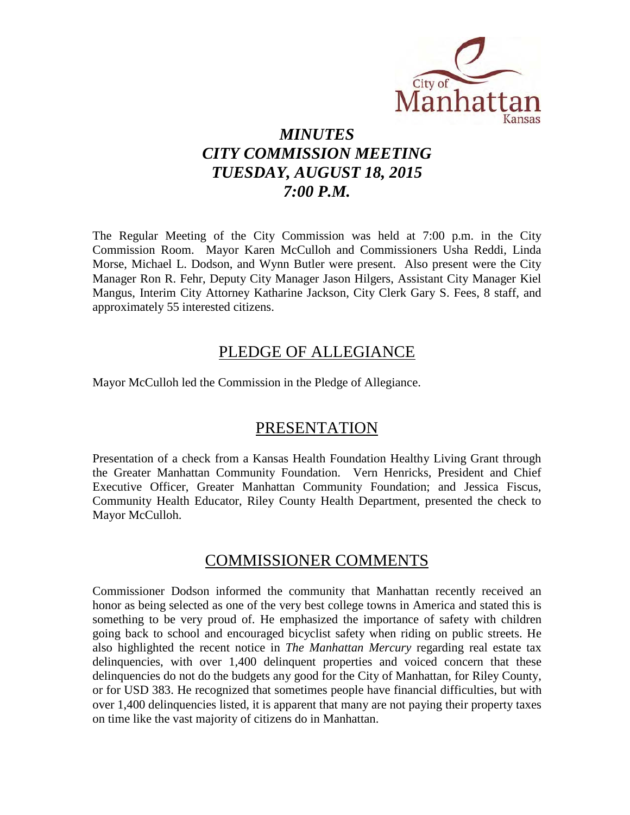

# *MINUTES CITY COMMISSION MEETING TUESDAY, AUGUST 18, 2015 7:00 P.M.*

The Regular Meeting of the City Commission was held at 7:00 p.m. in the City Commission Room. Mayor Karen McCulloh and Commissioners Usha Reddi, Linda Morse, Michael L. Dodson, and Wynn Butler were present. Also present were the City Manager Ron R. Fehr, Deputy City Manager Jason Hilgers, Assistant City Manager Kiel Mangus, Interim City Attorney Katharine Jackson, City Clerk Gary S. Fees, 8 staff, and approximately 55 interested citizens.

## PLEDGE OF ALLEGIANCE

Mayor McCulloh led the Commission in the Pledge of Allegiance.

## PRESENTATION

Presentation of a check from a Kansas Health Foundation Healthy Living Grant through the Greater Manhattan Community Foundation. Vern Henricks, President and Chief Executive Officer, Greater Manhattan Community Foundation; and Jessica Fiscus, Community Health Educator, Riley County Health Department, presented the check to Mayor McCulloh.

## COMMISSIONER COMMENTS

Commissioner Dodson informed the community that Manhattan recently received an honor as being selected as one of the very best college towns in America and stated this is something to be very proud of. He emphasized the importance of safety with children going back to school and encouraged bicyclist safety when riding on public streets. He also highlighted the recent notice in *The Manhattan Mercury* regarding real estate tax delinquencies, with over 1,400 delinquent properties and voiced concern that these delinquencies do not do the budgets any good for the City of Manhattan, for Riley County, or for USD 383. He recognized that sometimes people have financial difficulties, but with over 1,400 delinquencies listed, it is apparent that many are not paying their property taxes on time like the vast majority of citizens do in Manhattan.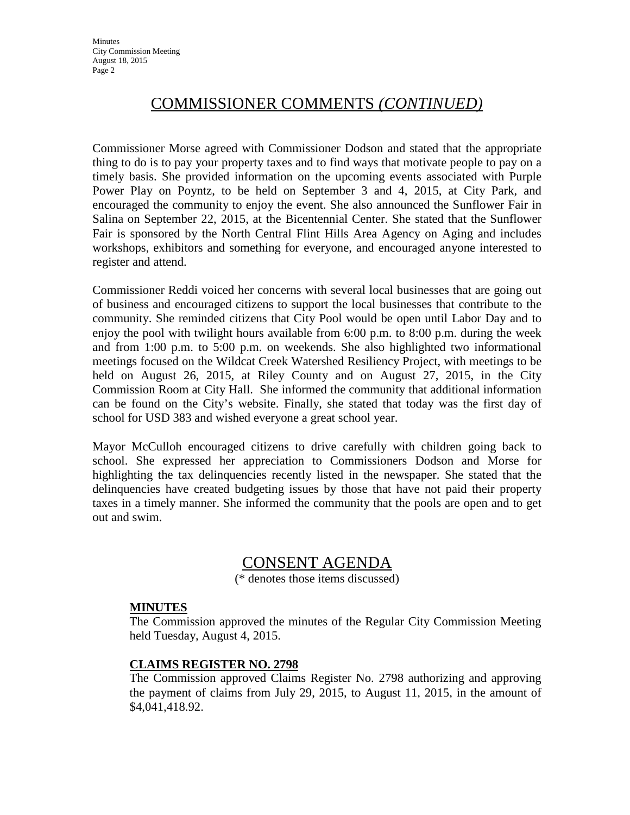# COMMISSIONER COMMENTS *(CONTINUED)*

Commissioner Morse agreed with Commissioner Dodson and stated that the appropriate thing to do is to pay your property taxes and to find ways that motivate people to pay on a timely basis. She provided information on the upcoming events associated with Purple Power Play on Poyntz, to be held on September 3 and 4, 2015, at City Park, and encouraged the community to enjoy the event. She also announced the Sunflower Fair in Salina on September 22, 2015, at the Bicentennial Center. She stated that the Sunflower Fair is sponsored by the North Central Flint Hills Area Agency on Aging and includes workshops, exhibitors and something for everyone, and encouraged anyone interested to register and attend.

Commissioner Reddi voiced her concerns with several local businesses that are going out of business and encouraged citizens to support the local businesses that contribute to the community. She reminded citizens that City Pool would be open until Labor Day and to enjoy the pool with twilight hours available from 6:00 p.m. to 8:00 p.m. during the week and from 1:00 p.m. to 5:00 p.m. on weekends. She also highlighted two informational meetings focused on the Wildcat Creek Watershed Resiliency Project, with meetings to be held on August 26, 2015, at Riley County and on August 27, 2015, in the City Commission Room at City Hall. She informed the community that additional information can be found on the City's website. Finally, she stated that today was the first day of school for USD 383 and wished everyone a great school year.

Mayor McCulloh encouraged citizens to drive carefully with children going back to school. She expressed her appreciation to Commissioners Dodson and Morse for highlighting the tax delinquencies recently listed in the newspaper. She stated that the delinquencies have created budgeting issues by those that have not paid their property taxes in a timely manner. She informed the community that the pools are open and to get out and swim.

## CONSENT AGENDA

(\* denotes those items discussed)

## **MINUTES**

The Commission approved the minutes of the Regular City Commission Meeting held Tuesday, August 4, 2015.

## **CLAIMS REGISTER NO. 2798**

The Commission approved Claims Register No. 2798 authorizing and approving the payment of claims from July 29, 2015, to August 11, 2015, in the amount of \$4,041,418.92.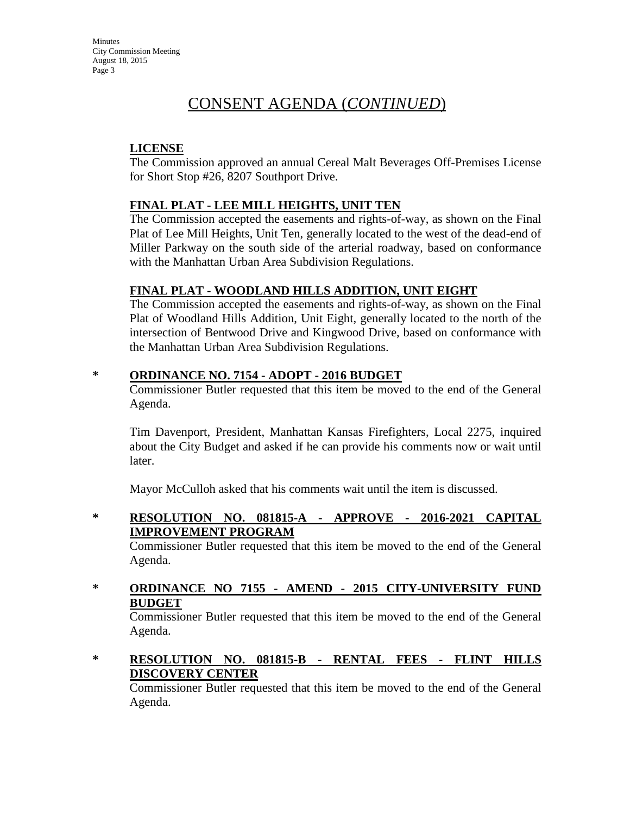**Minutes** City Commission Meeting August 18, 2015 Page 3

# CONSENT AGENDA (*CONTINUED*)

#### **LICENSE**

The Commission approved an annual Cereal Malt Beverages Off-Premises License for Short Stop #26, 8207 Southport Drive.

## **FINAL PLAT - LEE MILL HEIGHTS, UNIT TEN**

The Commission accepted the easements and rights-of-way, as shown on the Final Plat of Lee Mill Heights, Unit Ten, generally located to the west of the dead-end of Miller Parkway on the south side of the arterial roadway, based on conformance with the Manhattan Urban Area Subdivision Regulations.

## **FINAL PLAT - WOODLAND HILLS ADDITION, UNIT EIGHT**

The Commission accepted the easements and rights-of-way, as shown on the Final Plat of Woodland Hills Addition, Unit Eight, generally located to the north of the intersection of Bentwood Drive and Kingwood Drive, based on conformance with the Manhattan Urban Area Subdivision Regulations.

#### **\* ORDINANCE NO. 7154 - ADOPT - 2016 BUDGET**

Commissioner Butler requested that this item be moved to the end of the General Agenda.

Tim Davenport, President, Manhattan Kansas Firefighters, Local 2275, inquired about the City Budget and asked if he can provide his comments now or wait until later.

Mayor McCulloh asked that his comments wait until the item is discussed.

**\* RESOLUTION NO. 081815-A - APPROVE - 2016-2021 CAPITAL IMPROVEMENT PROGRAM**

Commissioner Butler requested that this item be moved to the end of the General Agenda.

## **\* ORDINANCE NO 7155 - AMEND - 2015 CITY-UNIVERSITY FUND BUDGET**

Commissioner Butler requested that this item be moved to the end of the General Agenda.

**\* RESOLUTION NO. 081815-B - RENTAL FEES - FLINT HILLS DISCOVERY CENTER**

Commissioner Butler requested that this item be moved to the end of the General Agenda.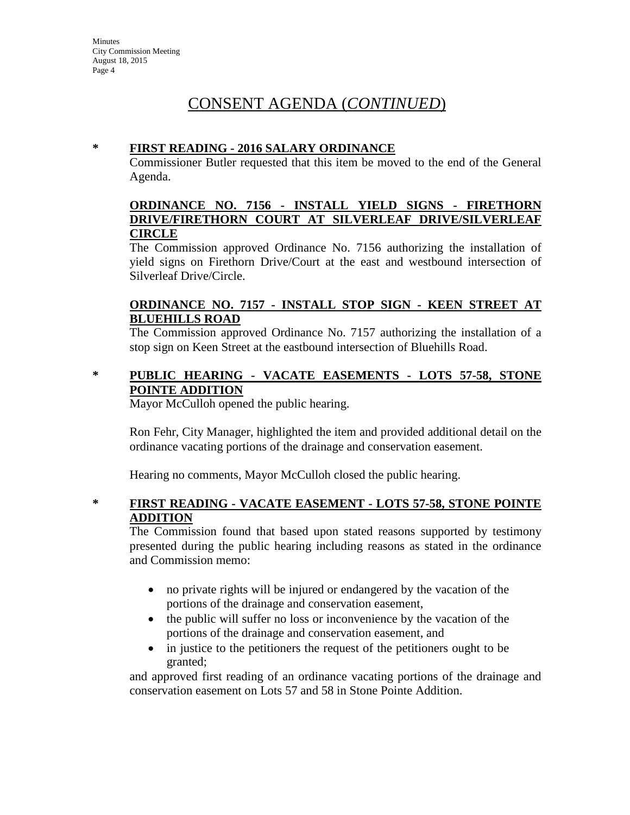# CONSENT AGENDA (*CONTINUED*)

#### **\* FIRST READING - 2016 SALARY ORDINANCE**

Commissioner Butler requested that this item be moved to the end of the General Agenda.

#### **ORDINANCE NO. 7156 - INSTALL YIELD SIGNS - FIRETHORN DRIVE/FIRETHORN COURT AT SILVERLEAF DRIVE/SILVERLEAF CIRCLE**

The Commission approved Ordinance No. 7156 authorizing the installation of yield signs on Firethorn Drive/Court at the east and westbound intersection of Silverleaf Drive/Circle.

#### **ORDINANCE NO. 7157 - INSTALL STOP SIGN - KEEN STREET AT BLUEHILLS ROAD**

The Commission approved Ordinance No. 7157 authorizing the installation of a stop sign on Keen Street at the eastbound intersection of Bluehills Road.

#### **\* PUBLIC HEARING - VACATE EASEMENTS - LOTS 57-58, STONE POINTE ADDITION**

Mayor McCulloh opened the public hearing.

Ron Fehr, City Manager, highlighted the item and provided additional detail on the ordinance vacating portions of the drainage and conservation easement.

Hearing no comments, Mayor McCulloh closed the public hearing.

## **\* FIRST READING - VACATE EASEMENT - LOTS 57-58, STONE POINTE ADDITION**

The Commission found that based upon stated reasons supported by testimony presented during the public hearing including reasons as stated in the ordinance and Commission memo:

- no private rights will be injured or endangered by the vacation of the portions of the drainage and conservation easement,
- the public will suffer no loss or inconvenience by the vacation of the portions of the drainage and conservation easement, and
- in justice to the petitioners the request of the petitioners ought to be granted;

and approved first reading of an ordinance vacating portions of the drainage and conservation easement on Lots 57 and 58 in Stone Pointe Addition.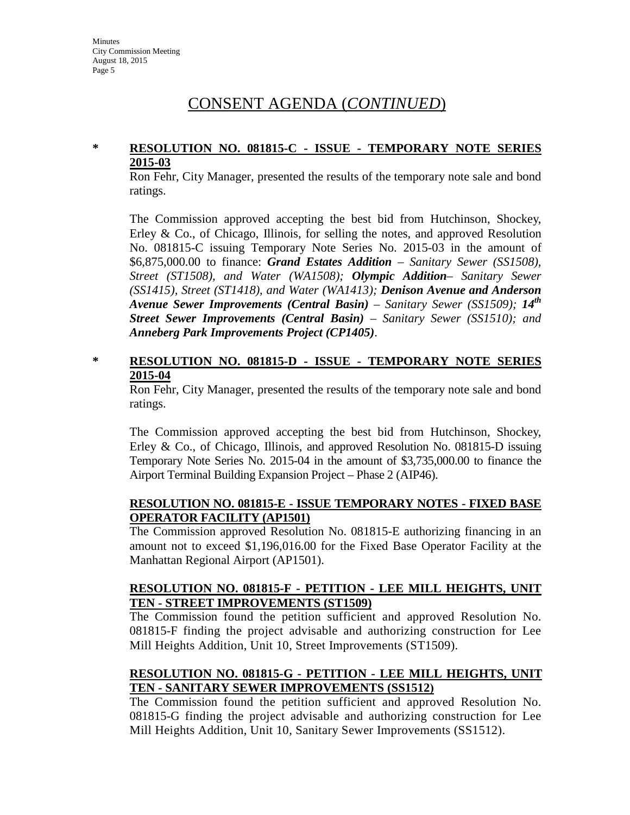# CONSENT AGENDA (*CONTINUED*)

#### **\* RESOLUTION NO. 081815-C - ISSUE - TEMPORARY NOTE SERIES 2015-03**

Ron Fehr, City Manager, presented the results of the temporary note sale and bond ratings.

The Commission approved accepting the best bid from Hutchinson, Shockey, Erley & Co., of Chicago, Illinois, for selling the notes, and approved Resolution No. 081815-C issuing Temporary Note Series No. 2015-03 in the amount of \$6,875,000.00 to finance: *Grand Estates Addition – Sanitary Sewer (SS1508), Street (ST1508), and Water (WA1508); Olympic Addition– Sanitary Sewer (SS1415), Street (ST1418), and Water (WA1413); Denison Avenue and Anderson Avenue Sewer Improvements (Central Basin) – Sanitary Sewer (SS1509); 14th Street Sewer Improvements (Central Basin) – Sanitary Sewer (SS1510); and Anneberg Park Improvements Project (CP1405)*.

#### **\* RESOLUTION NO. 081815-D - ISSUE - TEMPORARY NOTE SERIES 2015-04**

Ron Fehr, City Manager, presented the results of the temporary note sale and bond ratings.

The Commission approved accepting the best bid from Hutchinson, Shockey, Erley & Co., of Chicago, Illinois, and approved Resolution No. 081815-D issuing Temporary Note Series No. 2015-04 in the amount of \$3,735,000.00 to finance the Airport Terminal Building Expansion Project – Phase 2 (AIP46).

## **RESOLUTION NO. 081815-E - ISSUE TEMPORARY NOTES - FIXED BASE OPERATOR FACILITY (AP1501)**

The Commission approved Resolution No. 081815-E authorizing financing in an amount not to exceed \$1,196,016.00 for the Fixed Base Operator Facility at the Manhattan Regional Airport (AP1501).

## **RESOLUTION NO. 081815-F - PETITION - LEE MILL HEIGHTS, UNIT TEN - STREET IMPROVEMENTS (ST1509)**

The Commission found the petition sufficient and approved Resolution No. 081815-F finding the project advisable and authorizing construction for Lee Mill Heights Addition, Unit 10, Street Improvements (ST1509).

## **RESOLUTION NO. 081815-G - PETITION - LEE MILL HEIGHTS, UNIT TEN - SANITARY SEWER IMPROVEMENTS (SS1512)**

The Commission found the petition sufficient and approved Resolution No. 081815-G finding the project advisable and authorizing construction for Lee Mill Heights Addition, Unit 10, Sanitary Sewer Improvements (SS1512).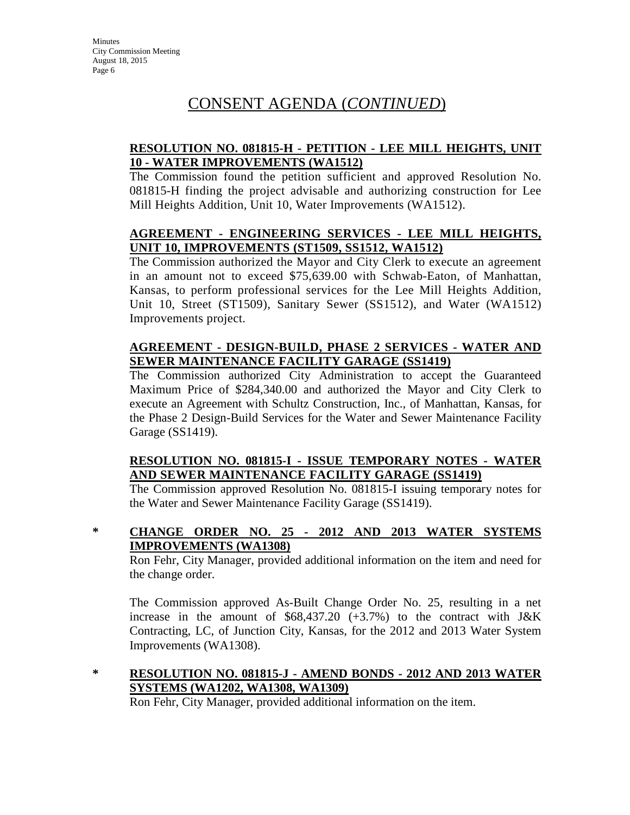# CONSENT AGENDA (*CONTINUED*)

## **RESOLUTION NO. 081815-H - PETITION - LEE MILL HEIGHTS, UNIT 10 - WATER IMPROVEMENTS (WA1512)**

The Commission found the petition sufficient and approved Resolution No. 081815-H finding the project advisable and authorizing construction for Lee Mill Heights Addition, Unit 10, Water Improvements (WA1512).

#### **AGREEMENT - ENGINEERING SERVICES - LEE MILL HEIGHTS, UNIT 10, IMPROVEMENTS (ST1509, SS1512, WA1512)**

The Commission authorized the Mayor and City Clerk to execute an agreement in an amount not to exceed \$75,639.00 with Schwab-Eaton, of Manhattan, Kansas, to perform professional services for the Lee Mill Heights Addition, Unit 10, Street (ST1509), Sanitary Sewer (SS1512), and Water (WA1512) Improvements project.

## **AGREEMENT - DESIGN-BUILD, PHASE 2 SERVICES - WATER AND SEWER MAINTENANCE FACILITY GARAGE (SS1419)**

The Commission authorized City Administration to accept the Guaranteed Maximum Price of \$284,340.00 and authorized the Mayor and City Clerk to execute an Agreement with Schultz Construction, Inc., of Manhattan, Kansas, for the Phase 2 Design-Build Services for the Water and Sewer Maintenance Facility Garage (SS1419).

## **RESOLUTION NO. 081815-I - ISSUE TEMPORARY NOTES - WATER AND SEWER MAINTENANCE FACILITY GARAGE (SS1419)**

The Commission approved Resolution No. 081815-I issuing temporary notes for the Water and Sewer Maintenance Facility Garage (SS1419).

**\* CHANGE ORDER NO. 25 - 2012 AND 2013 WATER SYSTEMS IMPROVEMENTS (WA1308)**

Ron Fehr, City Manager, provided additional information on the item and need for the change order.

The Commission approved As-Built Change Order No. 25, resulting in a net increase in the amount of  $$68,437.20$  (+3.7%) to the contract with J&K Contracting, LC, of Junction City, Kansas, for the 2012 and 2013 Water System Improvements (WA1308).

## **\* RESOLUTION NO. 081815-J - AMEND BONDS - 2012 AND 2013 WATER SYSTEMS (WA1202, WA1308, WA1309)**

Ron Fehr, City Manager, provided additional information on the item.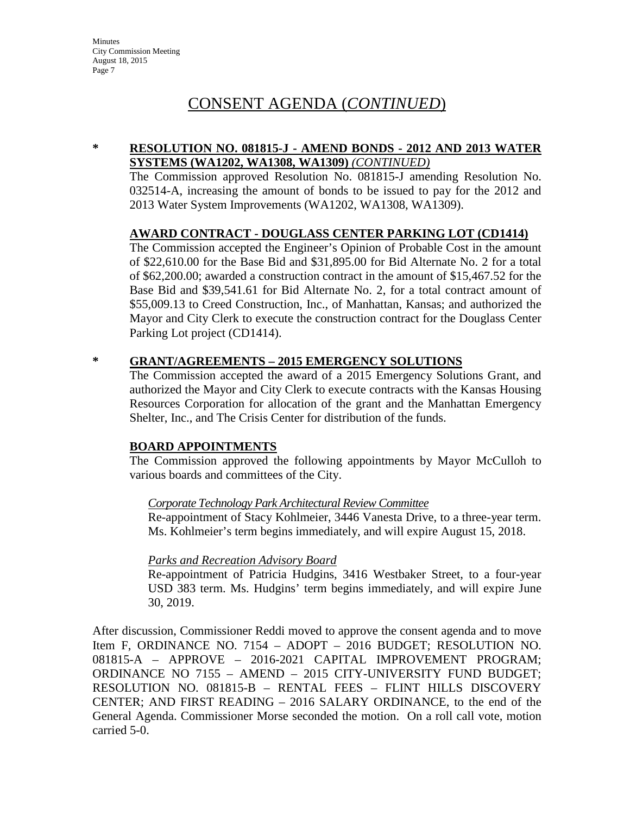**Minutes** City Commission Meeting August 18, 2015 Page 7

# CONSENT AGENDA (*CONTINUED*)

#### **\* RESOLUTION NO. 081815-J - AMEND BONDS - 2012 AND 2013 WATER SYSTEMS (WA1202, WA1308, WA1309)** *(CONTINUED)*

The Commission approved Resolution No. 081815-J amending Resolution No. 032514-A, increasing the amount of bonds to be issued to pay for the 2012 and 2013 Water System Improvements (WA1202, WA1308, WA1309).

#### **AWARD CONTRACT - DOUGLASS CENTER PARKING LOT (CD1414)**

The Commission accepted the Engineer's Opinion of Probable Cost in the amount of \$22,610.00 for the Base Bid and \$31,895.00 for Bid Alternate No. 2 for a total of \$62,200.00; awarded a construction contract in the amount of \$15,467.52 for the Base Bid and \$39,541.61 for Bid Alternate No. 2, for a total contract amount of \$55,009.13 to Creed Construction, Inc., of Manhattan, Kansas; and authorized the Mayor and City Clerk to execute the construction contract for the Douglass Center Parking Lot project (CD1414).

#### **\* GRANT/AGREEMENTS – 2015 EMERGENCY SOLUTIONS**

The Commission accepted the award of a 2015 Emergency Solutions Grant, and authorized the Mayor and City Clerk to execute contracts with the Kansas Housing Resources Corporation for allocation of the grant and the Manhattan Emergency Shelter, Inc., and The Crisis Center for distribution of the funds.

#### **BOARD APPOINTMENTS**

The Commission approved the following appointments by Mayor McCulloh to various boards and committees of the City.

#### *Corporate Technology Park Architectural Review Committee*

Re-appointment of Stacy Kohlmeier, 3446 Vanesta Drive, to a three-year term. Ms. Kohlmeier's term begins immediately, and will expire August 15, 2018.

#### *Parks and Recreation Advisory Board*

Re-appointment of Patricia Hudgins, 3416 Westbaker Street, to a four-year USD 383 term. Ms. Hudgins' term begins immediately, and will expire June 30, 2019.

After discussion, Commissioner Reddi moved to approve the consent agenda and to move Item F, ORDINANCE NO. 7154 – ADOPT – 2016 BUDGET; RESOLUTION NO. 081815-A – APPROVE – 2016-2021 CAPITAL IMPROVEMENT PROGRAM; ORDINANCE NO 7155 – AMEND – 2015 CITY-UNIVERSITY FUND BUDGET; RESOLUTION NO. 081815-B – RENTAL FEES – FLINT HILLS DISCOVERY CENTER; AND FIRST READING – 2016 SALARY ORDINANCE, to the end of the General Agenda. Commissioner Morse seconded the motion. On a roll call vote, motion carried 5-0.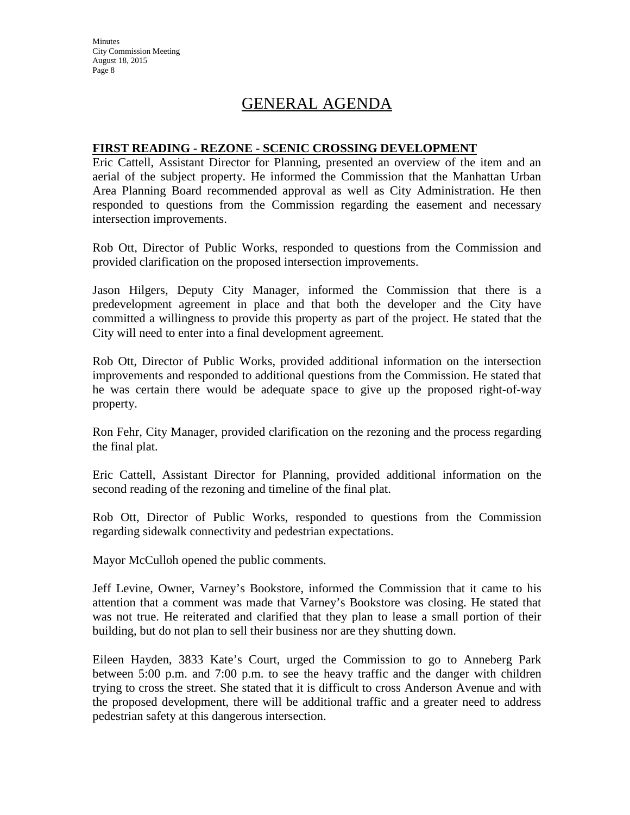**Minutes** City Commission Meeting August 18, 2015 Page 8

# GENERAL AGENDA

#### **FIRST READING - REZONE - SCENIC CROSSING DEVELOPMENT**

Eric Cattell, Assistant Director for Planning, presented an overview of the item and an aerial of the subject property. He informed the Commission that the Manhattan Urban Area Planning Board recommended approval as well as City Administration. He then responded to questions from the Commission regarding the easement and necessary intersection improvements.

Rob Ott, Director of Public Works, responded to questions from the Commission and provided clarification on the proposed intersection improvements.

Jason Hilgers, Deputy City Manager, informed the Commission that there is a predevelopment agreement in place and that both the developer and the City have committed a willingness to provide this property as part of the project. He stated that the City will need to enter into a final development agreement.

Rob Ott, Director of Public Works, provided additional information on the intersection improvements and responded to additional questions from the Commission. He stated that he was certain there would be adequate space to give up the proposed right-of-way property.

Ron Fehr, City Manager, provided clarification on the rezoning and the process regarding the final plat.

Eric Cattell, Assistant Director for Planning, provided additional information on the second reading of the rezoning and timeline of the final plat.

Rob Ott, Director of Public Works, responded to questions from the Commission regarding sidewalk connectivity and pedestrian expectations.

Mayor McCulloh opened the public comments.

Jeff Levine, Owner, Varney's Bookstore, informed the Commission that it came to his attention that a comment was made that Varney's Bookstore was closing. He stated that was not true. He reiterated and clarified that they plan to lease a small portion of their building, but do not plan to sell their business nor are they shutting down.

Eileen Hayden, 3833 Kate's Court, urged the Commission to go to Anneberg Park between 5:00 p.m. and 7:00 p.m. to see the heavy traffic and the danger with children trying to cross the street. She stated that it is difficult to cross Anderson Avenue and with the proposed development, there will be additional traffic and a greater need to address pedestrian safety at this dangerous intersection.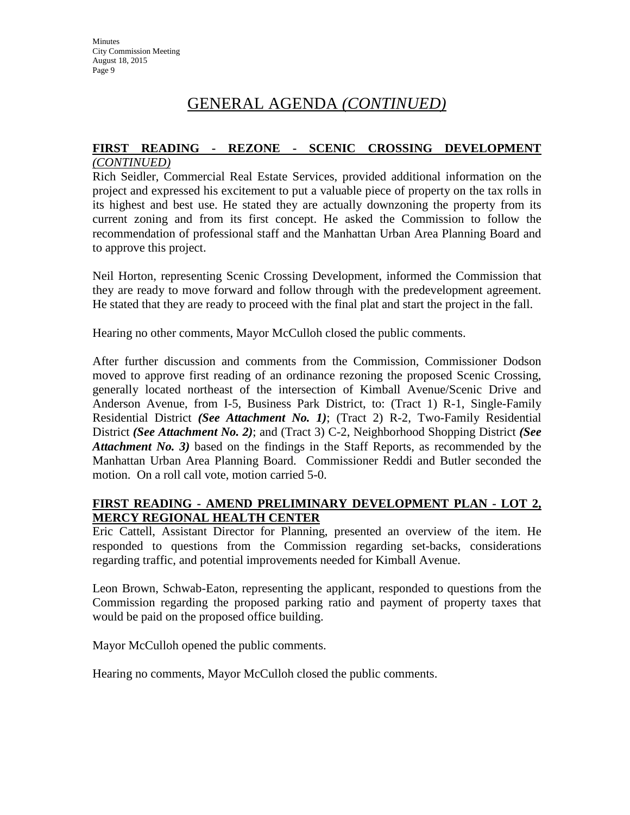#### **FIRST READING - REZONE - SCENIC CROSSING DEVELOPMENT** *(CONTINUED)*

Rich Seidler, Commercial Real Estate Services, provided additional information on the project and expressed his excitement to put a valuable piece of property on the tax rolls in its highest and best use. He stated they are actually downzoning the property from its current zoning and from its first concept. He asked the Commission to follow the recommendation of professional staff and the Manhattan Urban Area Planning Board and to approve this project.

Neil Horton, representing Scenic Crossing Development, informed the Commission that they are ready to move forward and follow through with the predevelopment agreement. He stated that they are ready to proceed with the final plat and start the project in the fall.

Hearing no other comments, Mayor McCulloh closed the public comments.

After further discussion and comments from the Commission, Commissioner Dodson moved to approve first reading of an ordinance rezoning the proposed Scenic Crossing, generally located northeast of the intersection of Kimball Avenue/Scenic Drive and Anderson Avenue, from I-5, Business Park District, to: (Tract 1) R-1, Single-Family Residential District *(See Attachment No. 1)*; (Tract 2) R-2, Two-Family Residential District *(See Attachment No. 2)*; and (Tract 3) C-2, Neighborhood Shopping District *(See Attachment No. 3)* based on the findings in the Staff Reports, as recommended by the Manhattan Urban Area Planning Board. Commissioner Reddi and Butler seconded the motion. On a roll call vote, motion carried 5-0.

## **FIRST READING - AMEND PRELIMINARY DEVELOPMENT PLAN - LOT 2, MERCY REGIONAL HEALTH CENTER**

Eric Cattell, Assistant Director for Planning, presented an overview of the item. He responded to questions from the Commission regarding set-backs, considerations regarding traffic, and potential improvements needed for Kimball Avenue.

Leon Brown, Schwab-Eaton, representing the applicant, responded to questions from the Commission regarding the proposed parking ratio and payment of property taxes that would be paid on the proposed office building.

Mayor McCulloh opened the public comments.

Hearing no comments, Mayor McCulloh closed the public comments.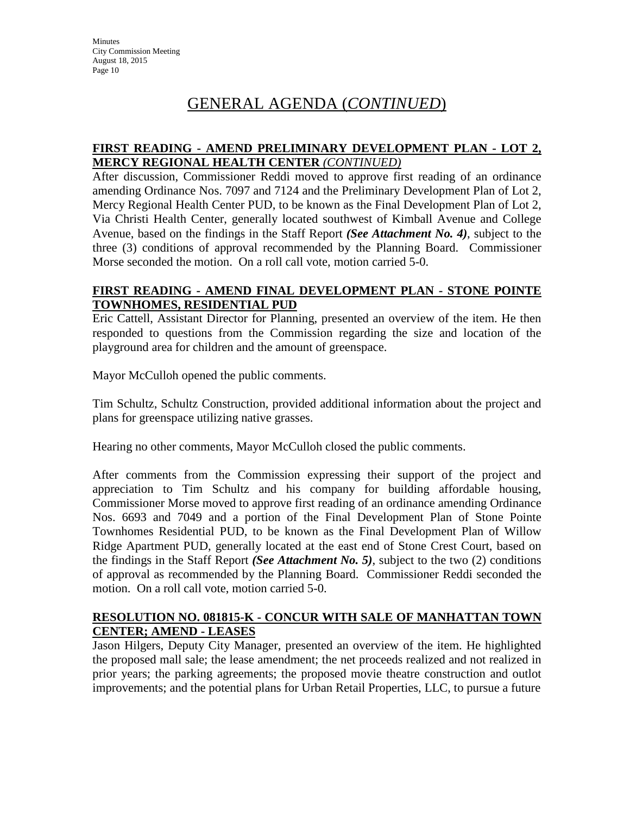## **FIRST READING - AMEND PRELIMINARY DEVELOPMENT PLAN - LOT 2, MERCY REGIONAL HEALTH CENTER** *(CONTINUED)*

After discussion, Commissioner Reddi moved to approve first reading of an ordinance amending Ordinance Nos. 7097 and 7124 and the Preliminary Development Plan of Lot 2, Mercy Regional Health Center PUD, to be known as the Final Development Plan of Lot 2, Via Christi Health Center, generally located southwest of Kimball Avenue and College Avenue, based on the findings in the Staff Report *(See Attachment No. 4)*, subject to the three (3) conditions of approval recommended by the Planning Board. Commissioner Morse seconded the motion. On a roll call vote, motion carried 5-0.

## **FIRST READING - AMEND FINAL DEVELOPMENT PLAN - STONE POINTE TOWNHOMES, RESIDENTIAL PUD**

Eric Cattell, Assistant Director for Planning, presented an overview of the item. He then responded to questions from the Commission regarding the size and location of the playground area for children and the amount of greenspace.

Mayor McCulloh opened the public comments.

Tim Schultz, Schultz Construction, provided additional information about the project and plans for greenspace utilizing native grasses.

Hearing no other comments, Mayor McCulloh closed the public comments.

After comments from the Commission expressing their support of the project and appreciation to Tim Schultz and his company for building affordable housing, Commissioner Morse moved to approve first reading of an ordinance amending Ordinance Nos. 6693 and 7049 and a portion of the Final Development Plan of Stone Pointe Townhomes Residential PUD, to be known as the Final Development Plan of Willow Ridge Apartment PUD, generally located at the east end of Stone Crest Court, based on the findings in the Staff Report *(See Attachment No. 5)*, subject to the two (2) conditions of approval as recommended by the Planning Board. Commissioner Reddi seconded the motion. On a roll call vote, motion carried 5-0.

## **RESOLUTION NO. 081815-K - CONCUR WITH SALE OF MANHATTAN TOWN CENTER; AMEND - LEASES**

Jason Hilgers, Deputy City Manager, presented an overview of the item. He highlighted the proposed mall sale; the lease amendment; the net proceeds realized and not realized in prior years; the parking agreements; the proposed movie theatre construction and outlot improvements; and the potential plans for Urban Retail Properties, LLC, to pursue a future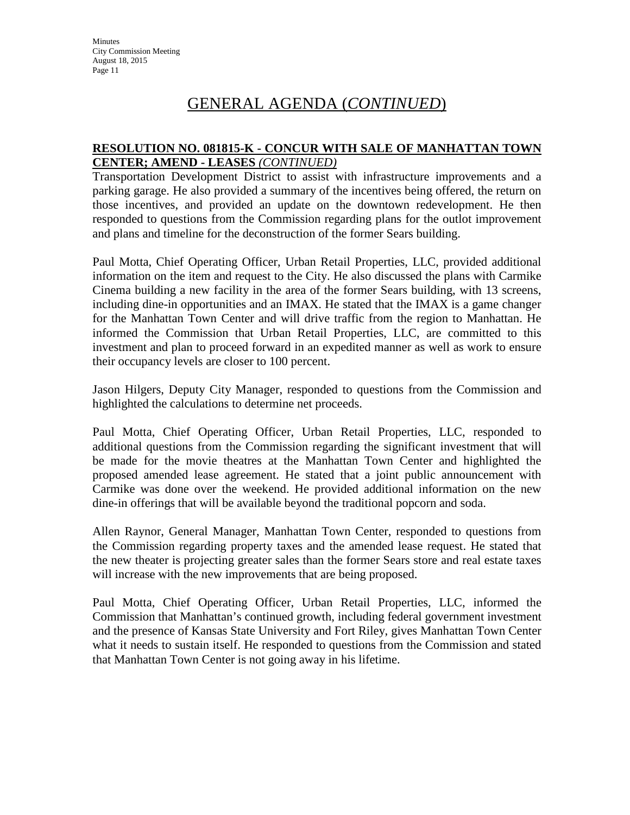#### **RESOLUTION NO. 081815-K - CONCUR WITH SALE OF MANHATTAN TOWN CENTER; AMEND - LEASES** *(CONTINUED)*

Transportation Development District to assist with infrastructure improvements and a parking garage. He also provided a summary of the incentives being offered, the return on those incentives, and provided an update on the downtown redevelopment. He then responded to questions from the Commission regarding plans for the outlot improvement and plans and timeline for the deconstruction of the former Sears building.

Paul Motta, Chief Operating Officer, Urban Retail Properties, LLC, provided additional information on the item and request to the City. He also discussed the plans with Carmike Cinema building a new facility in the area of the former Sears building, with 13 screens, including dine-in opportunities and an IMAX. He stated that the IMAX is a game changer for the Manhattan Town Center and will drive traffic from the region to Manhattan. He informed the Commission that Urban Retail Properties, LLC, are committed to this investment and plan to proceed forward in an expedited manner as well as work to ensure their occupancy levels are closer to 100 percent.

Jason Hilgers, Deputy City Manager, responded to questions from the Commission and highlighted the calculations to determine net proceeds.

Paul Motta, Chief Operating Officer, Urban Retail Properties, LLC, responded to additional questions from the Commission regarding the significant investment that will be made for the movie theatres at the Manhattan Town Center and highlighted the proposed amended lease agreement. He stated that a joint public announcement with Carmike was done over the weekend. He provided additional information on the new dine-in offerings that will be available beyond the traditional popcorn and soda.

Allen Raynor, General Manager, Manhattan Town Center, responded to questions from the Commission regarding property taxes and the amended lease request. He stated that the new theater is projecting greater sales than the former Sears store and real estate taxes will increase with the new improvements that are being proposed.

Paul Motta, Chief Operating Officer, Urban Retail Properties, LLC, informed the Commission that Manhattan's continued growth, including federal government investment and the presence of Kansas State University and Fort Riley, gives Manhattan Town Center what it needs to sustain itself. He responded to questions from the Commission and stated that Manhattan Town Center is not going away in his lifetime.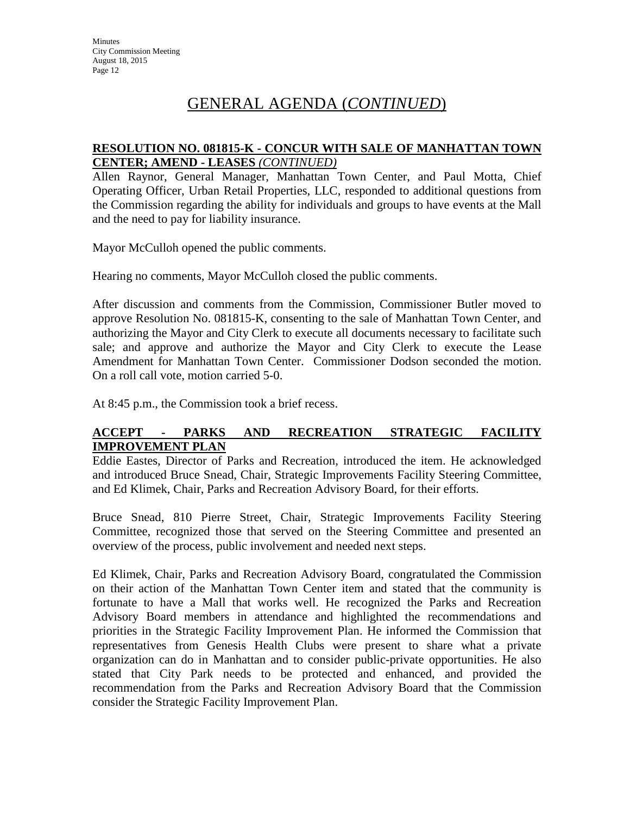## **RESOLUTION NO. 081815-K - CONCUR WITH SALE OF MANHATTAN TOWN CENTER; AMEND - LEASES** *(CONTINUED)*

Allen Raynor, General Manager, Manhattan Town Center, and Paul Motta, Chief Operating Officer, Urban Retail Properties, LLC, responded to additional questions from the Commission regarding the ability for individuals and groups to have events at the Mall and the need to pay for liability insurance.

Mayor McCulloh opened the public comments.

Hearing no comments, Mayor McCulloh closed the public comments.

After discussion and comments from the Commission, Commissioner Butler moved to approve Resolution No. 081815-K, consenting to the sale of Manhattan Town Center, and authorizing the Mayor and City Clerk to execute all documents necessary to facilitate such sale; and approve and authorize the Mayor and City Clerk to execute the Lease Amendment for Manhattan Town Center. Commissioner Dodson seconded the motion. On a roll call vote, motion carried 5-0.

At 8:45 p.m., the Commission took a brief recess.

## **ACCEPT - PARKS AND RECREATION STRATEGIC FACILITY IMPROVEMENT PLAN**

Eddie Eastes, Director of Parks and Recreation, introduced the item. He acknowledged and introduced Bruce Snead, Chair, Strategic Improvements Facility Steering Committee, and Ed Klimek, Chair, Parks and Recreation Advisory Board, for their efforts.

Bruce Snead, 810 Pierre Street, Chair, Strategic Improvements Facility Steering Committee, recognized those that served on the Steering Committee and presented an overview of the process, public involvement and needed next steps.

Ed Klimek, Chair, Parks and Recreation Advisory Board, congratulated the Commission on their action of the Manhattan Town Center item and stated that the community is fortunate to have a Mall that works well. He recognized the Parks and Recreation Advisory Board members in attendance and highlighted the recommendations and priorities in the Strategic Facility Improvement Plan. He informed the Commission that representatives from Genesis Health Clubs were present to share what a private organization can do in Manhattan and to consider public-private opportunities. He also stated that City Park needs to be protected and enhanced, and provided the recommendation from the Parks and Recreation Advisory Board that the Commission consider the Strategic Facility Improvement Plan.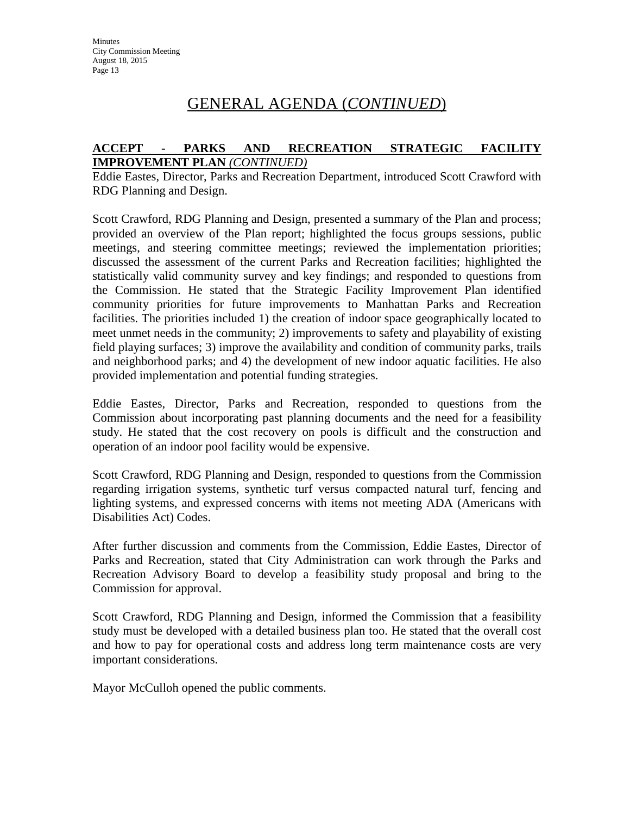#### **ACCEPT - PARKS AND RECREATION STRATEGIC FACILITY IMPROVEMENT PLAN** *(CONTINUED)*

Eddie Eastes, Director, Parks and Recreation Department, introduced Scott Crawford with RDG Planning and Design.

Scott Crawford, RDG Planning and Design, presented a summary of the Plan and process; provided an overview of the Plan report; highlighted the focus groups sessions, public meetings, and steering committee meetings; reviewed the implementation priorities; discussed the assessment of the current Parks and Recreation facilities; highlighted the statistically valid community survey and key findings; and responded to questions from the Commission. He stated that the Strategic Facility Improvement Plan identified community priorities for future improvements to Manhattan Parks and Recreation facilities. The priorities included 1) the creation of indoor space geographically located to meet unmet needs in the community; 2) improvements to safety and playability of existing field playing surfaces; 3) improve the availability and condition of community parks, trails and neighborhood parks; and 4) the development of new indoor aquatic facilities. He also provided implementation and potential funding strategies.

Eddie Eastes, Director, Parks and Recreation, responded to questions from the Commission about incorporating past planning documents and the need for a feasibility study. He stated that the cost recovery on pools is difficult and the construction and operation of an indoor pool facility would be expensive.

Scott Crawford, RDG Planning and Design, responded to questions from the Commission regarding irrigation systems, synthetic turf versus compacted natural turf, fencing and lighting systems, and expressed concerns with items not meeting ADA (Americans with Disabilities Act) Codes.

After further discussion and comments from the Commission, Eddie Eastes, Director of Parks and Recreation, stated that City Administration can work through the Parks and Recreation Advisory Board to develop a feasibility study proposal and bring to the Commission for approval.

Scott Crawford, RDG Planning and Design, informed the Commission that a feasibility study must be developed with a detailed business plan too. He stated that the overall cost and how to pay for operational costs and address long term maintenance costs are very important considerations.

Mayor McCulloh opened the public comments.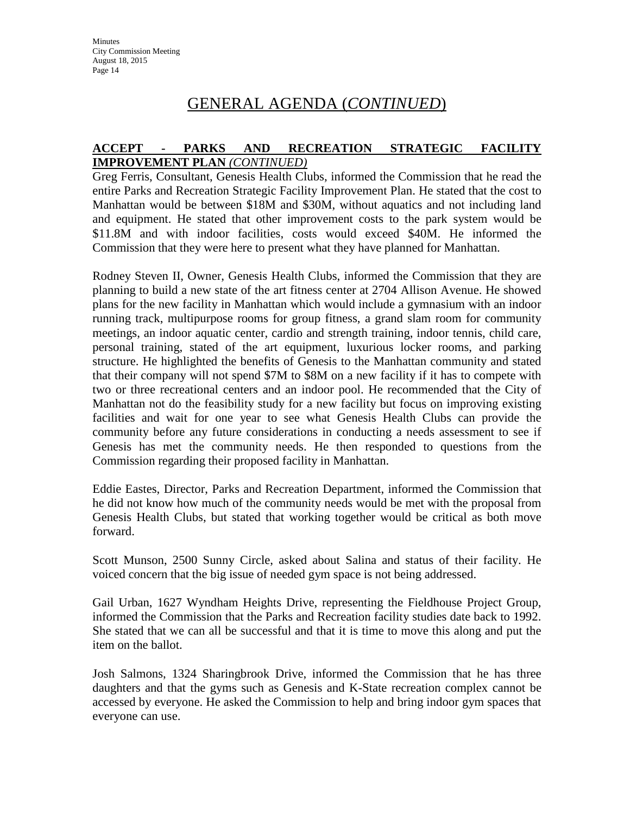#### **ACCEPT - PARKS AND RECREATION STRATEGIC FACILITY IMPROVEMENT PLAN** *(CONTINUED)*

Greg Ferris, Consultant, Genesis Health Clubs, informed the Commission that he read the entire Parks and Recreation Strategic Facility Improvement Plan. He stated that the cost to Manhattan would be between \$18M and \$30M, without aquatics and not including land and equipment. He stated that other improvement costs to the park system would be \$11.8M and with indoor facilities, costs would exceed \$40M. He informed the Commission that they were here to present what they have planned for Manhattan.

Rodney Steven II, Owner, Genesis Health Clubs, informed the Commission that they are planning to build a new state of the art fitness center at 2704 Allison Avenue. He showed plans for the new facility in Manhattan which would include a gymnasium with an indoor running track, multipurpose rooms for group fitness, a grand slam room for community meetings, an indoor aquatic center, cardio and strength training, indoor tennis, child care, personal training, stated of the art equipment, luxurious locker rooms, and parking structure. He highlighted the benefits of Genesis to the Manhattan community and stated that their company will not spend \$7M to \$8M on a new facility if it has to compete with two or three recreational centers and an indoor pool. He recommended that the City of Manhattan not do the feasibility study for a new facility but focus on improving existing facilities and wait for one year to see what Genesis Health Clubs can provide the community before any future considerations in conducting a needs assessment to see if Genesis has met the community needs. He then responded to questions from the Commission regarding their proposed facility in Manhattan.

Eddie Eastes, Director, Parks and Recreation Department, informed the Commission that he did not know how much of the community needs would be met with the proposal from Genesis Health Clubs, but stated that working together would be critical as both move forward.

Scott Munson, 2500 Sunny Circle, asked about Salina and status of their facility. He voiced concern that the big issue of needed gym space is not being addressed.

Gail Urban, 1627 Wyndham Heights Drive, representing the Fieldhouse Project Group, informed the Commission that the Parks and Recreation facility studies date back to 1992. She stated that we can all be successful and that it is time to move this along and put the item on the ballot.

Josh Salmons, 1324 Sharingbrook Drive, informed the Commission that he has three daughters and that the gyms such as Genesis and K-State recreation complex cannot be accessed by everyone. He asked the Commission to help and bring indoor gym spaces that everyone can use.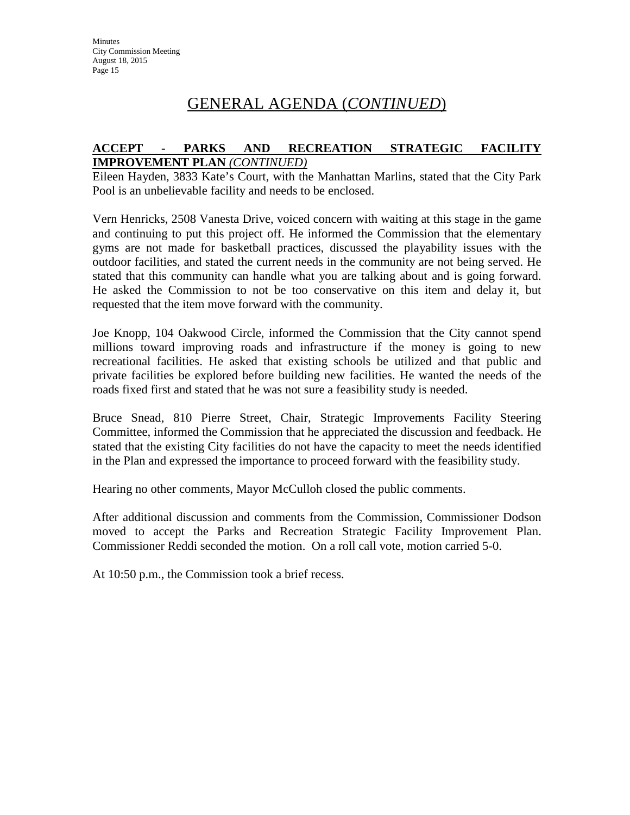## **ACCEPT - PARKS AND RECREATION STRATEGIC FACILITY IMPROVEMENT PLAN** *(CONTINUED)*

Eileen Hayden, 3833 Kate's Court, with the Manhattan Marlins, stated that the City Park Pool is an unbelievable facility and needs to be enclosed.

Vern Henricks, 2508 Vanesta Drive, voiced concern with waiting at this stage in the game and continuing to put this project off. He informed the Commission that the elementary gyms are not made for basketball practices, discussed the playability issues with the outdoor facilities, and stated the current needs in the community are not being served. He stated that this community can handle what you are talking about and is going forward. He asked the Commission to not be too conservative on this item and delay it, but requested that the item move forward with the community.

Joe Knopp, 104 Oakwood Circle, informed the Commission that the City cannot spend millions toward improving roads and infrastructure if the money is going to new recreational facilities. He asked that existing schools be utilized and that public and private facilities be explored before building new facilities. He wanted the needs of the roads fixed first and stated that he was not sure a feasibility study is needed.

Bruce Snead, 810 Pierre Street, Chair, Strategic Improvements Facility Steering Committee, informed the Commission that he appreciated the discussion and feedback. He stated that the existing City facilities do not have the capacity to meet the needs identified in the Plan and expressed the importance to proceed forward with the feasibility study.

Hearing no other comments, Mayor McCulloh closed the public comments.

After additional discussion and comments from the Commission, Commissioner Dodson moved to accept the Parks and Recreation Strategic Facility Improvement Plan. Commissioner Reddi seconded the motion. On a roll call vote, motion carried 5-0.

At 10:50 p.m., the Commission took a brief recess.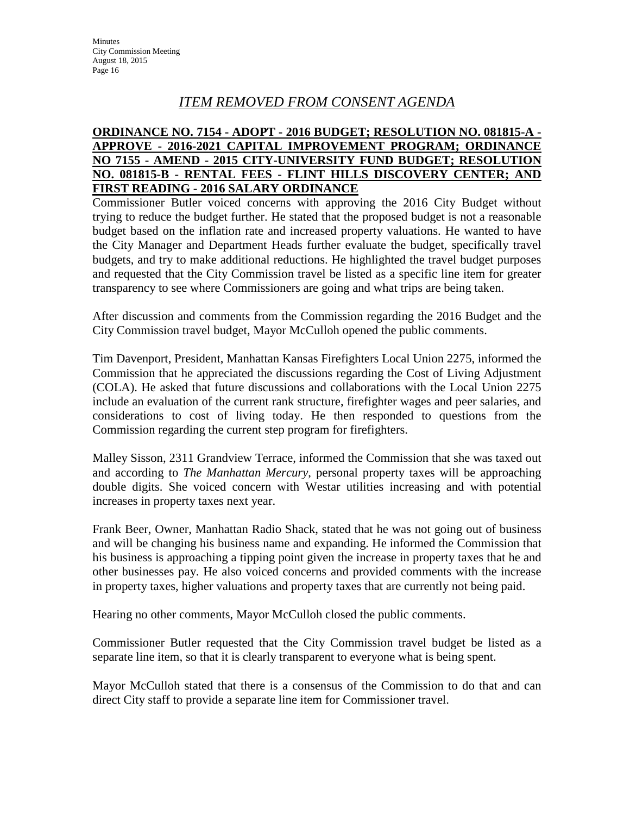## *ITEM REMOVED FROM CONSENT AGENDA*

## **ORDINANCE NO. 7154 - ADOPT - 2016 BUDGET; RESOLUTION NO. 081815-A - APPROVE - 2016-2021 CAPITAL IMPROVEMENT PROGRAM; ORDINANCE NO 7155 - AMEND - 2015 CITY-UNIVERSITY FUND BUDGET; RESOLUTION NO. 081815-B - RENTAL FEES - FLINT HILLS DISCOVERY CENTER; AND FIRST READING - 2016 SALARY ORDINANCE**

Commissioner Butler voiced concerns with approving the 2016 City Budget without trying to reduce the budget further. He stated that the proposed budget is not a reasonable budget based on the inflation rate and increased property valuations. He wanted to have the City Manager and Department Heads further evaluate the budget, specifically travel budgets, and try to make additional reductions. He highlighted the travel budget purposes and requested that the City Commission travel be listed as a specific line item for greater transparency to see where Commissioners are going and what trips are being taken.

After discussion and comments from the Commission regarding the 2016 Budget and the City Commission travel budget, Mayor McCulloh opened the public comments.

Tim Davenport, President, Manhattan Kansas Firefighters Local Union 2275, informed the Commission that he appreciated the discussions regarding the Cost of Living Adjustment (COLA). He asked that future discussions and collaborations with the Local Union 2275 include an evaluation of the current rank structure, firefighter wages and peer salaries, and considerations to cost of living today. He then responded to questions from the Commission regarding the current step program for firefighters.

Malley Sisson, 2311 Grandview Terrace, informed the Commission that she was taxed out and according to *The Manhattan Mercury*, personal property taxes will be approaching double digits. She voiced concern with Westar utilities increasing and with potential increases in property taxes next year.

Frank Beer, Owner, Manhattan Radio Shack, stated that he was not going out of business and will be changing his business name and expanding. He informed the Commission that his business is approaching a tipping point given the increase in property taxes that he and other businesses pay. He also voiced concerns and provided comments with the increase in property taxes, higher valuations and property taxes that are currently not being paid.

Hearing no other comments, Mayor McCulloh closed the public comments.

Commissioner Butler requested that the City Commission travel budget be listed as a separate line item, so that it is clearly transparent to everyone what is being spent.

Mayor McCulloh stated that there is a consensus of the Commission to do that and can direct City staff to provide a separate line item for Commissioner travel.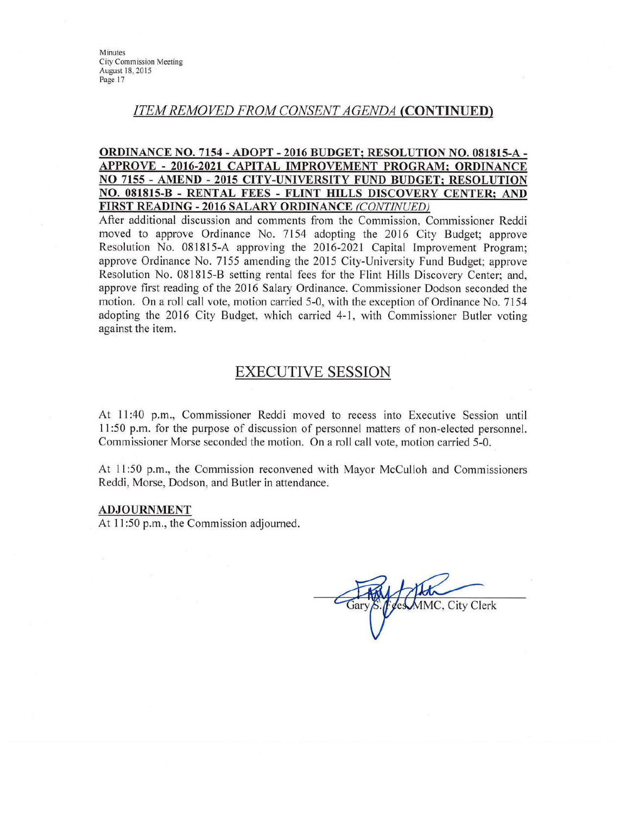## **ITEM REMOVED FROM CONSENT AGENDA (CONTINUED)**

#### ORDINANCE NO. 7154 - ADOPT - 2016 BUDGET; RESOLUTION NO. 081815-A -APPROVE - 2016-2021 CAPITAL IMPROVEMENT PROGRAM; ORDINANCE NO 7155 - AMEND - 2015 CITY-UNIVERSITY FUND BUDGET: RESOLUTION NO. 081815-B - RENTAL FEES - FLINT HILLS DISCOVERY CENTER: AND FIRST READING - 2016 SALARY ORDINANCE (CONTINUED)

After additional discussion and comments from the Commission, Commissioner Reddi moved to approve Ordinance No. 7154 adopting the 2016 City Budget; approve Resolution No. 081815-A approving the 2016-2021 Capital Improvement Program: approve Ordinance No. 7155 amending the 2015 City-University Fund Budget; approve Resolution No. 081815-B setting rental fees for the Flint Hills Discovery Center; and, approve first reading of the 2016 Salary Ordinance. Commissioner Dodson seconded the motion. On a roll call vote, motion carried 5-0, with the exception of Ordinance No. 7154 adopting the 2016 City Budget, which carried 4-1, with Commissioner Butler voting against the item.

## **EXECUTIVE SESSION**

At 11:40 p.m., Commissioner Reddi moved to recess into Executive Session until 11:50 p.m. for the purpose of discussion of personnel matters of non-elected personnel. Commissioner Morse seconded the motion. On a roll call vote, motion carried 5-0.

At 11:50 p.m., the Commission reconvened with Mayor McCulloh and Commissioners Reddi, Morse, Dodson, and Butler in attendance.

#### **ADJOURNMENT**

At 11:50 p.m., the Commission adjourned.

MMC, City Clerk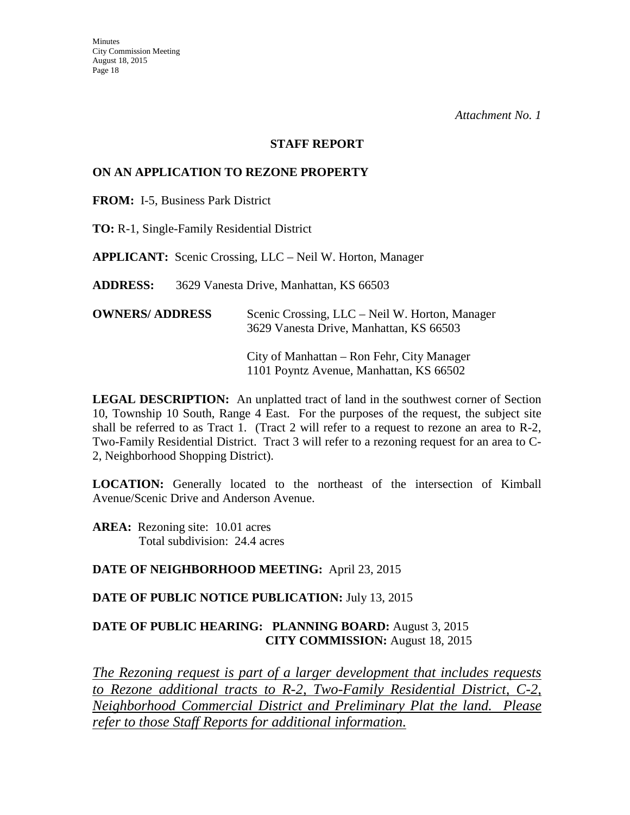#### **STAFF REPORT**

#### **ON AN APPLICATION TO REZONE PROPERTY**

**FROM:** I-5, Business Park District

**TO:** R-1, Single-Family Residential District

**APPLICANT:** Scenic Crossing, LLC – Neil W. Horton, Manager

**ADDRESS:** 3629 Vanesta Drive, Manhattan, KS 66503

| <b>OWNERS/ ADDRESS</b> | Scenic Crossing, LLC – Neil W. Horton, Manager |
|------------------------|------------------------------------------------|
|                        | 3629 Vanesta Drive, Manhattan, KS 66503        |

 City of Manhattan – Ron Fehr, City Manager 1101 Poyntz Avenue, Manhattan, KS 66502

**LEGAL DESCRIPTION:** An unplatted tract of land in the southwest corner of Section 10, Township 10 South, Range 4 East. For the purposes of the request, the subject site shall be referred to as Tract 1. (Tract 2 will refer to a request to rezone an area to R-2, Two-Family Residential District. Tract 3 will refer to a rezoning request for an area to C-2, Neighborhood Shopping District).

**LOCATION:** Generally located to the northeast of the intersection of Kimball Avenue/Scenic Drive and Anderson Avenue.

**AREA:** Rezoning site: 10.01 acres Total subdivision: 24.4 acres

#### **DATE OF NEIGHBORHOOD MEETING:** April 23, 2015

#### **DATE OF PUBLIC NOTICE PUBLICATION:** July 13, 2015

## **DATE OF PUBLIC HEARING: PLANNING BOARD:** August 3, 2015 **CITY COMMISSION:** August 18, 2015

*The Rezoning request is part of a larger development that includes requests to Rezone additional tracts to R-2, Two-Family Residential District, C-2, Neighborhood Commercial District and Preliminary Plat the land. Please refer to those Staff Reports for additional information.*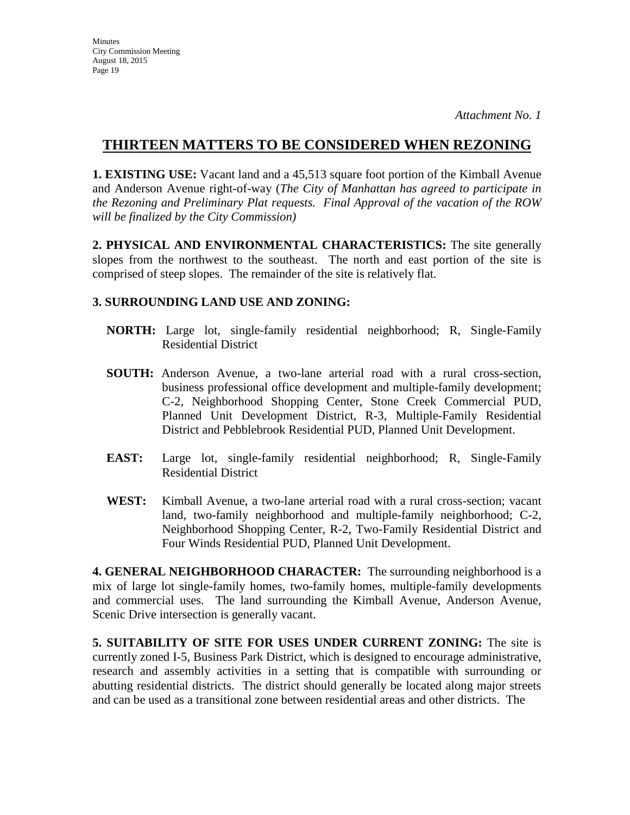**1. EXISTING USE:** Vacant land and a 45,513 square foot portion of the Kimball Avenue and Anderson Avenue right-of-way (*The City of Manhattan has agreed to participate in the Rezoning and Preliminary Plat requests. Final Approval of the vacation of the ROW will be finalized by the City Commission)* 

**2. PHYSICAL AND ENVIRONMENTAL CHARACTERISTICS:** The site generally slopes from the northwest to the southeast. The north and east portion of the site is comprised of steep slopes. The remainder of the site is relatively flat.

## **3. SURROUNDING LAND USE AND ZONING:**

- **NORTH:** Large lot, single-family residential neighborhood; R, Single-Family Residential District
- **SOUTH:** Anderson Avenue, a two-lane arterial road with a rural cross-section, business professional office development and multiple-family development; C-2, Neighborhood Shopping Center, Stone Creek Commercial PUD, Planned Unit Development District, R-3, Multiple-Family Residential District and Pebblebrook Residential PUD, Planned Unit Development.
- **EAST:** Large lot, single-family residential neighborhood; R, Single-Family Residential District
- **WEST:** Kimball Avenue, a two-lane arterial road with a rural cross-section; vacant land, two-family neighborhood and multiple-family neighborhood; C-2, Neighborhood Shopping Center, R-2, Two-Family Residential District and Four Winds Residential PUD, Planned Unit Development.

**4. GENERAL NEIGHBORHOOD CHARACTER:** The surrounding neighborhood is a mix of large lot single-family homes, two-family homes, multiple-family developments and commercial uses. The land surrounding the Kimball Avenue, Anderson Avenue, Scenic Drive intersection is generally vacant.

**5. SUITABILITY OF SITE FOR USES UNDER CURRENT ZONING:** The site is currently zoned I-5, Business Park District, which is designed to encourage administrative, research and assembly activities in a setting that is compatible with surrounding or abutting residential districts. The district should generally be located along major streets and can be used as a transitional zone between residential areas and other districts. The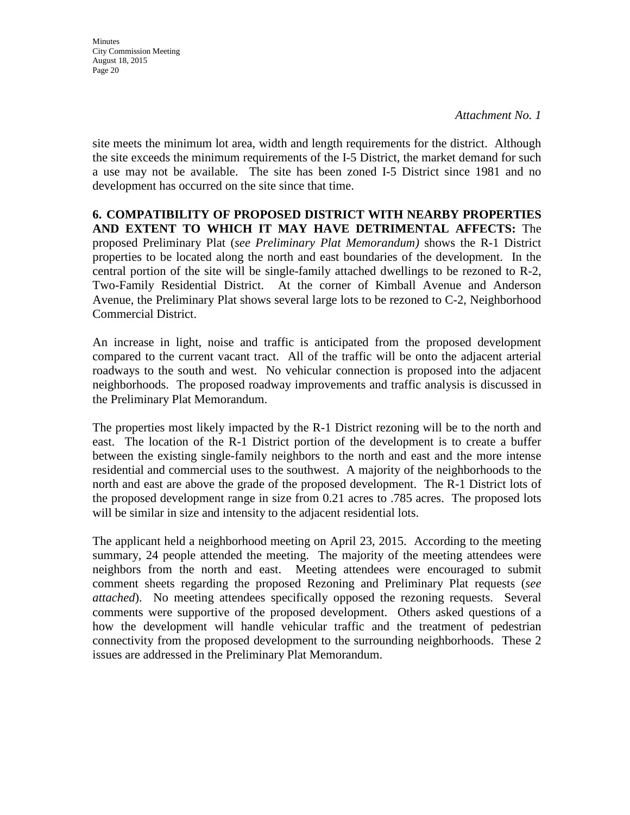**Minutes** City Commission Meeting August 18, 2015 Page 20

site meets the minimum lot area, width and length requirements for the district. Although the site exceeds the minimum requirements of the I-5 District, the market demand for such a use may not be available. The site has been zoned I-5 District since 1981 and no development has occurred on the site since that time.

**6. COMPATIBILITY OF PROPOSED DISTRICT WITH NEARBY PROPERTIES AND EXTENT TO WHICH IT MAY HAVE DETRIMENTAL AFFECTS:** The proposed Preliminary Plat (*see Preliminary Plat Memorandum)* shows the R-1 District properties to be located along the north and east boundaries of the development. In the central portion of the site will be single-family attached dwellings to be rezoned to R-2, Two-Family Residential District. At the corner of Kimball Avenue and Anderson Avenue, the Preliminary Plat shows several large lots to be rezoned to C-2, Neighborhood Commercial District.

An increase in light, noise and traffic is anticipated from the proposed development compared to the current vacant tract. All of the traffic will be onto the adjacent arterial roadways to the south and west. No vehicular connection is proposed into the adjacent neighborhoods. The proposed roadway improvements and traffic analysis is discussed in the Preliminary Plat Memorandum.

The properties most likely impacted by the R-1 District rezoning will be to the north and east. The location of the R-1 District portion of the development is to create a buffer between the existing single-family neighbors to the north and east and the more intense residential and commercial uses to the southwest. A majority of the neighborhoods to the north and east are above the grade of the proposed development. The R-1 District lots of the proposed development range in size from 0.21 acres to .785 acres. The proposed lots will be similar in size and intensity to the adjacent residential lots.

The applicant held a neighborhood meeting on April 23, 2015. According to the meeting summary, 24 people attended the meeting. The majority of the meeting attendees were neighbors from the north and east. Meeting attendees were encouraged to submit comment sheets regarding the proposed Rezoning and Preliminary Plat requests (*see attached*). No meeting attendees specifically opposed the rezoning requests. Several comments were supportive of the proposed development. Others asked questions of a how the development will handle vehicular traffic and the treatment of pedestrian connectivity from the proposed development to the surrounding neighborhoods. These 2 issues are addressed in the Preliminary Plat Memorandum.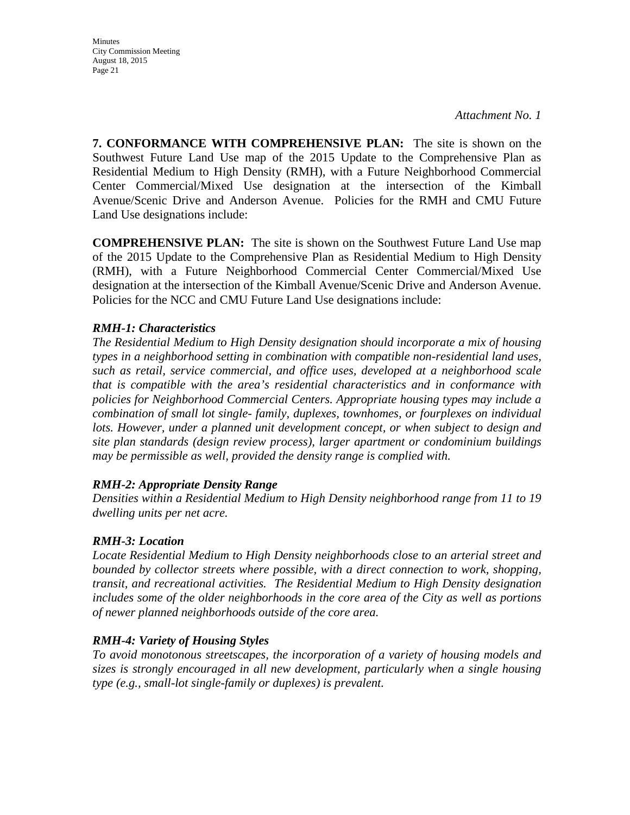Minutes City Commission Meeting August 18, 2015 Page 21

*Attachment No. 1* 

**7. CONFORMANCE WITH COMPREHENSIVE PLAN:** The site is shown on the Southwest Future Land Use map of the 2015 Update to the Comprehensive Plan as Residential Medium to High Density (RMH), with a Future Neighborhood Commercial Center Commercial/Mixed Use designation at the intersection of the Kimball Avenue/Scenic Drive and Anderson Avenue. Policies for the RMH and CMU Future Land Use designations include:

**COMPREHENSIVE PLAN:** The site is shown on the Southwest Future Land Use map of the 2015 Update to the Comprehensive Plan as Residential Medium to High Density (RMH), with a Future Neighborhood Commercial Center Commercial/Mixed Use designation at the intersection of the Kimball Avenue/Scenic Drive and Anderson Avenue. Policies for the NCC and CMU Future Land Use designations include:

#### *RMH-1: Characteristics*

*The Residential Medium to High Density designation should incorporate a mix of housing types in a neighborhood setting in combination with compatible non-residential land uses, such as retail, service commercial, and office uses, developed at a neighborhood scale that is compatible with the area's residential characteristics and in conformance with policies for Neighborhood Commercial Centers. Appropriate housing types may include a combination of small lot single- family, duplexes, townhomes, or fourplexes on individual*  lots. However, under a planned unit development concept, or when subject to design and *site plan standards (design review process), larger apartment or condominium buildings may be permissible as well, provided the density range is complied with.* 

#### *RMH-2: Appropriate Density Range*

*Densities within a Residential Medium to High Density neighborhood range from 11 to 19 dwelling units per net acre.* 

#### *RMH-3: Location*

*Locate Residential Medium to High Density neighborhoods close to an arterial street and bounded by collector streets where possible, with a direct connection to work, shopping, transit, and recreational activities. The Residential Medium to High Density designation includes some of the older neighborhoods in the core area of the City as well as portions of newer planned neighborhoods outside of the core area.* 

## *RMH-4: Variety of Housing Styles*

*To avoid monotonous streetscapes, the incorporation of a variety of housing models and sizes is strongly encouraged in all new development, particularly when a single housing type (e.g., small-lot single-family or duplexes) is prevalent.*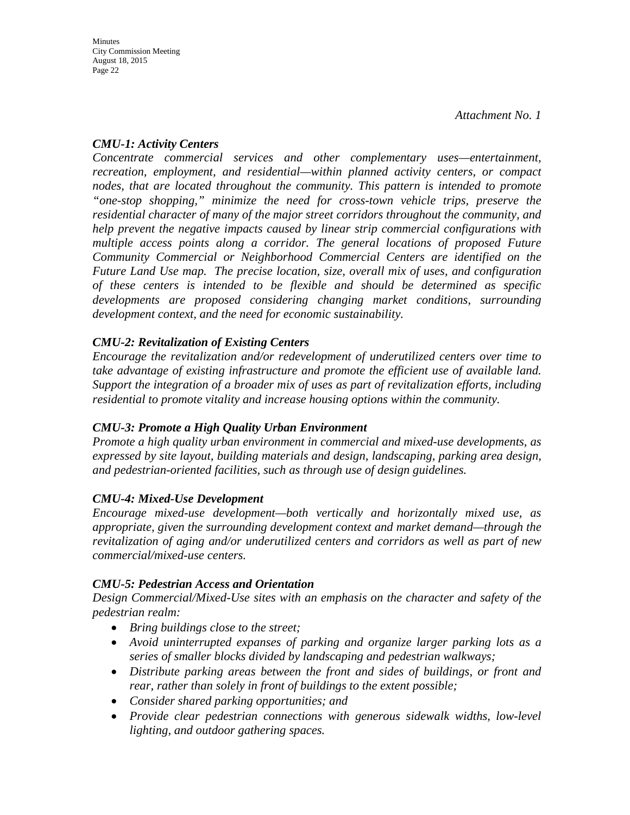## *CMU-1: Activity Centers*

*Concentrate commercial services and other complementary uses—entertainment, recreation, employment, and residential—within planned activity centers, or compact nodes, that are located throughout the community. This pattern is intended to promote "one-stop shopping," minimize the need for cross-town vehicle trips, preserve the residential character of many of the major street corridors throughout the community, and help prevent the negative impacts caused by linear strip commercial configurations with multiple access points along a corridor. The general locations of proposed Future Community Commercial or Neighborhood Commercial Centers are identified on the Future Land Use map. The precise location, size, overall mix of uses, and configuration of these centers is intended to be flexible and should be determined as specific developments are proposed considering changing market conditions, surrounding development context, and the need for economic sustainability.* 

## *CMU-2: Revitalization of Existing Centers*

*Encourage the revitalization and/or redevelopment of underutilized centers over time to take advantage of existing infrastructure and promote the efficient use of available land. Support the integration of a broader mix of uses as part of revitalization efforts, including residential to promote vitality and increase housing options within the community.* 

## *CMU-3: Promote a High Quality Urban Environment*

*Promote a high quality urban environment in commercial and mixed-use developments, as expressed by site layout, building materials and design, landscaping, parking area design, and pedestrian-oriented facilities, such as through use of design guidelines.* 

## *CMU-4: Mixed-Use Development*

*Encourage mixed-use development—both vertically and horizontally mixed use, as appropriate, given the surrounding development context and market demand—through the revitalization of aging and/or underutilized centers and corridors as well as part of new commercial/mixed-use centers.*

## *CMU-5: Pedestrian Access and Orientation*

*Design Commercial/Mixed-Use sites with an emphasis on the character and safety of the pedestrian realm:* 

- *Bring buildings close to the street;*
- *Avoid uninterrupted expanses of parking and organize larger parking lots as a series of smaller blocks divided by landscaping and pedestrian walkways;*
- *Distribute parking areas between the front and sides of buildings, or front and rear, rather than solely in front of buildings to the extent possible;*
- *Consider shared parking opportunities; and*
- *Provide clear pedestrian connections with generous sidewalk widths, low-level lighting, and outdoor gathering spaces.*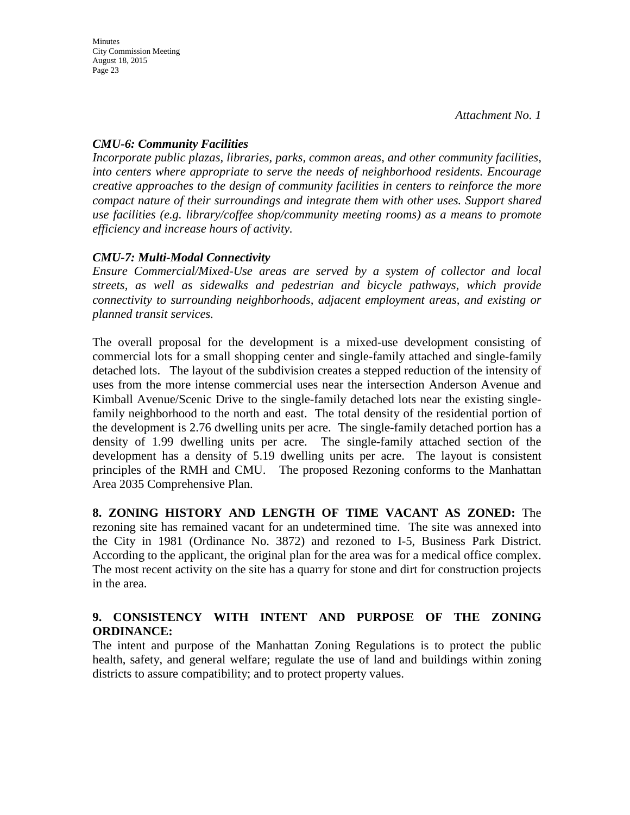## *CMU-6: Community Facilities*

*Incorporate public plazas, libraries, parks, common areas, and other community facilities, into centers where appropriate to serve the needs of neighborhood residents. Encourage creative approaches to the design of community facilities in centers to reinforce the more compact nature of their surroundings and integrate them with other uses. Support shared use facilities (e.g. library/coffee shop/community meeting rooms) as a means to promote efficiency and increase hours of activity.*

## *CMU-7: Multi-Modal Connectivity*

*Ensure Commercial/Mixed-Use areas are served by a system of collector and local streets, as well as sidewalks and pedestrian and bicycle pathways, which provide connectivity to surrounding neighborhoods, adjacent employment areas, and existing or planned transit services.* 

The overall proposal for the development is a mixed-use development consisting of commercial lots for a small shopping center and single-family attached and single-family detached lots. The layout of the subdivision creates a stepped reduction of the intensity of uses from the more intense commercial uses near the intersection Anderson Avenue and Kimball Avenue/Scenic Drive to the single-family detached lots near the existing singlefamily neighborhood to the north and east. The total density of the residential portion of the development is 2.76 dwelling units per acre. The single-family detached portion has a density of 1.99 dwelling units per acre. The single-family attached section of the development has a density of 5.19 dwelling units per acre. The layout is consistent principles of the RMH and CMU. The proposed Rezoning conforms to the Manhattan Area 2035 Comprehensive Plan.

**8. ZONING HISTORY AND LENGTH OF TIME VACANT AS ZONED:** The rezoning site has remained vacant for an undetermined time. The site was annexed into the City in 1981 (Ordinance No. 3872) and rezoned to I-5, Business Park District. According to the applicant, the original plan for the area was for a medical office complex. The most recent activity on the site has a quarry for stone and dirt for construction projects in the area.

## **9. CONSISTENCY WITH INTENT AND PURPOSE OF THE ZONING ORDINANCE:**

The intent and purpose of the Manhattan Zoning Regulations is to protect the public health, safety, and general welfare; regulate the use of land and buildings within zoning districts to assure compatibility; and to protect property values.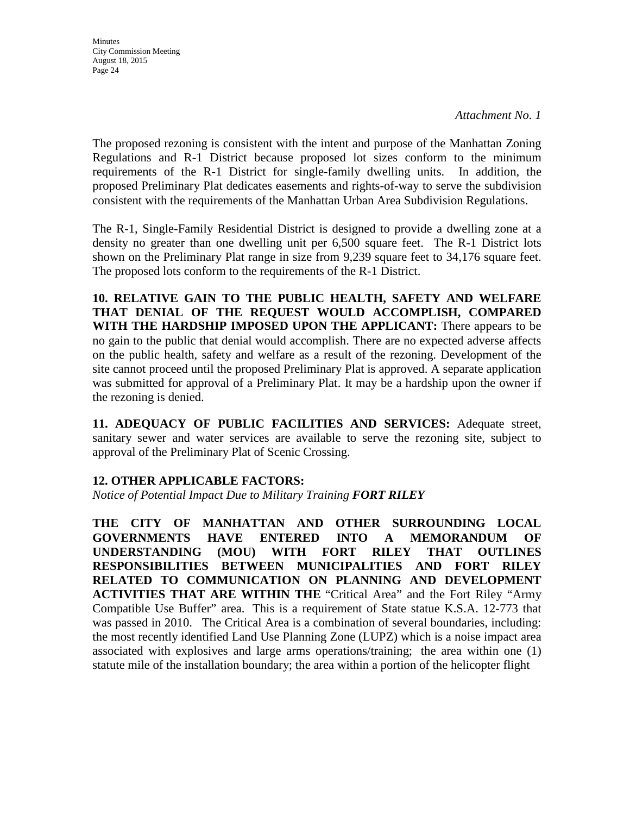**Minutes** City Commission Meeting August 18, 2015 Page 24

The proposed rezoning is consistent with the intent and purpose of the Manhattan Zoning Regulations and R-1 District because proposed lot sizes conform to the minimum requirements of the R-1 District for single-family dwelling units. In addition, the proposed Preliminary Plat dedicates easements and rights-of-way to serve the subdivision consistent with the requirements of the Manhattan Urban Area Subdivision Regulations.

The R-1, Single-Family Residential District is designed to provide a dwelling zone at a density no greater than one dwelling unit per 6,500 square feet. The R-1 District lots shown on the Preliminary Plat range in size from 9,239 square feet to 34,176 square feet. The proposed lots conform to the requirements of the R-1 District.

**10. RELATIVE GAIN TO THE PUBLIC HEALTH, SAFETY AND WELFARE THAT DENIAL OF THE REQUEST WOULD ACCOMPLISH, COMPARED WITH THE HARDSHIP IMPOSED UPON THE APPLICANT:** There appears to be no gain to the public that denial would accomplish. There are no expected adverse affects on the public health, safety and welfare as a result of the rezoning. Development of the site cannot proceed until the proposed Preliminary Plat is approved. A separate application was submitted for approval of a Preliminary Plat. It may be a hardship upon the owner if the rezoning is denied.

**11. ADEQUACY OF PUBLIC FACILITIES AND SERVICES:** Adequate street, sanitary sewer and water services are available to serve the rezoning site, subject to approval of the Preliminary Plat of Scenic Crossing.

## **12. OTHER APPLICABLE FACTORS:**

*Notice of Potential Impact Due to Military Training FORT RILEY* 

**THE CITY OF MANHATTAN AND OTHER SURROUNDING LOCAL GOVERNMENTS HAVE ENTERED INTO A MEMORANDUM OF UNDERSTANDING (MOU) WITH FORT RILEY THAT OUTLINES RESPONSIBILITIES BETWEEN MUNICIPALITIES AND FORT RILEY RELATED TO COMMUNICATION ON PLANNING AND DEVELOPMENT ACTIVITIES THAT ARE WITHIN THE** "Critical Area" and the Fort Riley "Army Compatible Use Buffer" area. This is a requirement of State statue K.S.A. 12-773 that was passed in 2010. The Critical Area is a combination of several boundaries, including: the most recently identified Land Use Planning Zone (LUPZ) which is a noise impact area associated with explosives and large arms operations/training; the area within one (1) statute mile of the installation boundary; the area within a portion of the helicopter flight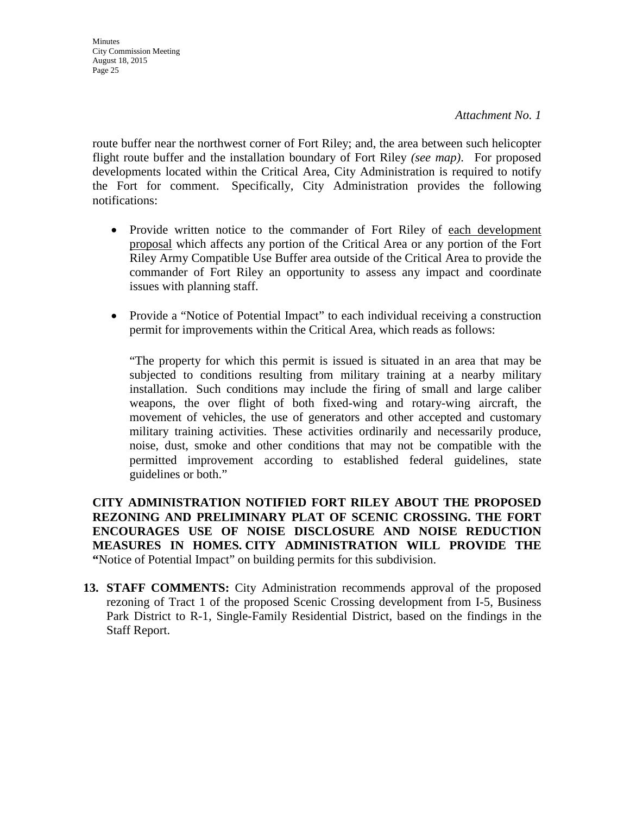route buffer near the northwest corner of Fort Riley; and, the area between such helicopter flight route buffer and the installation boundary of Fort Riley *(see map)*. For proposed developments located within the Critical Area, City Administration is required to notify the Fort for comment. Specifically, City Administration provides the following notifications:

- Provide written notice to the commander of Fort Riley of each development proposal which affects any portion of the Critical Area or any portion of the Fort Riley Army Compatible Use Buffer area outside of the Critical Area to provide the commander of Fort Riley an opportunity to assess any impact and coordinate issues with planning staff.
- Provide a "Notice of Potential Impact" to each individual receiving a construction permit for improvements within the Critical Area, which reads as follows:

"The property for which this permit is issued is situated in an area that may be subjected to conditions resulting from military training at a nearby military installation. Such conditions may include the firing of small and large caliber weapons, the over flight of both fixed-wing and rotary-wing aircraft, the movement of vehicles, the use of generators and other accepted and customary military training activities. These activities ordinarily and necessarily produce, noise, dust, smoke and other conditions that may not be compatible with the permitted improvement according to established federal guidelines, state guidelines or both."

**CITY ADMINISTRATION NOTIFIED FORT RILEY ABOUT THE PROPOSED REZONING AND PRELIMINARY PLAT OF SCENIC CROSSING. THE FORT ENCOURAGES USE OF NOISE DISCLOSURE AND NOISE REDUCTION MEASURES IN HOMES. CITY ADMINISTRATION WILL PROVIDE THE "**Notice of Potential Impact" on building permits for this subdivision.

**13. STAFF COMMENTS:** City Administration recommends approval of the proposed rezoning of Tract 1 of the proposed Scenic Crossing development from I-5, Business Park District to R-1, Single-Family Residential District, based on the findings in the Staff Report.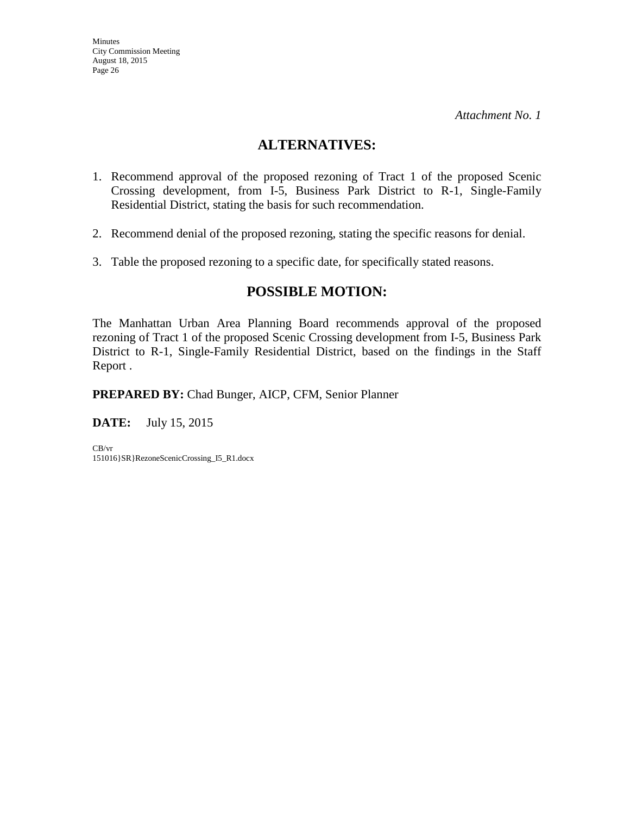## **ALTERNATIVES:**

- 1. Recommend approval of the proposed rezoning of Tract 1 of the proposed Scenic Crossing development, from I-5, Business Park District to R-1, Single-Family Residential District, stating the basis for such recommendation.
- 2. Recommend denial of the proposed rezoning, stating the specific reasons for denial.
- 3. Table the proposed rezoning to a specific date, for specifically stated reasons.

## **POSSIBLE MOTION:**

The Manhattan Urban Area Planning Board recommends approval of the proposed rezoning of Tract 1 of the proposed Scenic Crossing development from I-5, Business Park District to R-1, Single-Family Residential District, based on the findings in the Staff Report .

**PREPARED BY:** Chad Bunger, AICP, CFM, Senior Planner

**DATE:** July 15, 2015

CB/vr 151016}SR}RezoneScenicCrossing\_I5\_R1.docx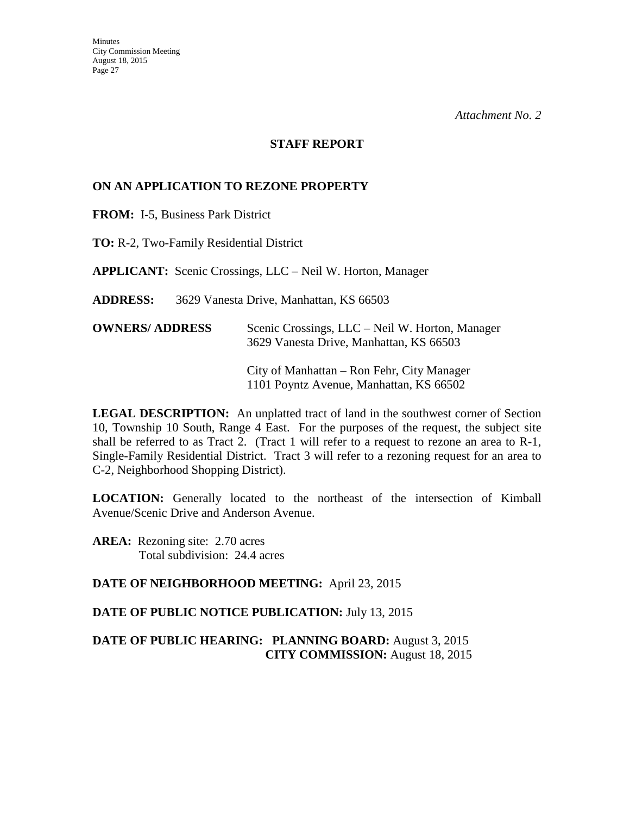#### **STAFF REPORT**

#### **ON AN APPLICATION TO REZONE PROPERTY**

**FROM:** I-5, Business Park District

**TO:** R-2, Two-Family Residential District

**APPLICANT:** Scenic Crossings, LLC – Neil W. Horton, Manager

**ADDRESS:** 3629 Vanesta Drive, Manhattan, KS 66503

| <b>OWNERS/ ADDRESS</b> | Scenic Crossings, LLC – Neil W. Horton, Manager<br>3629 Vanesta Drive, Manhattan, KS 66503 |
|------------------------|--------------------------------------------------------------------------------------------|
|                        | City of Manhattan – Ron Fehr, City Manager<br>1101 Poyntz Avenue, Manhattan, KS 66502      |

**LEGAL DESCRIPTION:** An unplatted tract of land in the southwest corner of Section 10, Township 10 South, Range 4 East. For the purposes of the request, the subject site shall be referred to as Tract 2. (Tract 1 will refer to a request to rezone an area to R-1, Single-Family Residential District. Tract 3 will refer to a rezoning request for an area to C-2, Neighborhood Shopping District).

**LOCATION:** Generally located to the northeast of the intersection of Kimball Avenue/Scenic Drive and Anderson Avenue.

**AREA:** Rezoning site: 2.70 acres Total subdivision: 24.4 acres

**DATE OF NEIGHBORHOOD MEETING:** April 23, 2015

**DATE OF PUBLIC NOTICE PUBLICATION:** July 13, 2015

**DATE OF PUBLIC HEARING: PLANNING BOARD:** August 3, 2015 **CITY COMMISSION:** August 18, 2015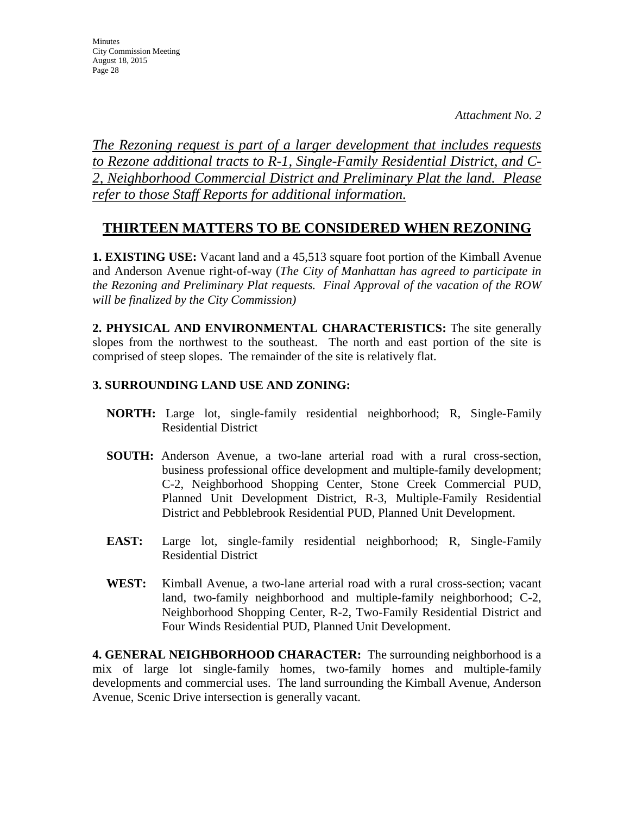**Minutes** City Commission Meeting August 18, 2015 Page 28

*The Rezoning request is part of a larger development that includes requests to Rezone additional tracts to R-1, Single-Family Residential District, and C-2, Neighborhood Commercial District and Preliminary Plat the land. Please refer to those Staff Reports for additional information.*

## **THIRTEEN MATTERS TO BE CONSIDERED WHEN REZONING**

**1. EXISTING USE:** Vacant land and a 45,513 square foot portion of the Kimball Avenue and Anderson Avenue right-of-way (*The City of Manhattan has agreed to participate in the Rezoning and Preliminary Plat requests. Final Approval of the vacation of the ROW will be finalized by the City Commission)* 

**2. PHYSICAL AND ENVIRONMENTAL CHARACTERISTICS:** The site generally slopes from the northwest to the southeast. The north and east portion of the site is comprised of steep slopes. The remainder of the site is relatively flat.

## **3. SURROUNDING LAND USE AND ZONING:**

- **NORTH:** Large lot, single-family residential neighborhood; R, Single-Family Residential District
- **SOUTH:** Anderson Avenue, a two-lane arterial road with a rural cross-section, business professional office development and multiple-family development; C-2, Neighborhood Shopping Center, Stone Creek Commercial PUD, Planned Unit Development District, R-3, Multiple-Family Residential District and Pebblebrook Residential PUD, Planned Unit Development.
- **EAST:** Large lot, single-family residential neighborhood; R, Single-Family Residential District
- **WEST:** Kimball Avenue, a two-lane arterial road with a rural cross-section; vacant land, two-family neighborhood and multiple-family neighborhood; C-2, Neighborhood Shopping Center, R-2, Two-Family Residential District and Four Winds Residential PUD, Planned Unit Development.

**4. GENERAL NEIGHBORHOOD CHARACTER:** The surrounding neighborhood is a mix of large lot single-family homes, two-family homes and multiple-family developments and commercial uses. The land surrounding the Kimball Avenue, Anderson Avenue, Scenic Drive intersection is generally vacant.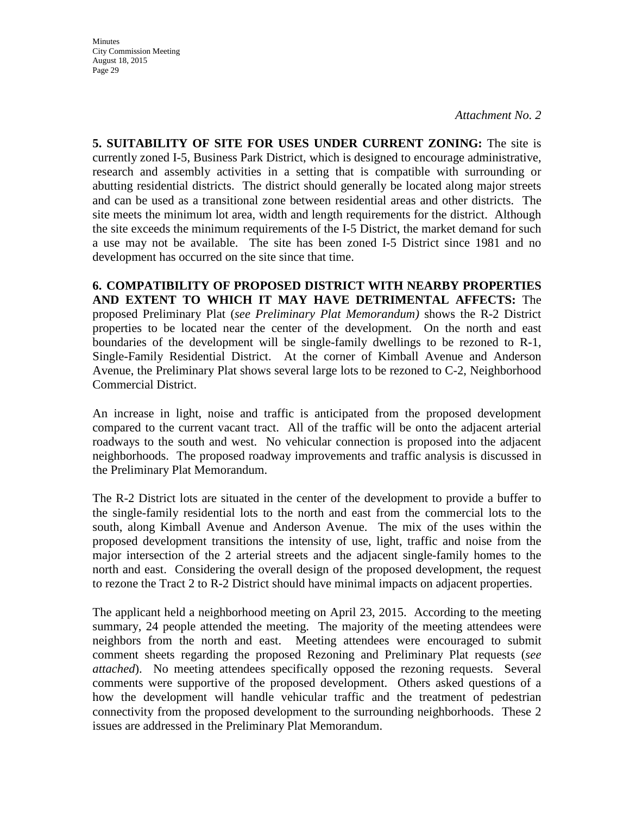**Minutes** City Commission Meeting August 18, 2015 Page 29

*Attachment No. 2* 

**5. SUITABILITY OF SITE FOR USES UNDER CURRENT ZONING:** The site is currently zoned I-5, Business Park District, which is designed to encourage administrative, research and assembly activities in a setting that is compatible with surrounding or abutting residential districts. The district should generally be located along major streets and can be used as a transitional zone between residential areas and other districts. The site meets the minimum lot area, width and length requirements for the district. Although the site exceeds the minimum requirements of the I-5 District, the market demand for such a use may not be available. The site has been zoned I-5 District since 1981 and no development has occurred on the site since that time.

**6. COMPATIBILITY OF PROPOSED DISTRICT WITH NEARBY PROPERTIES AND EXTENT TO WHICH IT MAY HAVE DETRIMENTAL AFFECTS:** The proposed Preliminary Plat (*see Preliminary Plat Memorandum)* shows the R-2 District properties to be located near the center of the development. On the north and east boundaries of the development will be single-family dwellings to be rezoned to R-1, Single-Family Residential District. At the corner of Kimball Avenue and Anderson Avenue, the Preliminary Plat shows several large lots to be rezoned to C-2, Neighborhood Commercial District.

An increase in light, noise and traffic is anticipated from the proposed development compared to the current vacant tract. All of the traffic will be onto the adjacent arterial roadways to the south and west. No vehicular connection is proposed into the adjacent neighborhoods. The proposed roadway improvements and traffic analysis is discussed in the Preliminary Plat Memorandum.

The R-2 District lots are situated in the center of the development to provide a buffer to the single-family residential lots to the north and east from the commercial lots to the south, along Kimball Avenue and Anderson Avenue. The mix of the uses within the proposed development transitions the intensity of use, light, traffic and noise from the major intersection of the 2 arterial streets and the adjacent single-family homes to the north and east. Considering the overall design of the proposed development, the request to rezone the Tract 2 to R-2 District should have minimal impacts on adjacent properties.

The applicant held a neighborhood meeting on April 23, 2015. According to the meeting summary, 24 people attended the meeting. The majority of the meeting attendees were neighbors from the north and east. Meeting attendees were encouraged to submit comment sheets regarding the proposed Rezoning and Preliminary Plat requests (*see attached*). No meeting attendees specifically opposed the rezoning requests. Several comments were supportive of the proposed development. Others asked questions of a how the development will handle vehicular traffic and the treatment of pedestrian connectivity from the proposed development to the surrounding neighborhoods. These 2 issues are addressed in the Preliminary Plat Memorandum.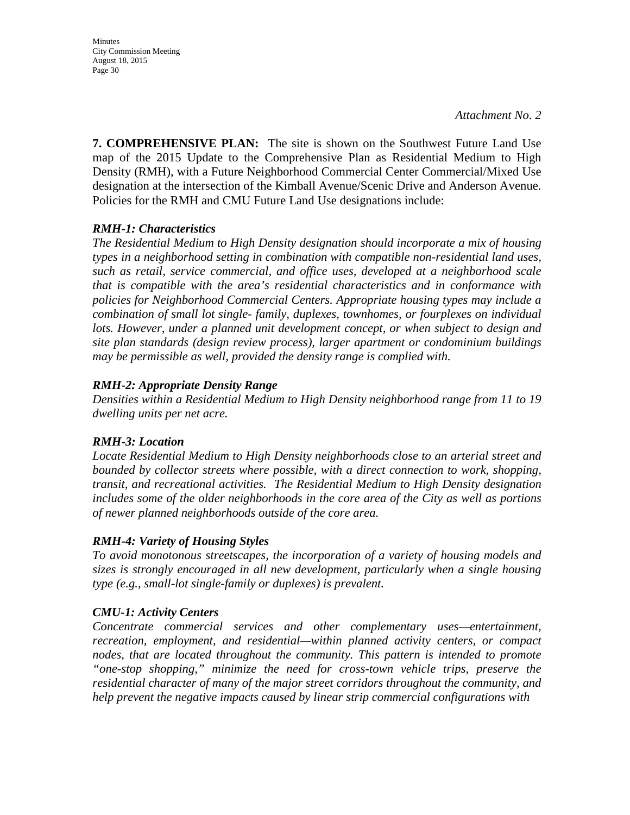Minutes City Commission Meeting August 18, 2015 Page 30

**7. COMPREHENSIVE PLAN:** The site is shown on the Southwest Future Land Use map of the 2015 Update to the Comprehensive Plan as Residential Medium to High Density (RMH), with a Future Neighborhood Commercial Center Commercial/Mixed Use designation at the intersection of the Kimball Avenue/Scenic Drive and Anderson Avenue. Policies for the RMH and CMU Future Land Use designations include:

#### *RMH-1: Characteristics*

*The Residential Medium to High Density designation should incorporate a mix of housing types in a neighborhood setting in combination with compatible non-residential land uses, such as retail, service commercial, and office uses, developed at a neighborhood scale that is compatible with the area's residential characteristics and in conformance with policies for Neighborhood Commercial Centers. Appropriate housing types may include a combination of small lot single- family, duplexes, townhomes, or fourplexes on individual*  lots. However, under a planned unit development concept, or when subject to design and *site plan standards (design review process), larger apartment or condominium buildings may be permissible as well, provided the density range is complied with.* 

#### *RMH-2: Appropriate Density Range*

*Densities within a Residential Medium to High Density neighborhood range from 11 to 19 dwelling units per net acre.* 

#### *RMH-3: Location*

*Locate Residential Medium to High Density neighborhoods close to an arterial street and bounded by collector streets where possible, with a direct connection to work, shopping, transit, and recreational activities. The Residential Medium to High Density designation includes some of the older neighborhoods in the core area of the City as well as portions of newer planned neighborhoods outside of the core area.* 

## *RMH-4: Variety of Housing Styles*

*To avoid monotonous streetscapes, the incorporation of a variety of housing models and sizes is strongly encouraged in all new development, particularly when a single housing type (e.g., small-lot single-family or duplexes) is prevalent.* 

#### *CMU-1: Activity Centers*

*Concentrate commercial services and other complementary uses—entertainment, recreation, employment, and residential—within planned activity centers, or compact nodes, that are located throughout the community. This pattern is intended to promote "one-stop shopping," minimize the need for cross-town vehicle trips, preserve the residential character of many of the major street corridors throughout the community, and help prevent the negative impacts caused by linear strip commercial configurations with*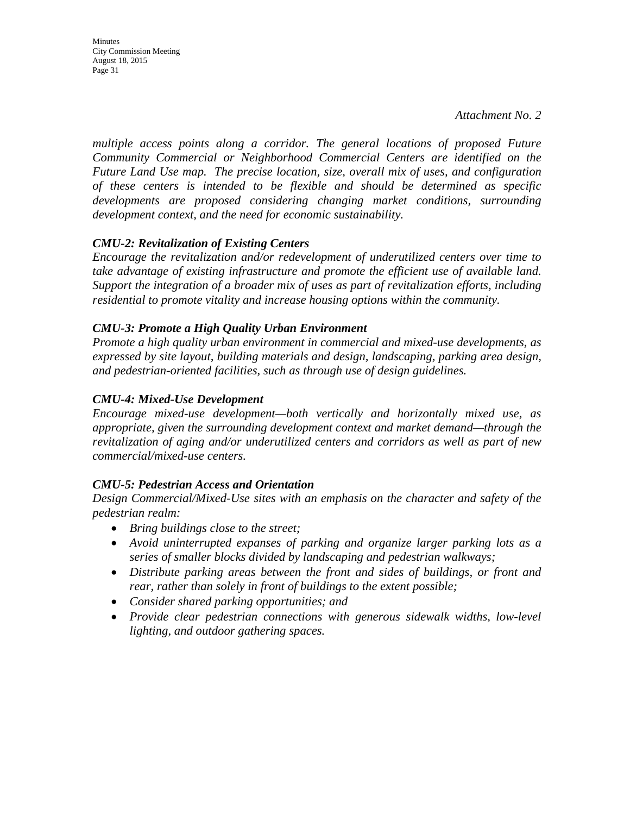Minutes City Commission Meeting August 18, 2015 Page 31

*multiple access points along a corridor. The general locations of proposed Future Community Commercial or Neighborhood Commercial Centers are identified on the Future Land Use map. The precise location, size, overall mix of uses, and configuration of these centers is intended to be flexible and should be determined as specific developments are proposed considering changing market conditions, surrounding development context, and the need for economic sustainability.* 

#### *CMU-2: Revitalization of Existing Centers*

*Encourage the revitalization and/or redevelopment of underutilized centers over time to take advantage of existing infrastructure and promote the efficient use of available land. Support the integration of a broader mix of uses as part of revitalization efforts, including residential to promote vitality and increase housing options within the community.* 

#### *CMU-3: Promote a High Quality Urban Environment*

*Promote a high quality urban environment in commercial and mixed-use developments, as expressed by site layout, building materials and design, landscaping, parking area design, and pedestrian-oriented facilities, such as through use of design guidelines.* 

#### *CMU-4: Mixed-Use Development*

*Encourage mixed-use development—both vertically and horizontally mixed use, as appropriate, given the surrounding development context and market demand—through the revitalization of aging and/or underutilized centers and corridors as well as part of new commercial/mixed-use centers.*

#### *CMU-5: Pedestrian Access and Orientation*

*Design Commercial/Mixed-Use sites with an emphasis on the character and safety of the pedestrian realm:* 

- *Bring buildings close to the street;*
- *Avoid uninterrupted expanses of parking and organize larger parking lots as a series of smaller blocks divided by landscaping and pedestrian walkways;*
- *Distribute parking areas between the front and sides of buildings, or front and rear, rather than solely in front of buildings to the extent possible;*
- *Consider shared parking opportunities; and*
- *Provide clear pedestrian connections with generous sidewalk widths, low-level lighting, and outdoor gathering spaces.*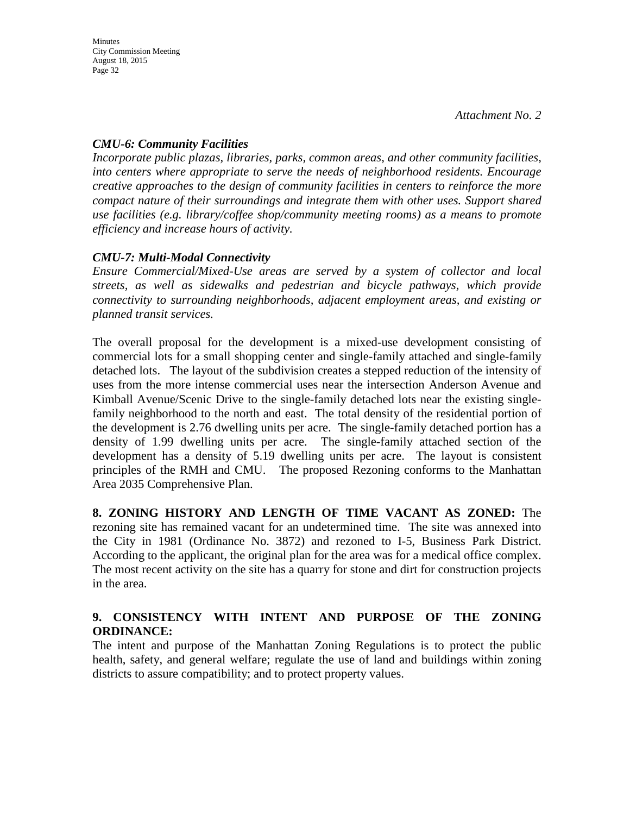## *CMU-6: Community Facilities*

*Incorporate public plazas, libraries, parks, common areas, and other community facilities, into centers where appropriate to serve the needs of neighborhood residents. Encourage creative approaches to the design of community facilities in centers to reinforce the more compact nature of their surroundings and integrate them with other uses. Support shared use facilities (e.g. library/coffee shop/community meeting rooms) as a means to promote efficiency and increase hours of activity.*

## *CMU-7: Multi-Modal Connectivity*

*Ensure Commercial/Mixed-Use areas are served by a system of collector and local streets, as well as sidewalks and pedestrian and bicycle pathways, which provide connectivity to surrounding neighborhoods, adjacent employment areas, and existing or planned transit services.* 

The overall proposal for the development is a mixed-use development consisting of commercial lots for a small shopping center and single-family attached and single-family detached lots. The layout of the subdivision creates a stepped reduction of the intensity of uses from the more intense commercial uses near the intersection Anderson Avenue and Kimball Avenue/Scenic Drive to the single-family detached lots near the existing singlefamily neighborhood to the north and east. The total density of the residential portion of the development is 2.76 dwelling units per acre. The single-family detached portion has a density of 1.99 dwelling units per acre. The single-family attached section of the development has a density of 5.19 dwelling units per acre. The layout is consistent principles of the RMH and CMU. The proposed Rezoning conforms to the Manhattan Area 2035 Comprehensive Plan.

**8. ZONING HISTORY AND LENGTH OF TIME VACANT AS ZONED:** The rezoning site has remained vacant for an undetermined time. The site was annexed into the City in 1981 (Ordinance No. 3872) and rezoned to I-5, Business Park District. According to the applicant, the original plan for the area was for a medical office complex. The most recent activity on the site has a quarry for stone and dirt for construction projects in the area.

## **9. CONSISTENCY WITH INTENT AND PURPOSE OF THE ZONING ORDINANCE:**

The intent and purpose of the Manhattan Zoning Regulations is to protect the public health, safety, and general welfare; regulate the use of land and buildings within zoning districts to assure compatibility; and to protect property values.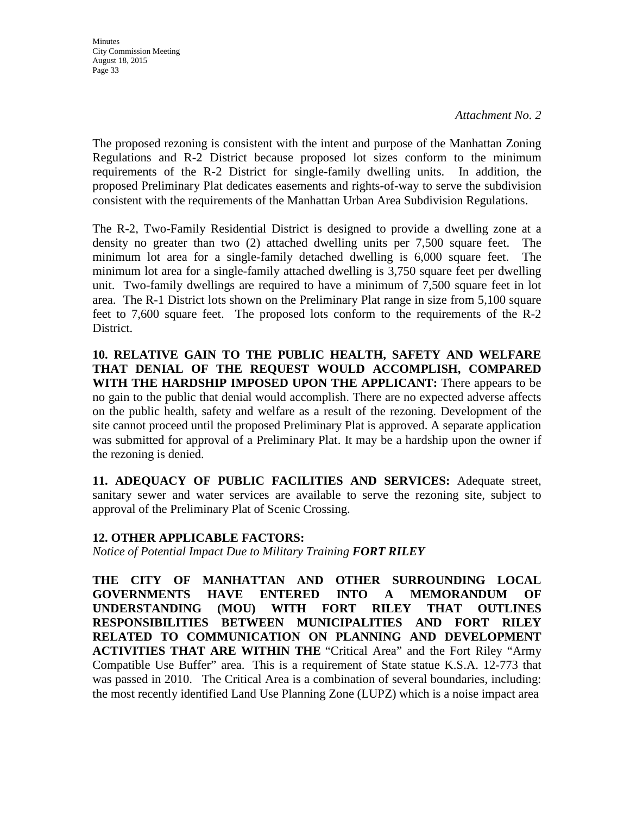**Minutes** City Commission Meeting August 18, 2015 Page 33

*Attachment No. 2* 

The proposed rezoning is consistent with the intent and purpose of the Manhattan Zoning Regulations and R-2 District because proposed lot sizes conform to the minimum requirements of the R-2 District for single-family dwelling units. In addition, the proposed Preliminary Plat dedicates easements and rights-of-way to serve the subdivision consistent with the requirements of the Manhattan Urban Area Subdivision Regulations.

The R-2, Two-Family Residential District is designed to provide a dwelling zone at a density no greater than two (2) attached dwelling units per 7,500 square feet. The minimum lot area for a single-family detached dwelling is 6,000 square feet. The minimum lot area for a single-family attached dwelling is 3,750 square feet per dwelling unit. Two-family dwellings are required to have a minimum of 7,500 square feet in lot area. The R-1 District lots shown on the Preliminary Plat range in size from 5,100 square feet to 7,600 square feet. The proposed lots conform to the requirements of the R-2 District.

**10. RELATIVE GAIN TO THE PUBLIC HEALTH, SAFETY AND WELFARE THAT DENIAL OF THE REQUEST WOULD ACCOMPLISH, COMPARED WITH THE HARDSHIP IMPOSED UPON THE APPLICANT:** There appears to be no gain to the public that denial would accomplish. There are no expected adverse affects on the public health, safety and welfare as a result of the rezoning. Development of the site cannot proceed until the proposed Preliminary Plat is approved. A separate application was submitted for approval of a Preliminary Plat. It may be a hardship upon the owner if the rezoning is denied.

**11. ADEQUACY OF PUBLIC FACILITIES AND SERVICES:** Adequate street, sanitary sewer and water services are available to serve the rezoning site, subject to approval of the Preliminary Plat of Scenic Crossing.

## **12. OTHER APPLICABLE FACTORS:**

*Notice of Potential Impact Due to Military Training FORT RILEY* 

**THE CITY OF MANHATTAN AND OTHER SURROUNDING LOCAL GOVERNMENTS HAVE ENTERED INTO A MEMORANDUM OF UNDERSTANDING (MOU) WITH FORT RILEY THAT OUTLINES RESPONSIBILITIES BETWEEN MUNICIPALITIES AND FORT RILEY RELATED TO COMMUNICATION ON PLANNING AND DEVELOPMENT ACTIVITIES THAT ARE WITHIN THE** "Critical Area" and the Fort Riley "Army Compatible Use Buffer" area. This is a requirement of State statue K.S.A. 12-773 that was passed in 2010. The Critical Area is a combination of several boundaries, including: the most recently identified Land Use Planning Zone (LUPZ) which is a noise impact area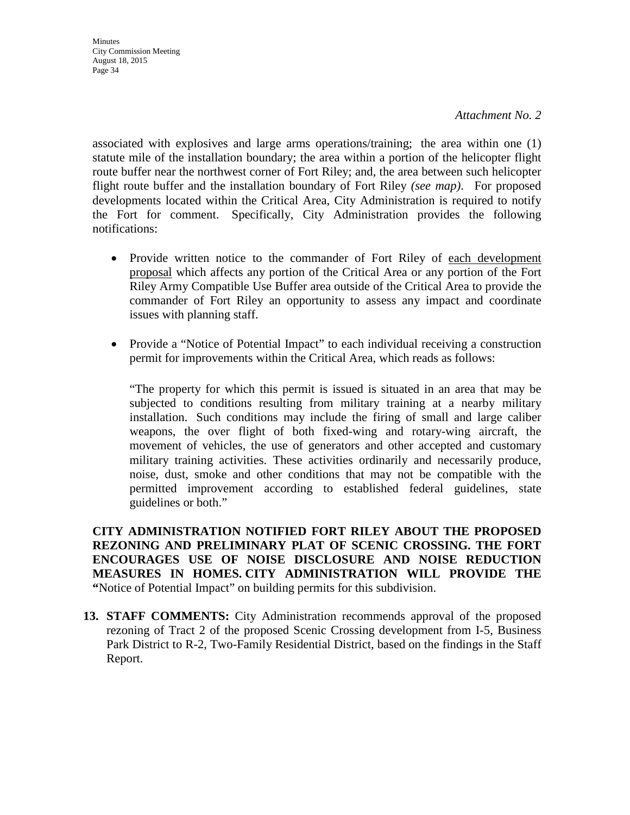**Minutes** City Commission Meeting August 18, 2015 Page 34

associated with explosives and large arms operations/training; the area within one (1) statute mile of the installation boundary; the area within a portion of the helicopter flight route buffer near the northwest corner of Fort Riley; and, the area between such helicopter flight route buffer and the installation boundary of Fort Riley *(see map)*. For proposed developments located within the Critical Area, City Administration is required to notify the Fort for comment. Specifically, City Administration provides the following notifications:

- Provide written notice to the commander of Fort Riley of each development proposal which affects any portion of the Critical Area or any portion of the Fort Riley Army Compatible Use Buffer area outside of the Critical Area to provide the commander of Fort Riley an opportunity to assess any impact and coordinate issues with planning staff.
- Provide a "Notice of Potential Impact" to each individual receiving a construction permit for improvements within the Critical Area, which reads as follows:

"The property for which this permit is issued is situated in an area that may be subjected to conditions resulting from military training at a nearby military installation. Such conditions may include the firing of small and large caliber weapons, the over flight of both fixed-wing and rotary-wing aircraft, the movement of vehicles, the use of generators and other accepted and customary military training activities. These activities ordinarily and necessarily produce, noise, dust, smoke and other conditions that may not be compatible with the permitted improvement according to established federal guidelines, state guidelines or both."

**CITY ADMINISTRATION NOTIFIED FORT RILEY ABOUT THE PROPOSED REZONING AND PRELIMINARY PLAT OF SCENIC CROSSING. THE FORT ENCOURAGES USE OF NOISE DISCLOSURE AND NOISE REDUCTION MEASURES IN HOMES. CITY ADMINISTRATION WILL PROVIDE THE "**Notice of Potential Impact" on building permits for this subdivision.

**13. STAFF COMMENTS:** City Administration recommends approval of the proposed rezoning of Tract 2 of the proposed Scenic Crossing development from I-5, Business Park District to R-2, Two-Family Residential District, based on the findings in the Staff Report.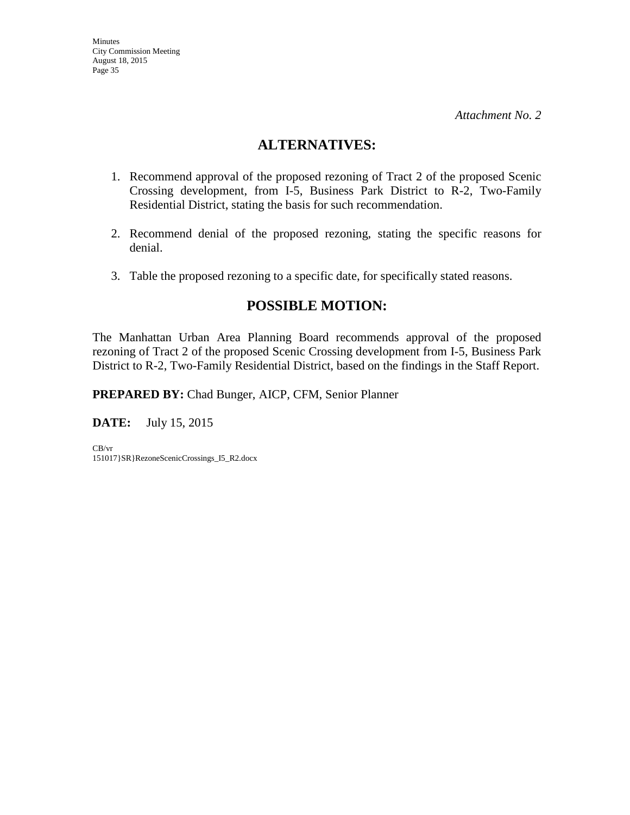## **ALTERNATIVES:**

- 1. Recommend approval of the proposed rezoning of Tract 2 of the proposed Scenic Crossing development, from I-5, Business Park District to R-2, Two-Family Residential District, stating the basis for such recommendation.
- 2. Recommend denial of the proposed rezoning, stating the specific reasons for denial.
- 3. Table the proposed rezoning to a specific date, for specifically stated reasons.

## **POSSIBLE MOTION:**

The Manhattan Urban Area Planning Board recommends approval of the proposed rezoning of Tract 2 of the proposed Scenic Crossing development from I-5, Business Park District to R-2, Two-Family Residential District, based on the findings in the Staff Report.

**PREPARED BY:** Chad Bunger, AICP, CFM, Senior Planner

**DATE:** July 15, 2015

CB/vr 151017}SR}RezoneScenicCrossings\_I5\_R2.docx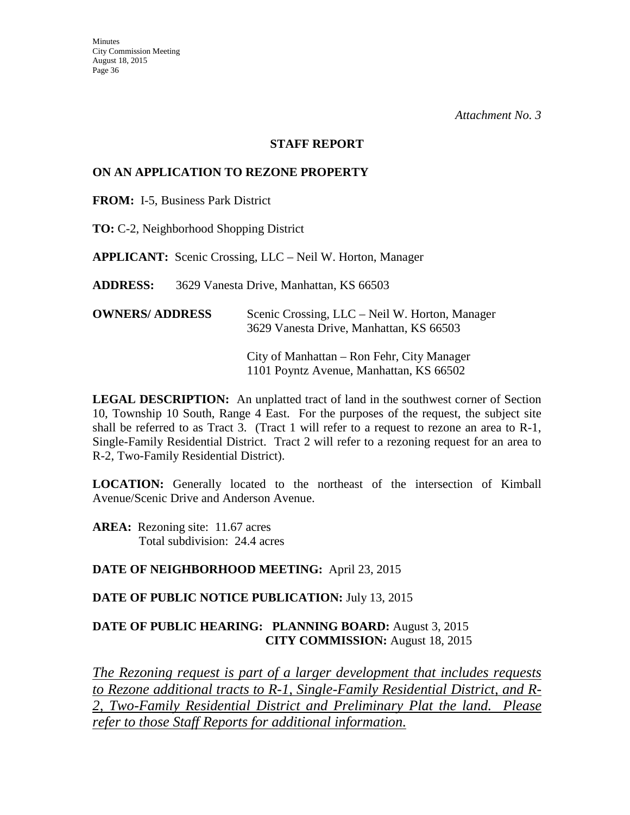#### **STAFF REPORT**

#### **ON AN APPLICATION TO REZONE PROPERTY**

**FROM:** I-5, Business Park District

**TO:** C-2, Neighborhood Shopping District

**APPLICANT:** Scenic Crossing, LLC – Neil W. Horton, Manager

**ADDRESS:** 3629 Vanesta Drive, Manhattan, KS 66503

| <b>OWNERS/ ADDRESS</b> | Scenic Crossing, LLC – Neil W. Horton, Manager |
|------------------------|------------------------------------------------|
|                        | 3629 Vanesta Drive, Manhattan, KS 66503        |

 City of Manhattan – Ron Fehr, City Manager 1101 Poyntz Avenue, Manhattan, KS 66502

**LEGAL DESCRIPTION:** An unplatted tract of land in the southwest corner of Section 10, Township 10 South, Range 4 East. For the purposes of the request, the subject site shall be referred to as Tract 3. (Tract 1 will refer to a request to rezone an area to R-1, Single-Family Residential District. Tract 2 will refer to a rezoning request for an area to R-2, Two-Family Residential District).

**LOCATION:** Generally located to the northeast of the intersection of Kimball Avenue/Scenic Drive and Anderson Avenue.

AREA: Rezoning site: 11.67 acres Total subdivision: 24.4 acres

#### **DATE OF NEIGHBORHOOD MEETING:** April 23, 2015

#### **DATE OF PUBLIC NOTICE PUBLICATION:** July 13, 2015

## **DATE OF PUBLIC HEARING: PLANNING BOARD:** August 3, 2015 **CITY COMMISSION:** August 18, 2015

*The Rezoning request is part of a larger development that includes requests to Rezone additional tracts to R-1, Single-Family Residential District, and R-2, Two-Family Residential District and Preliminary Plat the land. Please refer to those Staff Reports for additional information.*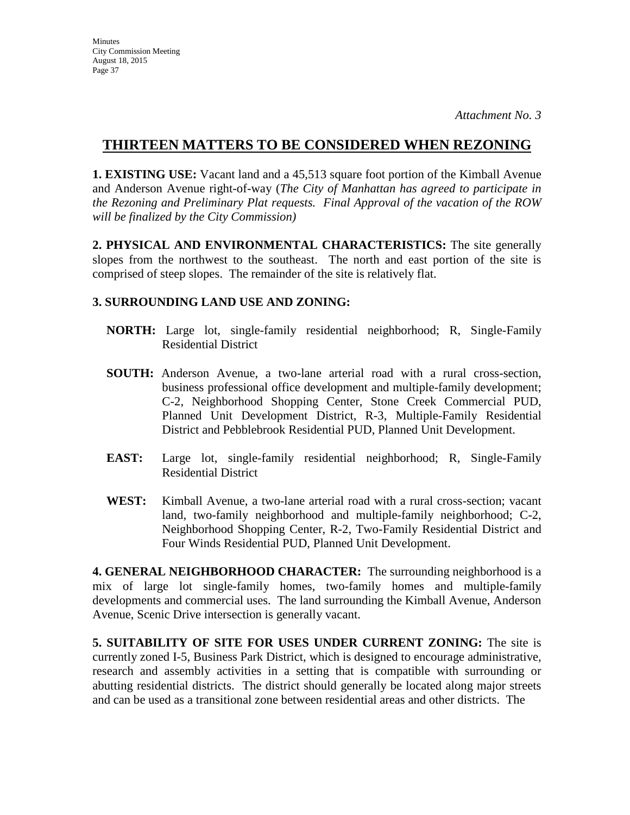**1. EXISTING USE:** Vacant land and a 45,513 square foot portion of the Kimball Avenue and Anderson Avenue right-of-way (*The City of Manhattan has agreed to participate in the Rezoning and Preliminary Plat requests. Final Approval of the vacation of the ROW will be finalized by the City Commission)* 

**2. PHYSICAL AND ENVIRONMENTAL CHARACTERISTICS:** The site generally slopes from the northwest to the southeast. The north and east portion of the site is comprised of steep slopes. The remainder of the site is relatively flat.

### **3. SURROUNDING LAND USE AND ZONING:**

- **NORTH:** Large lot, single-family residential neighborhood; R, Single-Family Residential District
- **SOUTH:** Anderson Avenue, a two-lane arterial road with a rural cross-section, business professional office development and multiple-family development; C-2, Neighborhood Shopping Center, Stone Creek Commercial PUD, Planned Unit Development District, R-3, Multiple-Family Residential District and Pebblebrook Residential PUD, Planned Unit Development.
- **EAST:** Large lot, single-family residential neighborhood; R, Single-Family Residential District
- **WEST:** Kimball Avenue, a two-lane arterial road with a rural cross-section; vacant land, two-family neighborhood and multiple-family neighborhood; C-2, Neighborhood Shopping Center, R-2, Two-Family Residential District and Four Winds Residential PUD, Planned Unit Development.

**4. GENERAL NEIGHBORHOOD CHARACTER:** The surrounding neighborhood is a mix of large lot single-family homes, two-family homes and multiple-family developments and commercial uses. The land surrounding the Kimball Avenue, Anderson Avenue, Scenic Drive intersection is generally vacant.

**5. SUITABILITY OF SITE FOR USES UNDER CURRENT ZONING:** The site is currently zoned I-5, Business Park District, which is designed to encourage administrative, research and assembly activities in a setting that is compatible with surrounding or abutting residential districts. The district should generally be located along major streets and can be used as a transitional zone between residential areas and other districts. The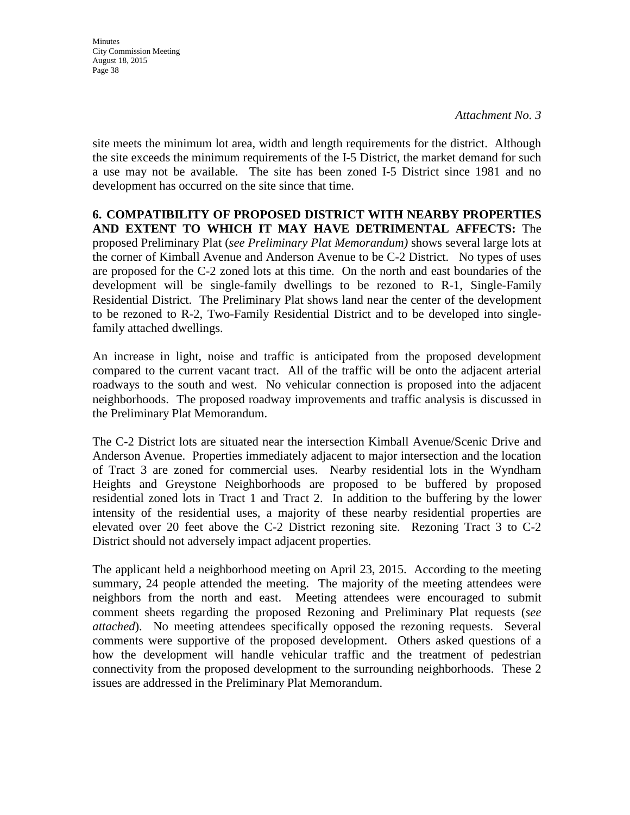**Minutes** City Commission Meeting August 18, 2015 Page 38

site meets the minimum lot area, width and length requirements for the district. Although the site exceeds the minimum requirements of the I-5 District, the market demand for such a use may not be available. The site has been zoned I-5 District since 1981 and no development has occurred on the site since that time.

**6. COMPATIBILITY OF PROPOSED DISTRICT WITH NEARBY PROPERTIES AND EXTENT TO WHICH IT MAY HAVE DETRIMENTAL AFFECTS:** The proposed Preliminary Plat (*see Preliminary Plat Memorandum)* shows several large lots at the corner of Kimball Avenue and Anderson Avenue to be C-2 District. No types of uses are proposed for the C-2 zoned lots at this time. On the north and east boundaries of the development will be single-family dwellings to be rezoned to R-1, Single-Family Residential District. The Preliminary Plat shows land near the center of the development to be rezoned to R-2, Two-Family Residential District and to be developed into singlefamily attached dwellings.

An increase in light, noise and traffic is anticipated from the proposed development compared to the current vacant tract. All of the traffic will be onto the adjacent arterial roadways to the south and west. No vehicular connection is proposed into the adjacent neighborhoods. The proposed roadway improvements and traffic analysis is discussed in the Preliminary Plat Memorandum.

The C-2 District lots are situated near the intersection Kimball Avenue/Scenic Drive and Anderson Avenue. Properties immediately adjacent to major intersection and the location of Tract 3 are zoned for commercial uses. Nearby residential lots in the Wyndham Heights and Greystone Neighborhoods are proposed to be buffered by proposed residential zoned lots in Tract 1 and Tract 2. In addition to the buffering by the lower intensity of the residential uses, a majority of these nearby residential properties are elevated over 20 feet above the C-2 District rezoning site. Rezoning Tract 3 to C-2 District should not adversely impact adjacent properties.

The applicant held a neighborhood meeting on April 23, 2015. According to the meeting summary, 24 people attended the meeting. The majority of the meeting attendees were neighbors from the north and east. Meeting attendees were encouraged to submit comment sheets regarding the proposed Rezoning and Preliminary Plat requests (*see attached*). No meeting attendees specifically opposed the rezoning requests. Several comments were supportive of the proposed development. Others asked questions of a how the development will handle vehicular traffic and the treatment of pedestrian connectivity from the proposed development to the surrounding neighborhoods. These 2 issues are addressed in the Preliminary Plat Memorandum.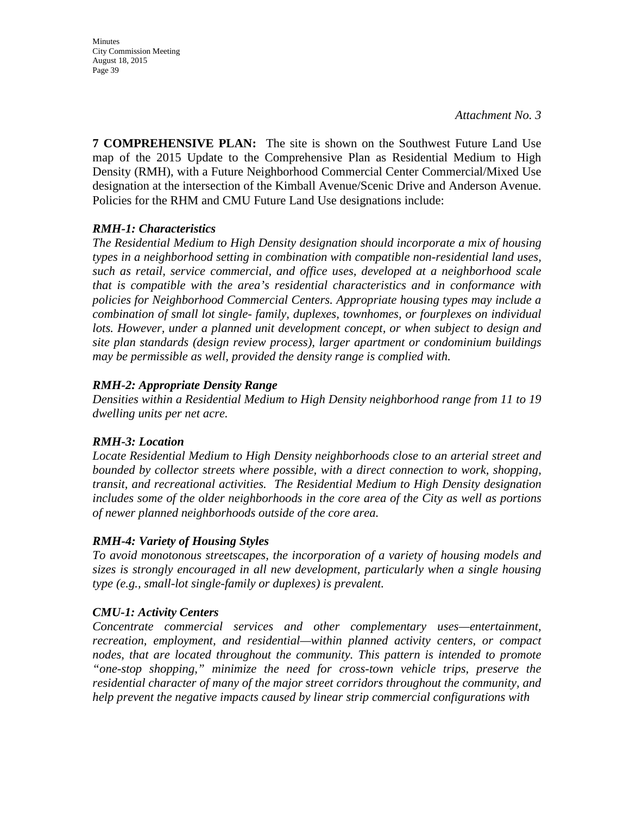Minutes City Commission Meeting August 18, 2015 Page 39

**7 COMPREHENSIVE PLAN:** The site is shown on the Southwest Future Land Use map of the 2015 Update to the Comprehensive Plan as Residential Medium to High Density (RMH), with a Future Neighborhood Commercial Center Commercial/Mixed Use designation at the intersection of the Kimball Avenue/Scenic Drive and Anderson Avenue. Policies for the RHM and CMU Future Land Use designations include:

### *RMH-1: Characteristics*

*The Residential Medium to High Density designation should incorporate a mix of housing types in a neighborhood setting in combination with compatible non-residential land uses, such as retail, service commercial, and office uses, developed at a neighborhood scale that is compatible with the area's residential characteristics and in conformance with policies for Neighborhood Commercial Centers. Appropriate housing types may include a combination of small lot single- family, duplexes, townhomes, or fourplexes on individual*  lots. However, under a planned unit development concept, or when subject to design and *site plan standards (design review process), larger apartment or condominium buildings may be permissible as well, provided the density range is complied with.* 

### *RMH-2: Appropriate Density Range*

*Densities within a Residential Medium to High Density neighborhood range from 11 to 19 dwelling units per net acre.* 

### *RMH-3: Location*

*Locate Residential Medium to High Density neighborhoods close to an arterial street and bounded by collector streets where possible, with a direct connection to work, shopping, transit, and recreational activities. The Residential Medium to High Density designation includes some of the older neighborhoods in the core area of the City as well as portions of newer planned neighborhoods outside of the core area.* 

### *RMH-4: Variety of Housing Styles*

*To avoid monotonous streetscapes, the incorporation of a variety of housing models and sizes is strongly encouraged in all new development, particularly when a single housing type (e.g., small-lot single-family or duplexes) is prevalent.* 

### *CMU-1: Activity Centers*

*Concentrate commercial services and other complementary uses—entertainment, recreation, employment, and residential—within planned activity centers, or compact nodes, that are located throughout the community. This pattern is intended to promote "one-stop shopping," minimize the need for cross-town vehicle trips, preserve the residential character of many of the major street corridors throughout the community, and help prevent the negative impacts caused by linear strip commercial configurations with*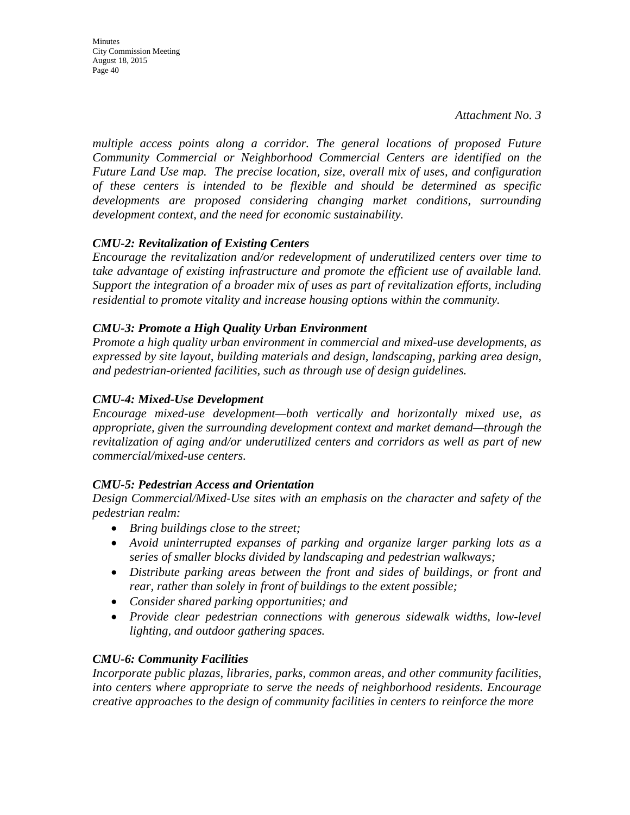**Minutes** City Commission Meeting August 18, 2015 Page 40

*multiple access points along a corridor. The general locations of proposed Future Community Commercial or Neighborhood Commercial Centers are identified on the Future Land Use map. The precise location, size, overall mix of uses, and configuration of these centers is intended to be flexible and should be determined as specific developments are proposed considering changing market conditions, surrounding development context, and the need for economic sustainability.* 

### *CMU-2: Revitalization of Existing Centers*

*Encourage the revitalization and/or redevelopment of underutilized centers over time to take advantage of existing infrastructure and promote the efficient use of available land. Support the integration of a broader mix of uses as part of revitalization efforts, including residential to promote vitality and increase housing options within the community.* 

### *CMU-3: Promote a High Quality Urban Environment*

*Promote a high quality urban environment in commercial and mixed-use developments, as expressed by site layout, building materials and design, landscaping, parking area design, and pedestrian-oriented facilities, such as through use of design guidelines.* 

### *CMU-4: Mixed-Use Development*

*Encourage mixed-use development—both vertically and horizontally mixed use, as appropriate, given the surrounding development context and market demand—through the revitalization of aging and/or underutilized centers and corridors as well as part of new commercial/mixed-use centers.*

### *CMU-5: Pedestrian Access and Orientation*

*Design Commercial/Mixed-Use sites with an emphasis on the character and safety of the pedestrian realm:* 

- *Bring buildings close to the street;*
- *Avoid uninterrupted expanses of parking and organize larger parking lots as a series of smaller blocks divided by landscaping and pedestrian walkways;*
- *Distribute parking areas between the front and sides of buildings, or front and rear, rather than solely in front of buildings to the extent possible;*
- *Consider shared parking opportunities; and*
- *Provide clear pedestrian connections with generous sidewalk widths, low-level lighting, and outdoor gathering spaces.*

### *CMU-6: Community Facilities*

*Incorporate public plazas, libraries, parks, common areas, and other community facilities, into centers where appropriate to serve the needs of neighborhood residents. Encourage creative approaches to the design of community facilities in centers to reinforce the more*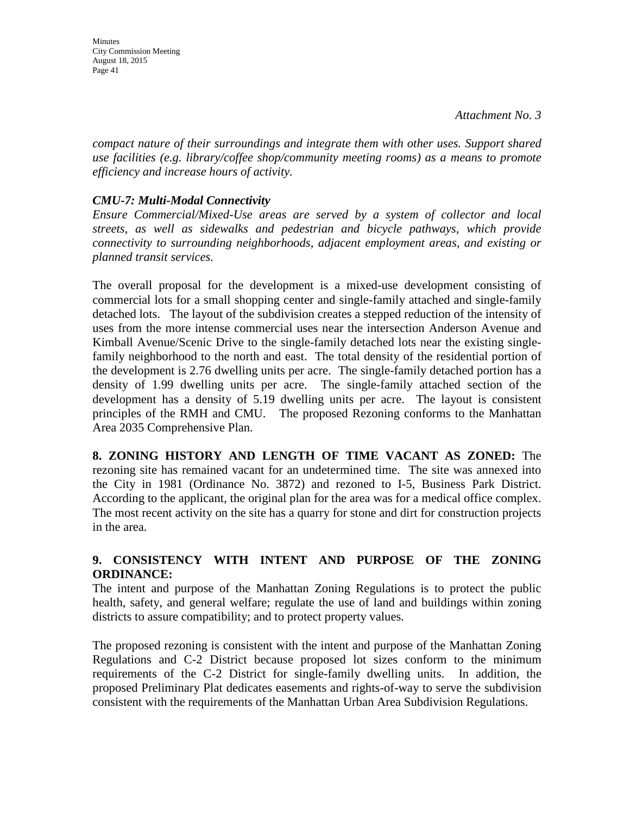**Minutes** City Commission Meeting August 18, 2015 Page 41

*compact nature of their surroundings and integrate them with other uses. Support shared use facilities (e.g. library/coffee shop/community meeting rooms) as a means to promote efficiency and increase hours of activity.*

### *CMU-7: Multi-Modal Connectivity*

*Ensure Commercial/Mixed-Use areas are served by a system of collector and local streets, as well as sidewalks and pedestrian and bicycle pathways, which provide connectivity to surrounding neighborhoods, adjacent employment areas, and existing or planned transit services.* 

The overall proposal for the development is a mixed-use development consisting of commercial lots for a small shopping center and single-family attached and single-family detached lots. The layout of the subdivision creates a stepped reduction of the intensity of uses from the more intense commercial uses near the intersection Anderson Avenue and Kimball Avenue/Scenic Drive to the single-family detached lots near the existing singlefamily neighborhood to the north and east. The total density of the residential portion of the development is 2.76 dwelling units per acre. The single-family detached portion has a density of 1.99 dwelling units per acre. The single-family attached section of the development has a density of 5.19 dwelling units per acre. The layout is consistent principles of the RMH and CMU. The proposed Rezoning conforms to the Manhattan Area 2035 Comprehensive Plan.

**8. ZONING HISTORY AND LENGTH OF TIME VACANT AS ZONED:** The rezoning site has remained vacant for an undetermined time. The site was annexed into the City in 1981 (Ordinance No. 3872) and rezoned to I-5, Business Park District. According to the applicant, the original plan for the area was for a medical office complex. The most recent activity on the site has a quarry for stone and dirt for construction projects in the area.

### **9. CONSISTENCY WITH INTENT AND PURPOSE OF THE ZONING ORDINANCE:**

The intent and purpose of the Manhattan Zoning Regulations is to protect the public health, safety, and general welfare; regulate the use of land and buildings within zoning districts to assure compatibility; and to protect property values.

The proposed rezoning is consistent with the intent and purpose of the Manhattan Zoning Regulations and C-2 District because proposed lot sizes conform to the minimum requirements of the C-2 District for single-family dwelling units. In addition, the proposed Preliminary Plat dedicates easements and rights-of-way to serve the subdivision consistent with the requirements of the Manhattan Urban Area Subdivision Regulations.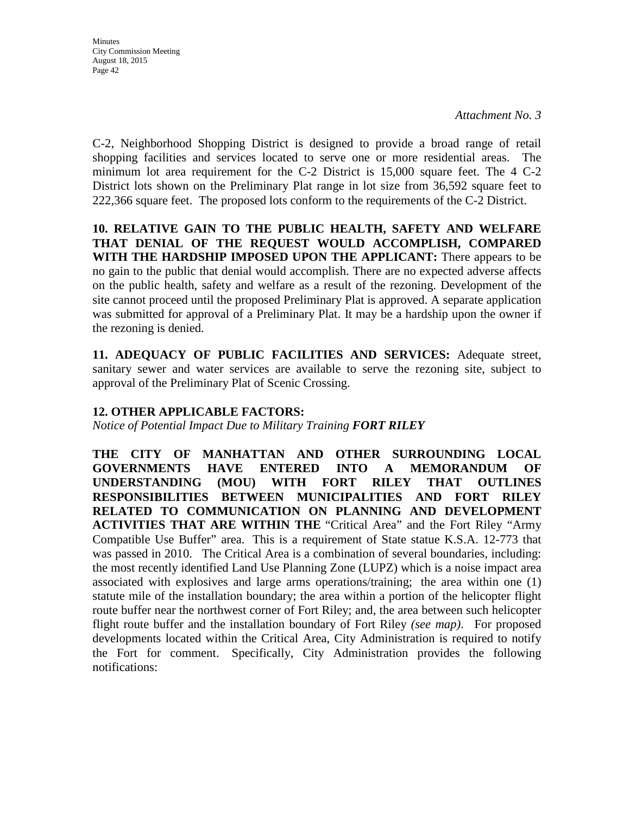C-2, Neighborhood Shopping District is designed to provide a broad range of retail shopping facilities and services located to serve one or more residential areas. The minimum lot area requirement for the C-2 District is 15,000 square feet. The 4 C-2 District lots shown on the Preliminary Plat range in lot size from 36,592 square feet to 222,366 square feet. The proposed lots conform to the requirements of the C-2 District.

**10. RELATIVE GAIN TO THE PUBLIC HEALTH, SAFETY AND WELFARE THAT DENIAL OF THE REQUEST WOULD ACCOMPLISH, COMPARED WITH THE HARDSHIP IMPOSED UPON THE APPLICANT:** There appears to be no gain to the public that denial would accomplish. There are no expected adverse affects on the public health, safety and welfare as a result of the rezoning. Development of the site cannot proceed until the proposed Preliminary Plat is approved. A separate application was submitted for approval of a Preliminary Plat. It may be a hardship upon the owner if the rezoning is denied.

**11. ADEQUACY OF PUBLIC FACILITIES AND SERVICES:** Adequate street, sanitary sewer and water services are available to serve the rezoning site, subject to approval of the Preliminary Plat of Scenic Crossing.

### **12. OTHER APPLICABLE FACTORS:**

*Notice of Potential Impact Due to Military Training FORT RILEY* 

**THE CITY OF MANHATTAN AND OTHER SURROUNDING LOCAL GOVERNMENTS HAVE ENTERED INTO A MEMORANDUM OF UNDERSTANDING (MOU) WITH FORT RILEY THAT OUTLINES RESPONSIBILITIES BETWEEN MUNICIPALITIES AND FORT RILEY RELATED TO COMMUNICATION ON PLANNING AND DEVELOPMENT ACTIVITIES THAT ARE WITHIN THE** "Critical Area" and the Fort Riley "Army Compatible Use Buffer" area. This is a requirement of State statue K.S.A. 12-773 that was passed in 2010. The Critical Area is a combination of several boundaries, including: the most recently identified Land Use Planning Zone (LUPZ) which is a noise impact area associated with explosives and large arms operations/training; the area within one (1) statute mile of the installation boundary; the area within a portion of the helicopter flight route buffer near the northwest corner of Fort Riley; and, the area between such helicopter flight route buffer and the installation boundary of Fort Riley *(see map)*. For proposed developments located within the Critical Area, City Administration is required to notify the Fort for comment. Specifically, City Administration provides the following notifications: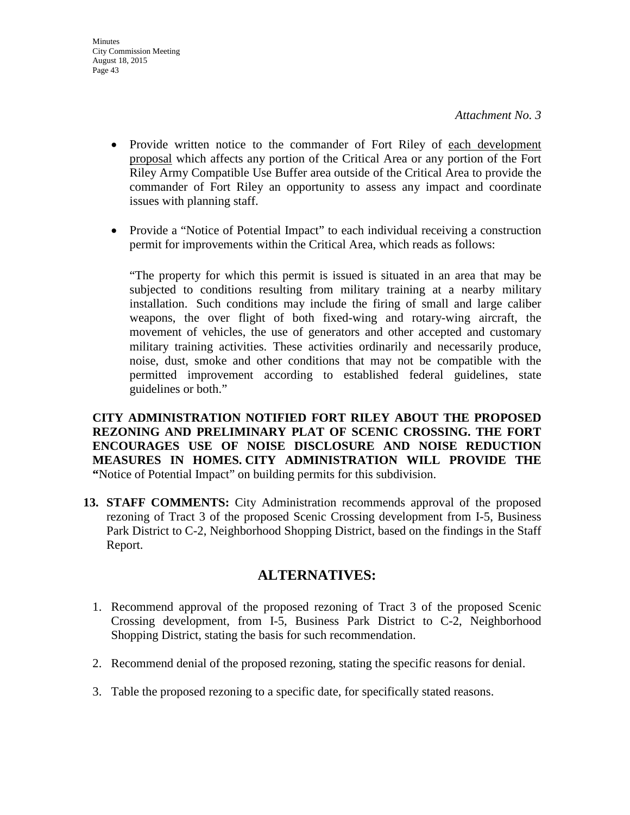- Provide written notice to the commander of Fort Riley of each development proposal which affects any portion of the Critical Area or any portion of the Fort Riley Army Compatible Use Buffer area outside of the Critical Area to provide the commander of Fort Riley an opportunity to assess any impact and coordinate issues with planning staff.
- Provide a "Notice of Potential Impact" to each individual receiving a construction permit for improvements within the Critical Area, which reads as follows:

"The property for which this permit is issued is situated in an area that may be subjected to conditions resulting from military training at a nearby military installation. Such conditions may include the firing of small and large caliber weapons, the over flight of both fixed-wing and rotary-wing aircraft, the movement of vehicles, the use of generators and other accepted and customary military training activities. These activities ordinarily and necessarily produce, noise, dust, smoke and other conditions that may not be compatible with the permitted improvement according to established federal guidelines, state guidelines or both."

**CITY ADMINISTRATION NOTIFIED FORT RILEY ABOUT THE PROPOSED REZONING AND PRELIMINARY PLAT OF SCENIC CROSSING. THE FORT ENCOURAGES USE OF NOISE DISCLOSURE AND NOISE REDUCTION MEASURES IN HOMES. CITY ADMINISTRATION WILL PROVIDE THE "**Notice of Potential Impact" on building permits for this subdivision.

**13. STAFF COMMENTS:** City Administration recommends approval of the proposed rezoning of Tract 3 of the proposed Scenic Crossing development from I-5, Business Park District to C-2, Neighborhood Shopping District, based on the findings in the Staff Report.

## **ALTERNATIVES:**

- 1. Recommend approval of the proposed rezoning of Tract 3 of the proposed Scenic Crossing development, from I-5, Business Park District to C-2, Neighborhood Shopping District, stating the basis for such recommendation.
- 2. Recommend denial of the proposed rezoning, stating the specific reasons for denial.
- 3. Table the proposed rezoning to a specific date, for specifically stated reasons.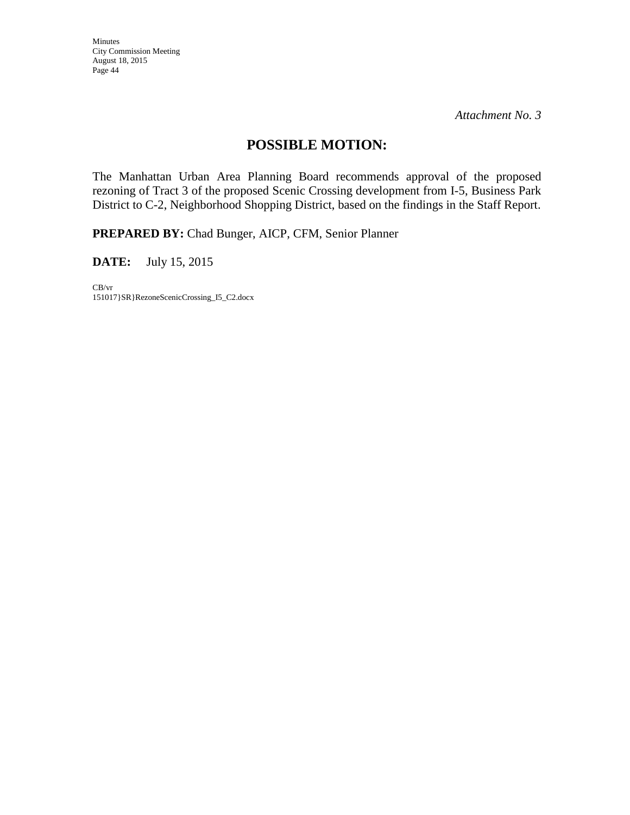*Attachment No. 3* 

## **POSSIBLE MOTION:**

The Manhattan Urban Area Planning Board recommends approval of the proposed rezoning of Tract 3 of the proposed Scenic Crossing development from I-5, Business Park District to C-2, Neighborhood Shopping District, based on the findings in the Staff Report.

**PREPARED BY:** Chad Bunger, AICP, CFM, Senior Planner

**DATE:** July 15, 2015

CB/vr 151017}SR}RezoneScenicCrossing\_I5\_C2.docx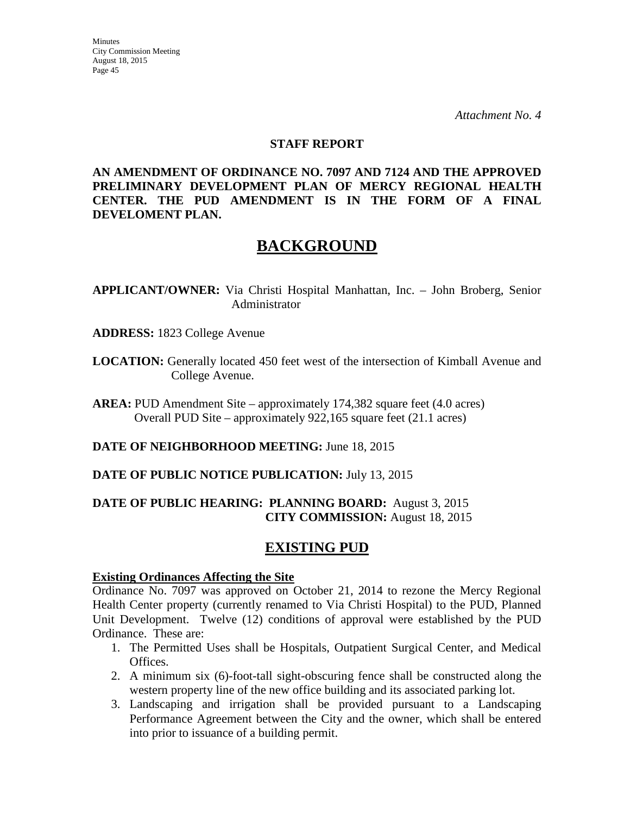### **STAFF REPORT**

**AN AMENDMENT OF ORDINANCE NO. 7097 AND 7124 AND THE APPROVED PRELIMINARY DEVELOPMENT PLAN OF MERCY REGIONAL HEALTH CENTER. THE PUD AMENDMENT IS IN THE FORM OF A FINAL DEVELOMENT PLAN.**

# **BACKGROUND**

**APPLICANT/OWNER:** Via Christi Hospital Manhattan, Inc. – John Broberg, Senior Administrator

- **ADDRESS:** 1823 College Avenue
- **LOCATION:** Generally located 450 feet west of the intersection of Kimball Avenue and College Avenue.

**AREA:** PUD Amendment Site – approximately 174,382 square feet (4.0 acres) Overall PUD Site – approximately 922,165 square feet (21.1 acres)

**DATE OF NEIGHBORHOOD MEETING:** June 18, 2015

**DATE OF PUBLIC NOTICE PUBLICATION:** July 13, 2015

### **DATE OF PUBLIC HEARING: PLANNING BOARD:** August 3, 2015 **CITY COMMISSION:** August 18, 2015

## **EXISTING PUD**

### **Existing Ordinances Affecting the Site**

Ordinance No. 7097 was approved on October 21, 2014 to rezone the Mercy Regional Health Center property (currently renamed to Via Christi Hospital) to the PUD, Planned Unit Development. Twelve (12) conditions of approval were established by the PUD Ordinance. These are:

- 1. The Permitted Uses shall be Hospitals, Outpatient Surgical Center, and Medical Offices.
- 2. A minimum six (6)-foot-tall sight-obscuring fence shall be constructed along the western property line of the new office building and its associated parking lot.
- 3. Landscaping and irrigation shall be provided pursuant to a Landscaping Performance Agreement between the City and the owner, which shall be entered into prior to issuance of a building permit.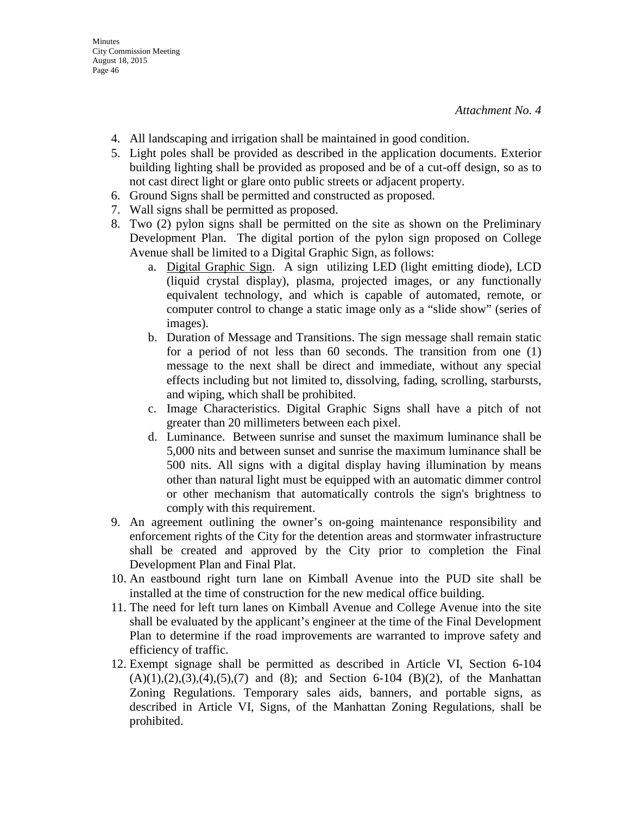- 4. All landscaping and irrigation shall be maintained in good condition.
- 5. Light poles shall be provided as described in the application documents. Exterior building lighting shall be provided as proposed and be of a cut-off design, so as to not cast direct light or glare onto public streets or adjacent property.
- 6. Ground Signs shall be permitted and constructed as proposed.
- 7. Wall signs shall be permitted as proposed.
- 8. Two (2) pylon signs shall be permitted on the site as shown on the Preliminary Development Plan. The digital portion of the pylon sign proposed on College Avenue shall be limited to a Digital Graphic Sign, as follows:
	- a. Digital Graphic Sign. A sign utilizing LED (light emitting diode), LCD (liquid crystal display), plasma, projected images, or any functionally equivalent technology, and which is capable of automated, remote, or computer control to change a static image only as a "slide show" (series of images).
	- b. Duration of Message and Transitions. The sign message shall remain static for a period of not less than 60 seconds. The transition from one (1) message to the next shall be direct and immediate, without any special effects including but not limited to, dissolving, fading, scrolling, starbursts, and wiping, which shall be prohibited.
	- c. Image Characteristics. Digital Graphic Signs shall have a pitch of not greater than 20 millimeters between each pixel.
	- d. Luminance. Between sunrise and sunset the maximum luminance shall be 5,000 nits and between sunset and sunrise the maximum luminance shall be 500 nits. All signs with a digital display having illumination by means other than natural light must be equipped with an automatic dimmer control or other mechanism that automatically controls the sign's brightness to comply with this requirement.
- 9. An agreement outlining the owner's on-going maintenance responsibility and enforcement rights of the City for the detention areas and stormwater infrastructure shall be created and approved by the City prior to completion the Final Development Plan and Final Plat.
- 10. An eastbound right turn lane on Kimball Avenue into the PUD site shall be installed at the time of construction for the new medical office building.
- 11. The need for left turn lanes on Kimball Avenue and College Avenue into the site shall be evaluated by the applicant's engineer at the time of the Final Development Plan to determine if the road improvements are warranted to improve safety and efficiency of traffic.
- 12. Exempt signage shall be permitted as described in Article VI, Section 6-104  $(A)(1),(2),(3),(4),(5),(7)$  and  $(8)$ ; and Section 6-104  $(B)(2)$ , of the Manhattan Zoning Regulations. Temporary sales aids, banners, and portable signs, as described in Article VI, Signs, of the Manhattan Zoning Regulations, shall be prohibited.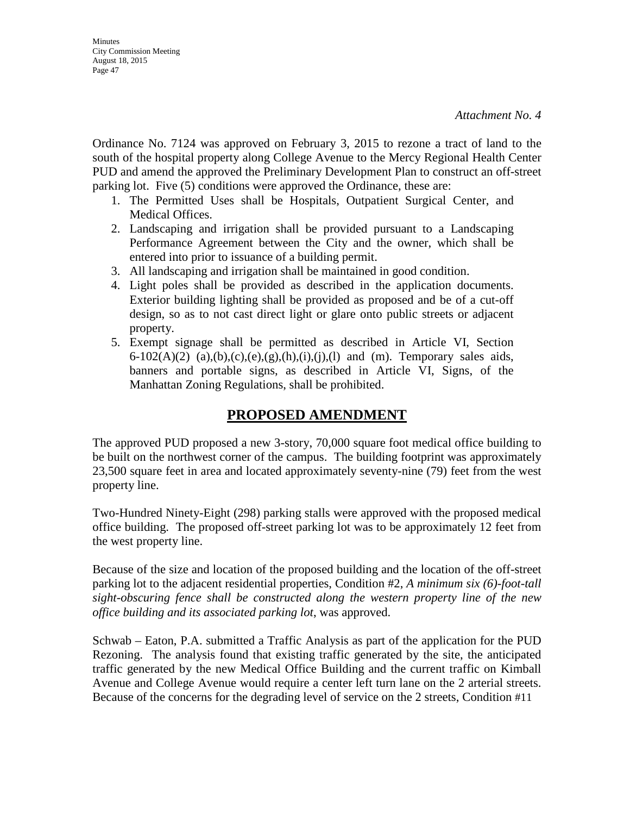Ordinance No. 7124 was approved on February 3, 2015 to rezone a tract of land to the south of the hospital property along College Avenue to the Mercy Regional Health Center PUD and amend the approved the Preliminary Development Plan to construct an off-street parking lot. Five (5) conditions were approved the Ordinance, these are:

- 1. The Permitted Uses shall be Hospitals, Outpatient Surgical Center, and Medical Offices.
- 2. Landscaping and irrigation shall be provided pursuant to a Landscaping Performance Agreement between the City and the owner, which shall be entered into prior to issuance of a building permit.
- 3. All landscaping and irrigation shall be maintained in good condition.
- 4. Light poles shall be provided as described in the application documents. Exterior building lighting shall be provided as proposed and be of a cut-off design, so as to not cast direct light or glare onto public streets or adjacent property.
- 5. Exempt signage shall be permitted as described in Article VI, Section 6-102(A)(2) (a),(b),(c),(e),(g),(h),(i),(j),(l) and (m). Temporary sales aids, banners and portable signs, as described in Article VI, Signs, of the Manhattan Zoning Regulations, shall be prohibited.

## **PROPOSED AMENDMENT**

The approved PUD proposed a new 3-story, 70,000 square foot medical office building to be built on the northwest corner of the campus. The building footprint was approximately 23,500 square feet in area and located approximately seventy-nine (79) feet from the west property line.

Two-Hundred Ninety-Eight (298) parking stalls were approved with the proposed medical office building. The proposed off-street parking lot was to be approximately 12 feet from the west property line.

Because of the size and location of the proposed building and the location of the off-street parking lot to the adjacent residential properties, Condition #2, *A minimum six (6)-foot-tall sight-obscuring fence shall be constructed along the western property line of the new office building and its associated parking lot*, was approved.

Schwab – Eaton, P.A. submitted a Traffic Analysis as part of the application for the PUD Rezoning. The analysis found that existing traffic generated by the site, the anticipated traffic generated by the new Medical Office Building and the current traffic on Kimball Avenue and College Avenue would require a center left turn lane on the 2 arterial streets. Because of the concerns for the degrading level of service on the 2 streets, Condition #11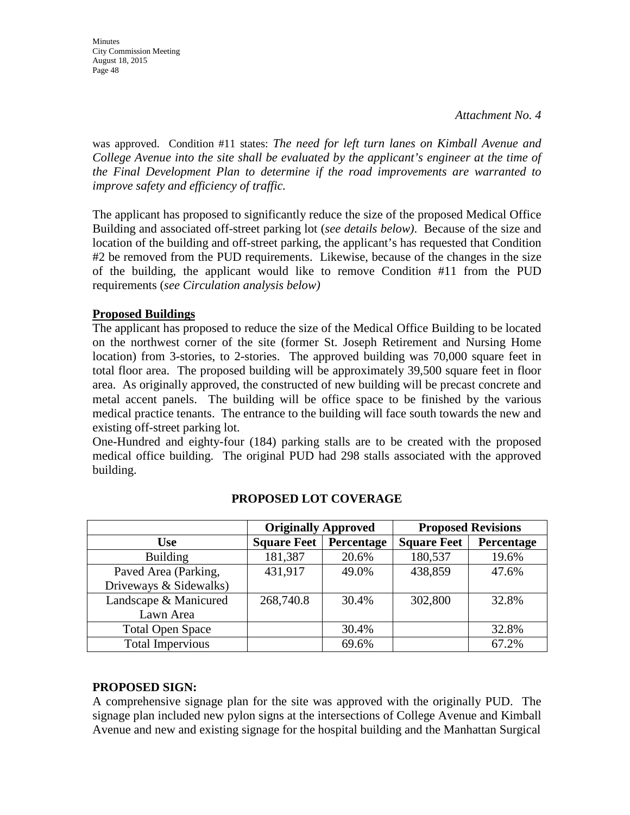was approved. Condition #11 states: *The need for left turn lanes on Kimball Avenue and College Avenue into the site shall be evaluated by the applicant's engineer at the time of the Final Development Plan to determine if the road improvements are warranted to improve safety and efficiency of traffic.*

The applicant has proposed to significantly reduce the size of the proposed Medical Office Building and associated off-street parking lot (*see details below)*. Because of the size and location of the building and off-street parking, the applicant's has requested that Condition #2 be removed from the PUD requirements. Likewise, because of the changes in the size of the building, the applicant would like to remove Condition #11 from the PUD requirements (*see Circulation analysis below)* 

### **Proposed Buildings**

The applicant has proposed to reduce the size of the Medical Office Building to be located on the northwest corner of the site (former St. Joseph Retirement and Nursing Home location) from 3-stories, to 2-stories. The approved building was 70,000 square feet in total floor area. The proposed building will be approximately 39,500 square feet in floor area. As originally approved, the constructed of new building will be precast concrete and metal accent panels. The building will be office space to be finished by the various medical practice tenants. The entrance to the building will face south towards the new and existing off-street parking lot.

One-Hundred and eighty-four (184) parking stalls are to be created with the proposed medical office building. The original PUD had 298 stalls associated with the approved building.

|                         | <b>Originally Approved</b> |            | <b>Proposed Revisions</b> |            |  |
|-------------------------|----------------------------|------------|---------------------------|------------|--|
| <b>Use</b>              | <b>Square Feet</b>         | Percentage | <b>Square Feet</b>        | Percentage |  |
| <b>Building</b>         | 181,387                    | 20.6%      | 180,537                   | 19.6%      |  |
| Paved Area (Parking,    | 431,917                    | 49.0%      | 438,859                   | 47.6%      |  |
| Driveways & Sidewalks)  |                            |            |                           |            |  |
| Landscape & Manicured   | 268,740.8                  | 30.4%      | 302,800                   | 32.8%      |  |
| Lawn Area               |                            |            |                           |            |  |
| <b>Total Open Space</b> |                            | 30.4%      |                           | 32.8%      |  |
| <b>Total Impervious</b> |                            | 69.6%      |                           | 67.2%      |  |

## **PROPOSED LOT COVERAGE**

### **PROPOSED SIGN:**

A comprehensive signage plan for the site was approved with the originally PUD. The signage plan included new pylon signs at the intersections of College Avenue and Kimball Avenue and new and existing signage for the hospital building and the Manhattan Surgical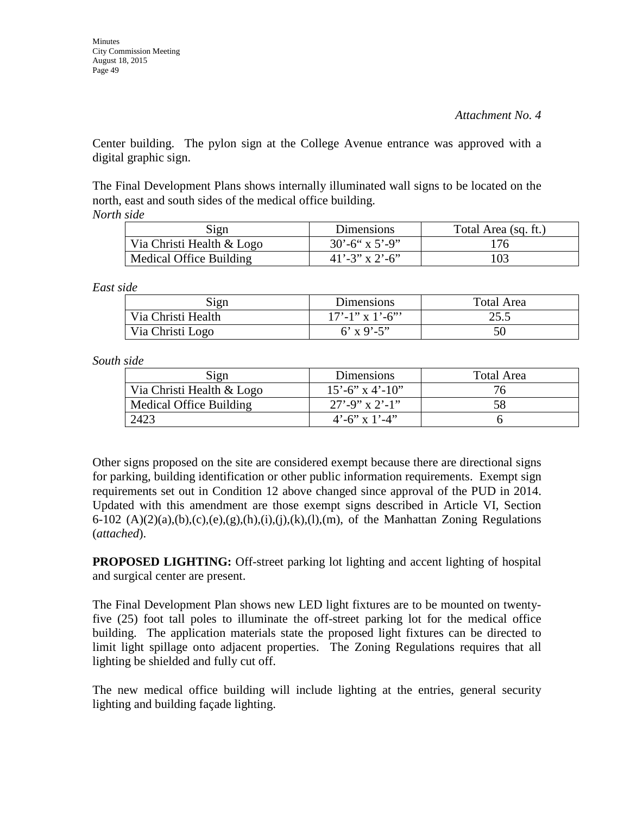Center building. The pylon sign at the College Avenue entrance was approved with a digital graphic sign.

The Final Development Plans shows internally illuminated wall signs to be located on the north, east and south sides of the medical office building. *North side* 

| Sign                      | Dimensions               | Total Area (sq. ft.) |
|---------------------------|--------------------------|----------------------|
| Via Christi Health & Logo | $30^{\circ}$ -6" x 5'-9" | 176                  |
| Medical Office Building   | $41' - 3''$ x 2'-6"      | 103                  |

*East side* 

| Sign               | Dimensions        | Total Area |
|--------------------|-------------------|------------|
| Via Christi Health | $17'$ -1" x 1'-6" | 25.5       |
| Via Christi Logo   | 6' x 9'-5"        | 50         |

*South side* 

| Sign                      | Dimensions              | Total Area |
|---------------------------|-------------------------|------------|
| Via Christi Health & Logo | $15' - 6''$ x 4'-10"    | 76         |
| Medical Office Building   | $27' - 9''$ x 2'-1"     |            |
| 2423                      | $4^{\circ}$ -6" x 1'-4" |            |

Other signs proposed on the site are considered exempt because there are directional signs for parking, building identification or other public information requirements. Exempt sign requirements set out in Condition 12 above changed since approval of the PUD in 2014. Updated with this amendment are those exempt signs described in Article VI, Section 6-102 (A)(2)(a),(b),(c),(e),(g),(h),(i),(j),(k),(l),(m), of the Manhattan Zoning Regulations (*attached*).

**PROPOSED LIGHTING:** Off-street parking lot lighting and accent lighting of hospital and surgical center are present.

The Final Development Plan shows new LED light fixtures are to be mounted on twentyfive (25) foot tall poles to illuminate the off-street parking lot for the medical office building. The application materials state the proposed light fixtures can be directed to limit light spillage onto adjacent properties. The Zoning Regulations requires that all lighting be shielded and fully cut off.

The new medical office building will include lighting at the entries, general security lighting and building façade lighting.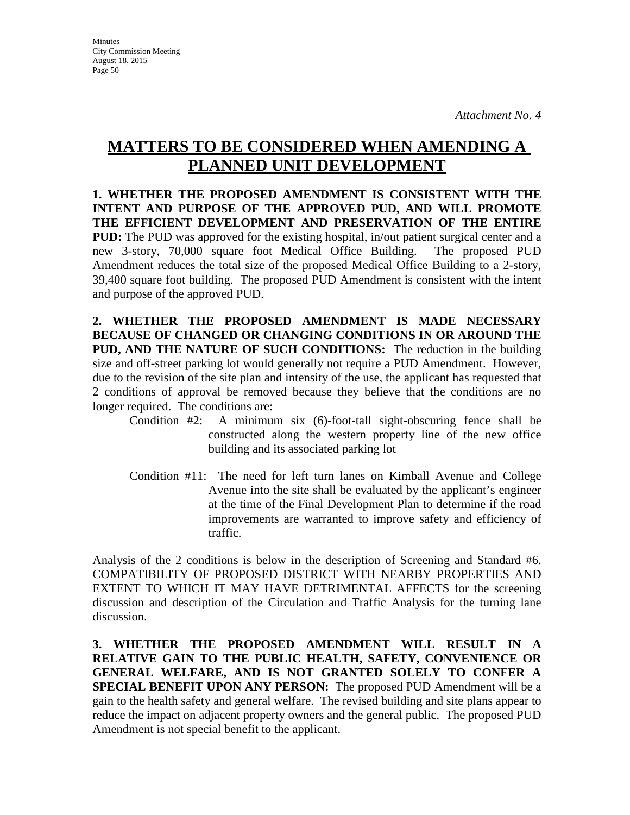**Minutes** City Commission Meeting August 18, 2015 Page 50

# **MATTERS TO BE CONSIDERED WHEN AMENDING A PLANNED UNIT DEVELOPMENT**

**1. WHETHER THE PROPOSED AMENDMENT IS CONSISTENT WITH THE INTENT AND PURPOSE OF THE APPROVED PUD, AND WILL PROMOTE THE EFFICIENT DEVELOPMENT AND PRESERVATION OF THE ENTIRE PUD:** The PUD was approved for the existing hospital, in/out patient surgical center and a new 3-story, 70,000 square foot Medical Office Building. The proposed PUD Amendment reduces the total size of the proposed Medical Office Building to a 2-story, 39,400 square foot building. The proposed PUD Amendment is consistent with the intent and purpose of the approved PUD.

**2. WHETHER THE PROPOSED AMENDMENT IS MADE NECESSARY BECAUSE OF CHANGED OR CHANGING CONDITIONS IN OR AROUND THE PUD, AND THE NATURE OF SUCH CONDITIONS:** The reduction in the building size and off-street parking lot would generally not require a PUD Amendment. However, due to the revision of the site plan and intensity of the use, the applicant has requested that 2 conditions of approval be removed because they believe that the conditions are no longer required. The conditions are:

- Condition #2: A minimum six (6)-foot-tall sight-obscuring fence shall be constructed along the western property line of the new office building and its associated parking lot
- Condition #11: The need for left turn lanes on Kimball Avenue and College Avenue into the site shall be evaluated by the applicant's engineer at the time of the Final Development Plan to determine if the road improvements are warranted to improve safety and efficiency of traffic.

Analysis of the 2 conditions is below in the description of Screening and Standard #6. COMPATIBILITY OF PROPOSED DISTRICT WITH NEARBY PROPERTIES AND EXTENT TO WHICH IT MAY HAVE DETRIMENTAL AFFECTS for the screening discussion and description of the Circulation and Traffic Analysis for the turning lane discussion.

**3. WHETHER THE PROPOSED AMENDMENT WILL RESULT IN A RELATIVE GAIN TO THE PUBLIC HEALTH, SAFETY, CONVENIENCE OR GENERAL WELFARE, AND IS NOT GRANTED SOLELY TO CONFER A SPECIAL BENEFIT UPON ANY PERSON:** The proposed PUD Amendment will be a gain to the health safety and general welfare. The revised building and site plans appear to reduce the impact on adjacent property owners and the general public. The proposed PUD Amendment is not special benefit to the applicant.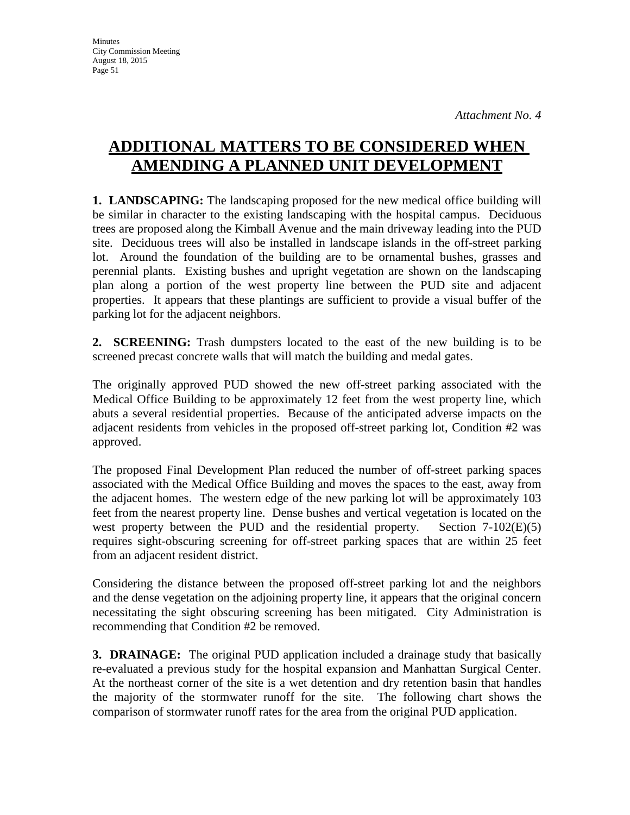# **ADDITIONAL MATTERS TO BE CONSIDERED WHEN AMENDING A PLANNED UNIT DEVELOPMENT**

**1. LANDSCAPING:** The landscaping proposed for the new medical office building will be similar in character to the existing landscaping with the hospital campus. Deciduous trees are proposed along the Kimball Avenue and the main driveway leading into the PUD site. Deciduous trees will also be installed in landscape islands in the off-street parking lot. Around the foundation of the building are to be ornamental bushes, grasses and perennial plants. Existing bushes and upright vegetation are shown on the landscaping plan along a portion of the west property line between the PUD site and adjacent properties. It appears that these plantings are sufficient to provide a visual buffer of the parking lot for the adjacent neighbors.

**2. SCREENING:** Trash dumpsters located to the east of the new building is to be screened precast concrete walls that will match the building and medal gates.

The originally approved PUD showed the new off-street parking associated with the Medical Office Building to be approximately 12 feet from the west property line, which abuts a several residential properties. Because of the anticipated adverse impacts on the adjacent residents from vehicles in the proposed off-street parking lot, Condition #2 was approved.

The proposed Final Development Plan reduced the number of off-street parking spaces associated with the Medical Office Building and moves the spaces to the east, away from the adjacent homes. The western edge of the new parking lot will be approximately 103 feet from the nearest property line. Dense bushes and vertical vegetation is located on the west property between the PUD and the residential property. Section 7-102(E)(5) requires sight-obscuring screening for off-street parking spaces that are within 25 feet from an adjacent resident district.

Considering the distance between the proposed off-street parking lot and the neighbors and the dense vegetation on the adjoining property line, it appears that the original concern necessitating the sight obscuring screening has been mitigated. City Administration is recommending that Condition #2 be removed.

**3. DRAINAGE:** The original PUD application included a drainage study that basically re-evaluated a previous study for the hospital expansion and Manhattan Surgical Center. At the northeast corner of the site is a wet detention and dry retention basin that handles the majority of the stormwater runoff for the site. The following chart shows the comparison of stormwater runoff rates for the area from the original PUD application.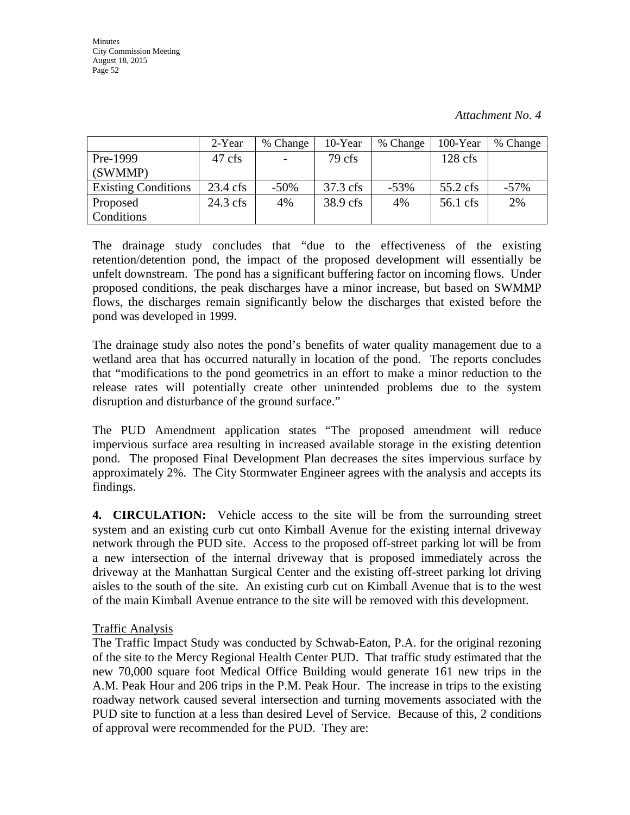|                            | 2-Year             | % Change                 | 10-Year  | % Change | 100-Year   | % Change |
|----------------------------|--------------------|--------------------------|----------|----------|------------|----------|
| Pre-1999                   | 47 cfs             | $\overline{\phantom{a}}$ | 79 cfs   |          | $128$ cfs  |          |
| (SWMMP)                    |                    |                          |          |          |            |          |
| <b>Existing Conditions</b> | $23.4 \text{ cfs}$ | $-50\%$                  | 37.3 cfs | $-53\%$  | $55.2$ cfs | $-57\%$  |
| Proposed                   | $24.3$ cfs         | 4%                       | 38.9 cfs | 4%       | 56.1 cfs   | 2%       |
| Conditions                 |                    |                          |          |          |            |          |

The drainage study concludes that "due to the effectiveness of the existing retention/detention pond, the impact of the proposed development will essentially be unfelt downstream. The pond has a significant buffering factor on incoming flows. Under proposed conditions, the peak discharges have a minor increase, but based on SWMMP flows, the discharges remain significantly below the discharges that existed before the pond was developed in 1999.

The drainage study also notes the pond's benefits of water quality management due to a wetland area that has occurred naturally in location of the pond. The reports concludes that "modifications to the pond geometrics in an effort to make a minor reduction to the release rates will potentially create other unintended problems due to the system disruption and disturbance of the ground surface."

The PUD Amendment application states "The proposed amendment will reduce impervious surface area resulting in increased available storage in the existing detention pond. The proposed Final Development Plan decreases the sites impervious surface by approximately 2%. The City Stormwater Engineer agrees with the analysis and accepts its findings.

**4. CIRCULATION:** Vehicle access to the site will be from the surrounding street system and an existing curb cut onto Kimball Avenue for the existing internal driveway network through the PUD site. Access to the proposed off-street parking lot will be from a new intersection of the internal driveway that is proposed immediately across the driveway at the Manhattan Surgical Center and the existing off-street parking lot driving aisles to the south of the site. An existing curb cut on Kimball Avenue that is to the west of the main Kimball Avenue entrance to the site will be removed with this development.

### Traffic Analysis

The Traffic Impact Study was conducted by Schwab-Eaton, P.A. for the original rezoning of the site to the Mercy Regional Health Center PUD. That traffic study estimated that the new 70,000 square foot Medical Office Building would generate 161 new trips in the A.M. Peak Hour and 206 trips in the P.M. Peak Hour. The increase in trips to the existing roadway network caused several intersection and turning movements associated with the PUD site to function at a less than desired Level of Service. Because of this, 2 conditions of approval were recommended for the PUD. They are: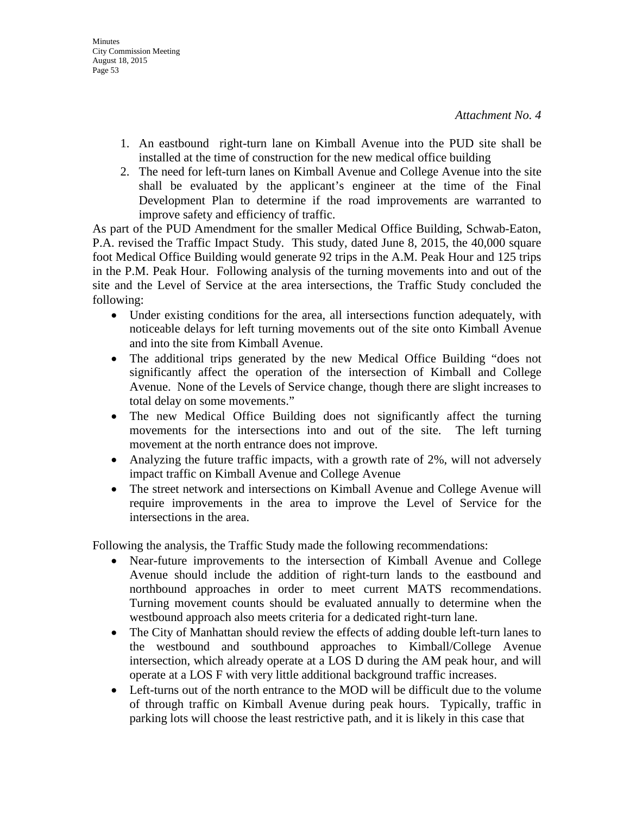- 1. An eastbound right-turn lane on Kimball Avenue into the PUD site shall be installed at the time of construction for the new medical office building
- 2. The need for left-turn lanes on Kimball Avenue and College Avenue into the site shall be evaluated by the applicant's engineer at the time of the Final Development Plan to determine if the road improvements are warranted to improve safety and efficiency of traffic.

As part of the PUD Amendment for the smaller Medical Office Building, Schwab-Eaton, P.A. revised the Traffic Impact Study. This study, dated June 8, 2015, the 40,000 square foot Medical Office Building would generate 92 trips in the A.M. Peak Hour and 125 trips in the P.M. Peak Hour. Following analysis of the turning movements into and out of the site and the Level of Service at the area intersections, the Traffic Study concluded the following:

- Under existing conditions for the area, all intersections function adequately, with noticeable delays for left turning movements out of the site onto Kimball Avenue and into the site from Kimball Avenue.
- The additional trips generated by the new Medical Office Building "does not significantly affect the operation of the intersection of Kimball and College Avenue. None of the Levels of Service change, though there are slight increases to total delay on some movements."
- The new Medical Office Building does not significantly affect the turning movements for the intersections into and out of the site. The left turning movement at the north entrance does not improve.
- Analyzing the future traffic impacts, with a growth rate of 2%, will not adversely impact traffic on Kimball Avenue and College Avenue
- The street network and intersections on Kimball Avenue and College Avenue will require improvements in the area to improve the Level of Service for the intersections in the area.

Following the analysis, the Traffic Study made the following recommendations:

- Near-future improvements to the intersection of Kimball Avenue and College Avenue should include the addition of right-turn lands to the eastbound and northbound approaches in order to meet current MATS recommendations. Turning movement counts should be evaluated annually to determine when the westbound approach also meets criteria for a dedicated right-turn lane.
- The City of Manhattan should review the effects of adding double left-turn lanes to the westbound and southbound approaches to Kimball/College Avenue intersection, which already operate at a LOS D during the AM peak hour, and will operate at a LOS F with very little additional background traffic increases.
- Left-turns out of the north entrance to the MOD will be difficult due to the volume of through traffic on Kimball Avenue during peak hours. Typically, traffic in parking lots will choose the least restrictive path, and it is likely in this case that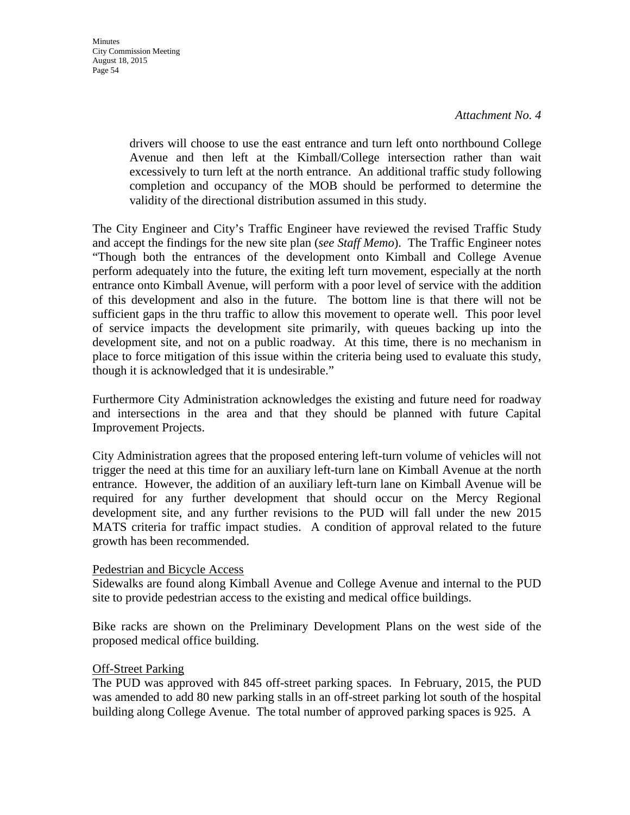drivers will choose to use the east entrance and turn left onto northbound College Avenue and then left at the Kimball/College intersection rather than wait excessively to turn left at the north entrance. An additional traffic study following completion and occupancy of the MOB should be performed to determine the validity of the directional distribution assumed in this study.

The City Engineer and City's Traffic Engineer have reviewed the revised Traffic Study and accept the findings for the new site plan (*see Staff Memo*). The Traffic Engineer notes "Though both the entrances of the development onto Kimball and College Avenue perform adequately into the future, the exiting left turn movement, especially at the north entrance onto Kimball Avenue, will perform with a poor level of service with the addition of this development and also in the future. The bottom line is that there will not be sufficient gaps in the thru traffic to allow this movement to operate well. This poor level of service impacts the development site primarily, with queues backing up into the development site, and not on a public roadway. At this time, there is no mechanism in place to force mitigation of this issue within the criteria being used to evaluate this study, though it is acknowledged that it is undesirable."

Furthermore City Administration acknowledges the existing and future need for roadway and intersections in the area and that they should be planned with future Capital Improvement Projects.

City Administration agrees that the proposed entering left-turn volume of vehicles will not trigger the need at this time for an auxiliary left-turn lane on Kimball Avenue at the north entrance. However, the addition of an auxiliary left-turn lane on Kimball Avenue will be required for any further development that should occur on the Mercy Regional development site, and any further revisions to the PUD will fall under the new 2015 MATS criteria for traffic impact studies. A condition of approval related to the future growth has been recommended.

### Pedestrian and Bicycle Access

Sidewalks are found along Kimball Avenue and College Avenue and internal to the PUD site to provide pedestrian access to the existing and medical office buildings.

Bike racks are shown on the Preliminary Development Plans on the west side of the proposed medical office building.

### Off-Street Parking

The PUD was approved with 845 off-street parking spaces. In February, 2015, the PUD was amended to add 80 new parking stalls in an off-street parking lot south of the hospital building along College Avenue. The total number of approved parking spaces is 925. A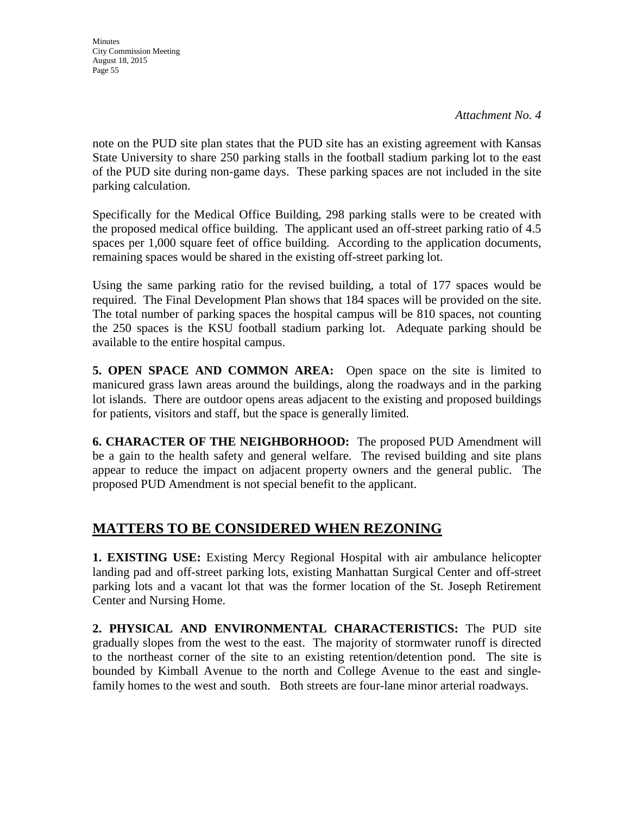*Attachment No. 4* 

note on the PUD site plan states that the PUD site has an existing agreement with Kansas State University to share 250 parking stalls in the football stadium parking lot to the east of the PUD site during non-game days. These parking spaces are not included in the site parking calculation.

Specifically for the Medical Office Building, 298 parking stalls were to be created with the proposed medical office building. The applicant used an off-street parking ratio of 4.5 spaces per 1,000 square feet of office building. According to the application documents, remaining spaces would be shared in the existing off-street parking lot.

Using the same parking ratio for the revised building, a total of 177 spaces would be required. The Final Development Plan shows that 184 spaces will be provided on the site. The total number of parking spaces the hospital campus will be 810 spaces, not counting the 250 spaces is the KSU football stadium parking lot. Adequate parking should be available to the entire hospital campus.

**5. OPEN SPACE AND COMMON AREA:** Open space on the site is limited to manicured grass lawn areas around the buildings, along the roadways and in the parking lot islands. There are outdoor opens areas adjacent to the existing and proposed buildings for patients, visitors and staff, but the space is generally limited.

**6. CHARACTER OF THE NEIGHBORHOOD:** The proposed PUD Amendment will be a gain to the health safety and general welfare. The revised building and site plans appear to reduce the impact on adjacent property owners and the general public. The proposed PUD Amendment is not special benefit to the applicant.

## **MATTERS TO BE CONSIDERED WHEN REZONING**

**1. EXISTING USE:** Existing Mercy Regional Hospital with air ambulance helicopter landing pad and off-street parking lots, existing Manhattan Surgical Center and off-street parking lots and a vacant lot that was the former location of the St. Joseph Retirement Center and Nursing Home.

**2. PHYSICAL AND ENVIRONMENTAL CHARACTERISTICS:** The PUD site gradually slopes from the west to the east. The majority of stormwater runoff is directed to the northeast corner of the site to an existing retention/detention pond. The site is bounded by Kimball Avenue to the north and College Avenue to the east and singlefamily homes to the west and south. Both streets are four-lane minor arterial roadways.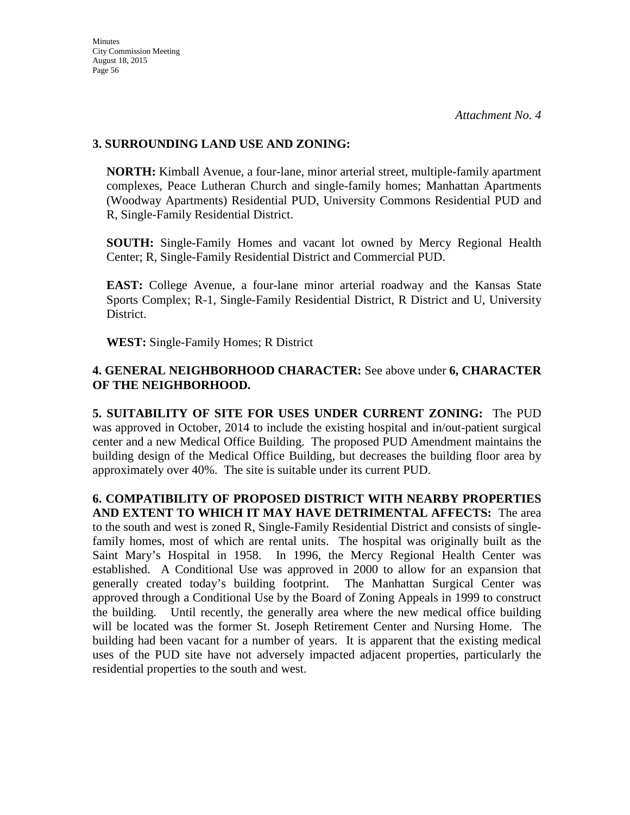### **3. SURROUNDING LAND USE AND ZONING:**

**NORTH:** Kimball Avenue, a four-lane, minor arterial street, multiple-family apartment complexes, Peace Lutheran Church and single-family homes; Manhattan Apartments (Woodway Apartments) Residential PUD, University Commons Residential PUD and R, Single-Family Residential District.

**SOUTH:** Single-Family Homes and vacant lot owned by Mercy Regional Health Center; R, Single-Family Residential District and Commercial PUD.

**EAST:** College Avenue, a four-lane minor arterial roadway and the Kansas State Sports Complex; R-1, Single-Family Residential District, R District and U, University District.

**WEST:** Single-Family Homes; R District

### **4. GENERAL NEIGHBORHOOD CHARACTER:** See above under **6, CHARACTER OF THE NEIGHBORHOOD.**

**5. SUITABILITY OF SITE FOR USES UNDER CURRENT ZONING:** The PUD was approved in October, 2014 to include the existing hospital and in/out-patient surgical center and a new Medical Office Building. The proposed PUD Amendment maintains the building design of the Medical Office Building, but decreases the building floor area by approximately over 40%. The site is suitable under its current PUD.

**6. COMPATIBILITY OF PROPOSED DISTRICT WITH NEARBY PROPERTIES AND EXTENT TO WHICH IT MAY HAVE DETRIMENTAL AFFECTS:** The area to the south and west is zoned R, Single-Family Residential District and consists of singlefamily homes, most of which are rental units. The hospital was originally built as the Saint Mary's Hospital in 1958. In 1996, the Mercy Regional Health Center was established. A Conditional Use was approved in 2000 to allow for an expansion that generally created today's building footprint. The Manhattan Surgical Center was approved through a Conditional Use by the Board of Zoning Appeals in 1999 to construct the building. Until recently, the generally area where the new medical office building will be located was the former St. Joseph Retirement Center and Nursing Home. The building had been vacant for a number of years. It is apparent that the existing medical uses of the PUD site have not adversely impacted adjacent properties, particularly the residential properties to the south and west.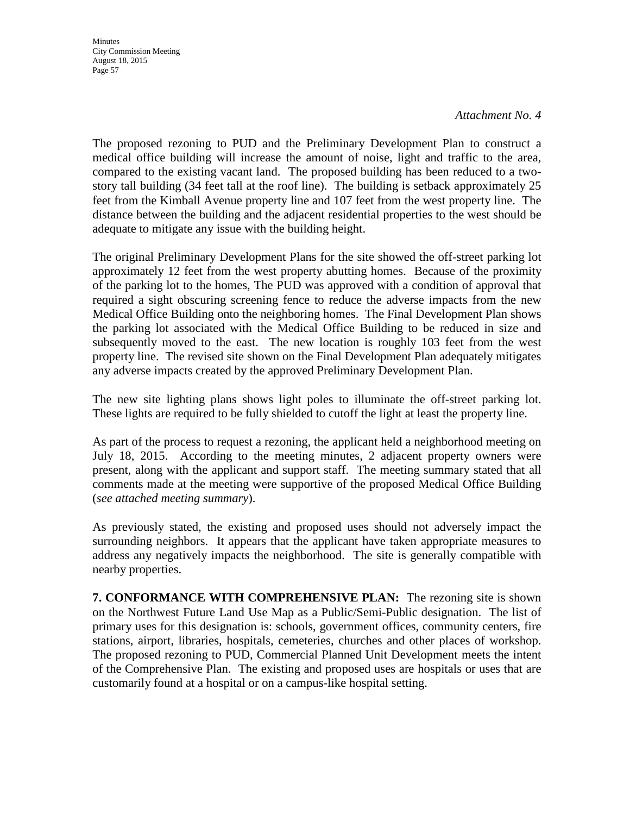*Attachment No. 4* 

The proposed rezoning to PUD and the Preliminary Development Plan to construct a medical office building will increase the amount of noise, light and traffic to the area, compared to the existing vacant land. The proposed building has been reduced to a twostory tall building (34 feet tall at the roof line). The building is setback approximately 25 feet from the Kimball Avenue property line and 107 feet from the west property line. The distance between the building and the adjacent residential properties to the west should be adequate to mitigate any issue with the building height.

The original Preliminary Development Plans for the site showed the off-street parking lot approximately 12 feet from the west property abutting homes. Because of the proximity of the parking lot to the homes, The PUD was approved with a condition of approval that required a sight obscuring screening fence to reduce the adverse impacts from the new Medical Office Building onto the neighboring homes. The Final Development Plan shows the parking lot associated with the Medical Office Building to be reduced in size and subsequently moved to the east. The new location is roughly 103 feet from the west property line. The revised site shown on the Final Development Plan adequately mitigates any adverse impacts created by the approved Preliminary Development Plan.

The new site lighting plans shows light poles to illuminate the off-street parking lot. These lights are required to be fully shielded to cutoff the light at least the property line.

As part of the process to request a rezoning, the applicant held a neighborhood meeting on July 18, 2015. According to the meeting minutes, 2 adjacent property owners were present, along with the applicant and support staff. The meeting summary stated that all comments made at the meeting were supportive of the proposed Medical Office Building (*see attached meeting summary*).

As previously stated, the existing and proposed uses should not adversely impact the surrounding neighbors. It appears that the applicant have taken appropriate measures to address any negatively impacts the neighborhood. The site is generally compatible with nearby properties.

**7. CONFORMANCE WITH COMPREHENSIVE PLAN:** The rezoning site is shown on the Northwest Future Land Use Map as a Public/Semi-Public designation. The list of primary uses for this designation is: schools, government offices, community centers, fire stations, airport, libraries, hospitals, cemeteries, churches and other places of workshop. The proposed rezoning to PUD, Commercial Planned Unit Development meets the intent of the Comprehensive Plan. The existing and proposed uses are hospitals or uses that are customarily found at a hospital or on a campus-like hospital setting.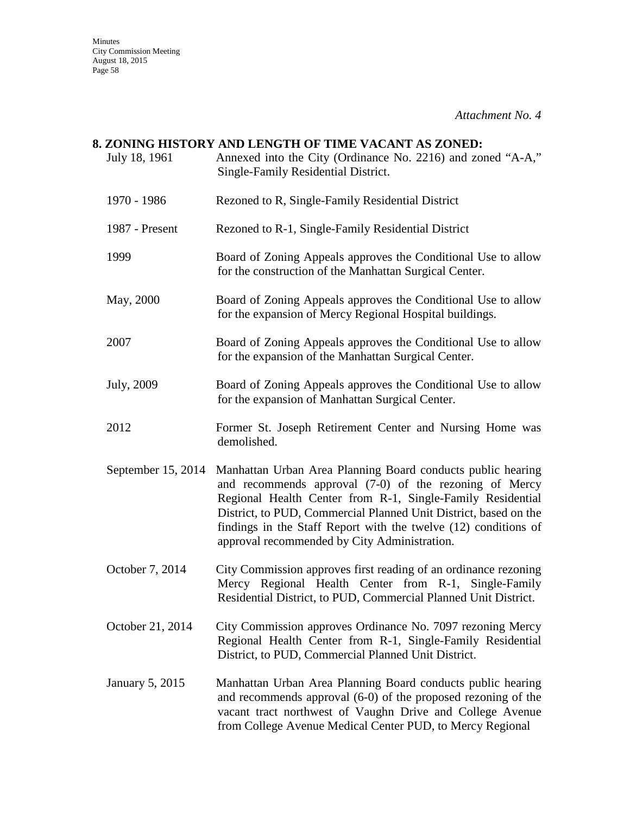*Attachment No. 4* 

## **8. ZONING HISTORY AND LENGTH OF TIME VACANT AS ZONED:** July 18, 1961 Annexed into the City (Ordinance No. 2216) and zoned "A-A," Single-Family Residential District. 1970 - 1986 Rezoned to R, Single-Family Residential District

- 
- 1987 Present Rezoned to R-1, Single-Family Residential District
- 1999 Board of Zoning Appeals approves the Conditional Use to allow for the construction of the Manhattan Surgical Center.
- May, 2000 Board of Zoning Appeals approves the Conditional Use to allow for the expansion of Mercy Regional Hospital buildings.
- 2007 Board of Zoning Appeals approves the Conditional Use to allow for the expansion of the Manhattan Surgical Center.
- July, 2009 Board of Zoning Appeals approves the Conditional Use to allow for the expansion of Manhattan Surgical Center.
- 2012 Former St. Joseph Retirement Center and Nursing Home was demolished.
- September 15, 2014 Manhattan Urban Area Planning Board conducts public hearing and recommends approval (7-0) of the rezoning of Mercy Regional Health Center from R-1, Single-Family Residential District, to PUD, Commercial Planned Unit District, based on the findings in the Staff Report with the twelve (12) conditions of approval recommended by City Administration.
- October 7, 2014 City Commission approves first reading of an ordinance rezoning Mercy Regional Health Center from R-1, Single-Family Residential District, to PUD, Commercial Planned Unit District.
- October 21, 2014 City Commission approves Ordinance No. 7097 rezoning Mercy Regional Health Center from R-1, Single-Family Residential District, to PUD, Commercial Planned Unit District.
- January 5, 2015 Manhattan Urban Area Planning Board conducts public hearing and recommends approval (6-0) of the proposed rezoning of the vacant tract northwest of Vaughn Drive and College Avenue from College Avenue Medical Center PUD, to Mercy Regional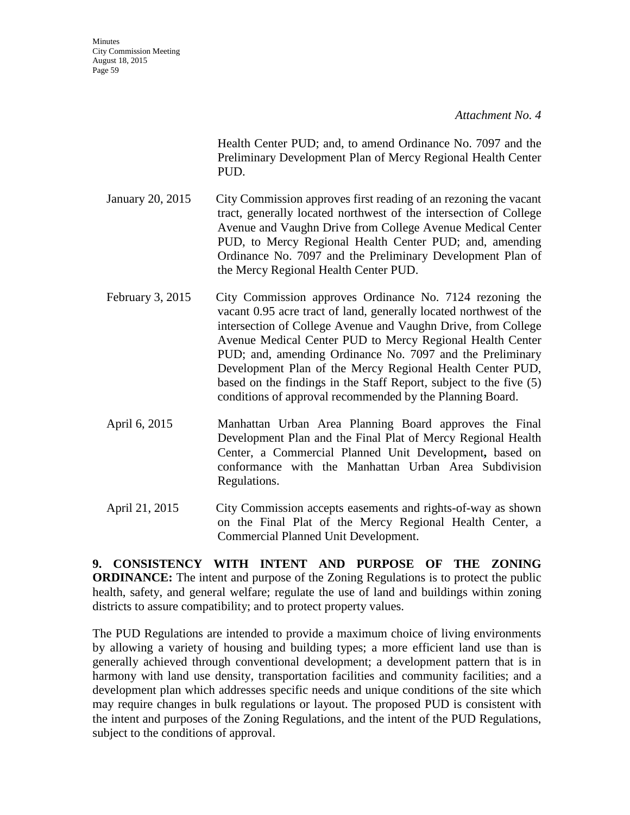*Attachment No. 4* 

Health Center PUD; and, to amend Ordinance No. 7097 and the Preliminary Development Plan of Mercy Regional Health Center PUD.

- January 20, 2015 City Commission approves first reading of an rezoning the vacant tract, generally located northwest of the intersection of College Avenue and Vaughn Drive from College Avenue Medical Center PUD, to Mercy Regional Health Center PUD; and, amending Ordinance No. 7097 and the Preliminary Development Plan of the Mercy Regional Health Center PUD.
- February 3, 2015 City Commission approves Ordinance No. 7124 rezoning the vacant 0.95 acre tract of land, generally located northwest of the intersection of College Avenue and Vaughn Drive, from College Avenue Medical Center PUD to Mercy Regional Health Center PUD; and, amending Ordinance No. 7097 and the Preliminary Development Plan of the Mercy Regional Health Center PUD, based on the findings in the Staff Report, subject to the five (5) conditions of approval recommended by the Planning Board.
- April 6, 2015 Manhattan Urban Area Planning Board approves the Final Development Plan and the Final Plat of Mercy Regional Health Center, a Commercial Planned Unit Development**,** based on conformance with the Manhattan Urban Area Subdivision Regulations.
- April 21, 2015 City Commission accepts easements and rights-of-way as shown on the Final Plat of the Mercy Regional Health Center, a Commercial Planned Unit Development.

**9. CONSISTENCY WITH INTENT AND PURPOSE OF THE ZONING ORDINANCE:** The intent and purpose of the Zoning Regulations is to protect the public health, safety, and general welfare; regulate the use of land and buildings within zoning districts to assure compatibility; and to protect property values.

The PUD Regulations are intended to provide a maximum choice of living environments by allowing a variety of housing and building types; a more efficient land use than is generally achieved through conventional development; a development pattern that is in harmony with land use density, transportation facilities and community facilities; and a development plan which addresses specific needs and unique conditions of the site which may require changes in bulk regulations or layout. The proposed PUD is consistent with the intent and purposes of the Zoning Regulations, and the intent of the PUD Regulations, subject to the conditions of approval.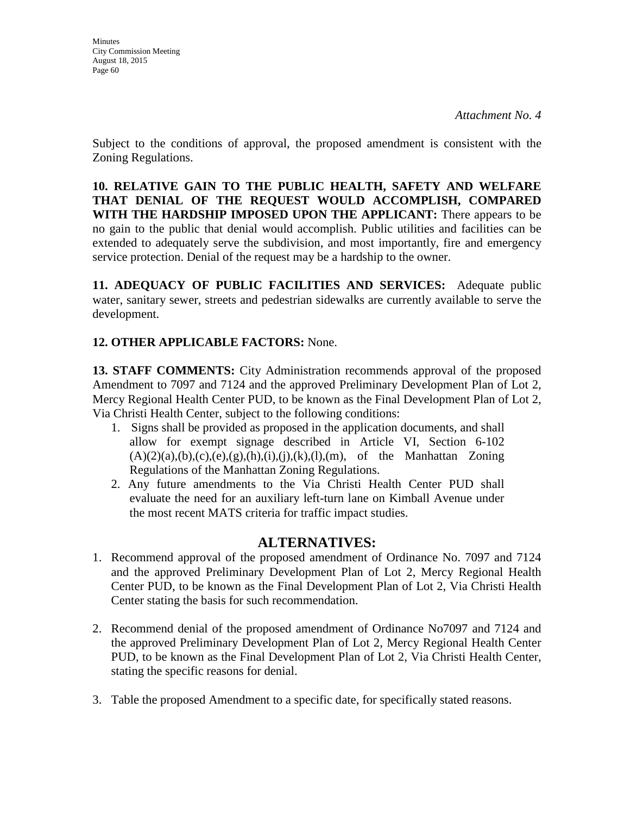Subject to the conditions of approval, the proposed amendment is consistent with the Zoning Regulations.

**10. RELATIVE GAIN TO THE PUBLIC HEALTH, SAFETY AND WELFARE THAT DENIAL OF THE REQUEST WOULD ACCOMPLISH, COMPARED WITH THE HARDSHIP IMPOSED UPON THE APPLICANT:** There appears to be no gain to the public that denial would accomplish. Public utilities and facilities can be extended to adequately serve the subdivision, and most importantly, fire and emergency service protection. Denial of the request may be a hardship to the owner.

**11. ADEQUACY OF PUBLIC FACILITIES AND SERVICES:** Adequate public water, sanitary sewer, streets and pedestrian sidewalks are currently available to serve the development.

## **12. OTHER APPLICABLE FACTORS:** None.

**13. STAFF COMMENTS:** City Administration recommends approval of the proposed Amendment to 7097 and 7124 and the approved Preliminary Development Plan of Lot 2, Mercy Regional Health Center PUD, to be known as the Final Development Plan of Lot 2, Via Christi Health Center, subject to the following conditions:

- 1. Signs shall be provided as proposed in the application documents, and shall allow for exempt signage described in Article VI, Section 6-102  $(A)(2)(a),(b),(c),(e),(g),(h),(i),(j),(k),(l),(m))$ , of the Manhattan Zoning Regulations of the Manhattan Zoning Regulations.
- 2. Any future amendments to the Via Christi Health Center PUD shall evaluate the need for an auxiliary left-turn lane on Kimball Avenue under the most recent MATS criteria for traffic impact studies.

## **ALTERNATIVES:**

- 1. Recommend approval of the proposed amendment of Ordinance No. 7097 and 7124 and the approved Preliminary Development Plan of Lot 2, Mercy Regional Health Center PUD, to be known as the Final Development Plan of Lot 2, Via Christi Health Center stating the basis for such recommendation.
- 2. Recommend denial of the proposed amendment of Ordinance No7097 and 7124 and the approved Preliminary Development Plan of Lot 2, Mercy Regional Health Center PUD, to be known as the Final Development Plan of Lot 2, Via Christi Health Center, stating the specific reasons for denial.
- 3. Table the proposed Amendment to a specific date, for specifically stated reasons.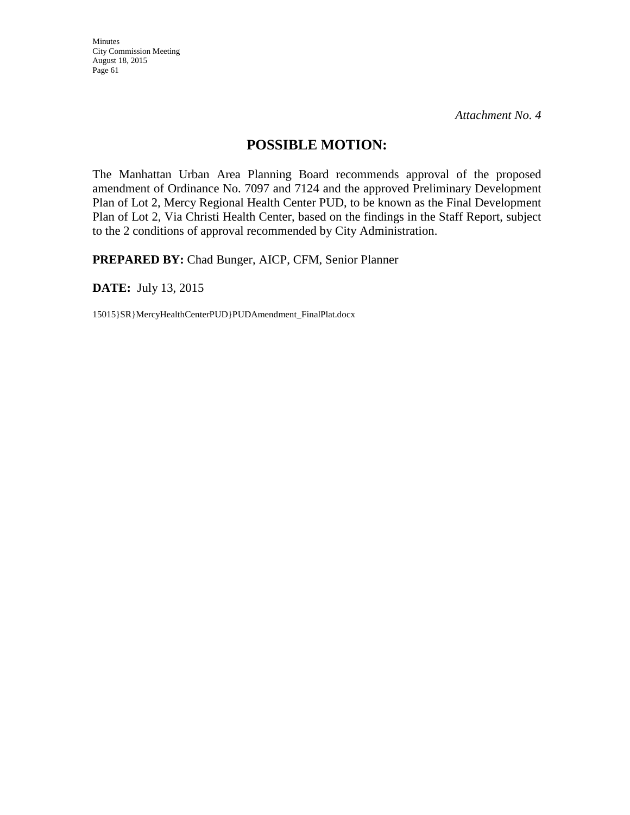*Attachment No. 4* 

## **POSSIBLE MOTION:**

The Manhattan Urban Area Planning Board recommends approval of the proposed amendment of Ordinance No. 7097 and 7124 and the approved Preliminary Development Plan of Lot 2, Mercy Regional Health Center PUD, to be known as the Final Development Plan of Lot 2, Via Christi Health Center, based on the findings in the Staff Report, subject to the 2 conditions of approval recommended by City Administration.

**PREPARED BY:** Chad Bunger, AICP, CFM, Senior Planner

**DATE:** July 13, 2015

15015}SR}MercyHealthCenterPUD}PUDAmendment\_FinalPlat.docx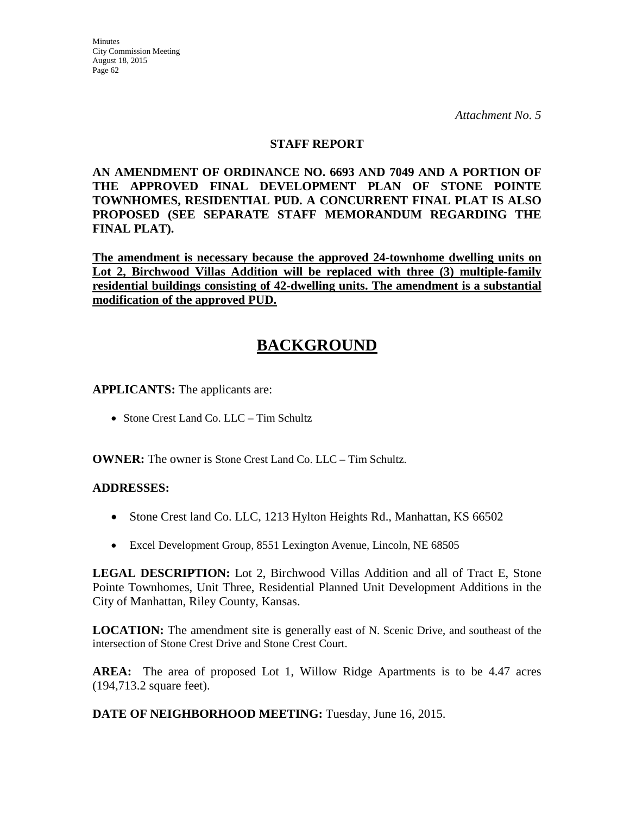### **STAFF REPORT**

**AN AMENDMENT OF ORDINANCE NO. 6693 AND 7049 AND A PORTION OF THE APPROVED FINAL DEVELOPMENT PLAN OF STONE POINTE TOWNHOMES, RESIDENTIAL PUD. A CONCURRENT FINAL PLAT IS ALSO PROPOSED (SEE SEPARATE STAFF MEMORANDUM REGARDING THE FINAL PLAT).**

**The amendment is necessary because the approved 24-townhome dwelling units on Lot 2, Birchwood Villas Addition will be replaced with three (3) multiple-family residential buildings consisting of 42-dwelling units. The amendment is a substantial modification of the approved PUD.**

# **BACKGROUND**

**APPLICANTS:** The applicants are:

• Stone Crest Land Co. LLC – Tim Schultz

**OWNER:** The owner is Stone Crest Land Co. LLC – Tim Schultz.

### **ADDRESSES:**

- Stone Crest land Co. LLC, 1213 Hylton Heights Rd., Manhattan, KS 66502
- Excel Development Group, 8551 Lexington Avenue, Lincoln, NE 68505

**LEGAL DESCRIPTION:** Lot 2, Birchwood Villas Addition and all of Tract E, Stone Pointe Townhomes, Unit Three, Residential Planned Unit Development Additions in the City of Manhattan, Riley County, Kansas.

**LOCATION:** The amendment site is generally east of N. Scenic Drive, and southeast of the intersection of Stone Crest Drive and Stone Crest Court.

**AREA:** The area of proposed Lot 1, Willow Ridge Apartments is to be 4.47 acres (194,713.2 square feet).

**DATE OF NEIGHBORHOOD MEETING:** Tuesday, June 16, 2015.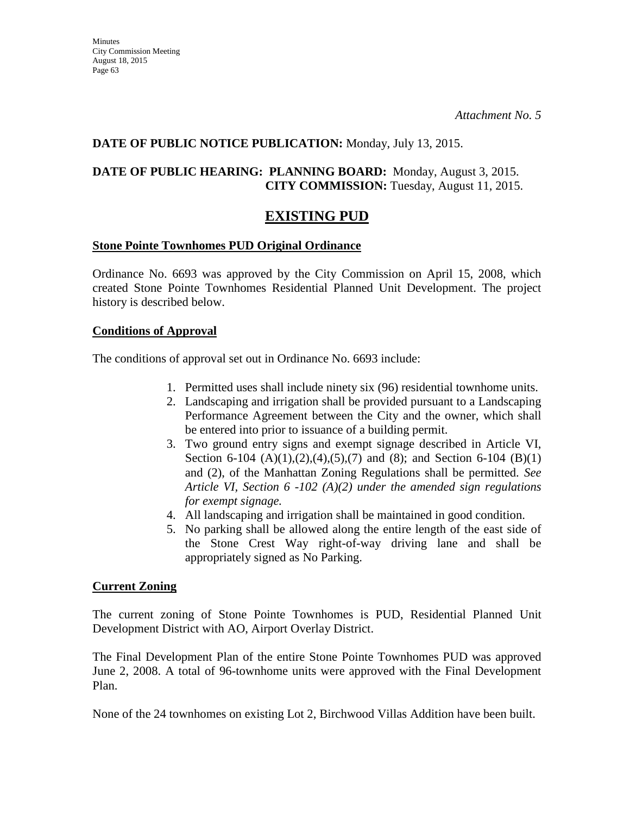### **DATE OF PUBLIC NOTICE PUBLICATION:** Monday, July 13, 2015.

### **DATE OF PUBLIC HEARING: PLANNING BOARD:** Monday, August 3, 2015. **CITY COMMISSION:** Tuesday, August 11, 2015.

## **EXISTING PUD**

### **Stone Pointe Townhomes PUD Original Ordinance**

Ordinance No. 6693 was approved by the City Commission on April 15, 2008, which created Stone Pointe Townhomes Residential Planned Unit Development. The project history is described below.

#### **Conditions of Approval**

The conditions of approval set out in Ordinance No. 6693 include:

- 1. Permitted uses shall include ninety six (96) residential townhome units.
- 2. Landscaping and irrigation shall be provided pursuant to a Landscaping Performance Agreement between the City and the owner, which shall be entered into prior to issuance of a building permit.
- 3. Two ground entry signs and exempt signage described in Article VI, Section 6-104  $(A)(1),(2),(4),(5),(7)$  and  $(8)$ ; and Section 6-104  $(B)(1)$ and (2), of the Manhattan Zoning Regulations shall be permitted. *See Article VI, Section 6 -102 (A)(2) under the amended sign regulations for exempt signage.*
- 4. All landscaping and irrigation shall be maintained in good condition.
- 5. No parking shall be allowed along the entire length of the east side of the Stone Crest Way right-of-way driving lane and shall be appropriately signed as No Parking.

### **Current Zoning**

The current zoning of Stone Pointe Townhomes is PUD, Residential Planned Unit Development District with AO, Airport Overlay District.

The Final Development Plan of the entire Stone Pointe Townhomes PUD was approved June 2, 2008. A total of 96-townhome units were approved with the Final Development Plan.

None of the 24 townhomes on existing Lot 2, Birchwood Villas Addition have been built.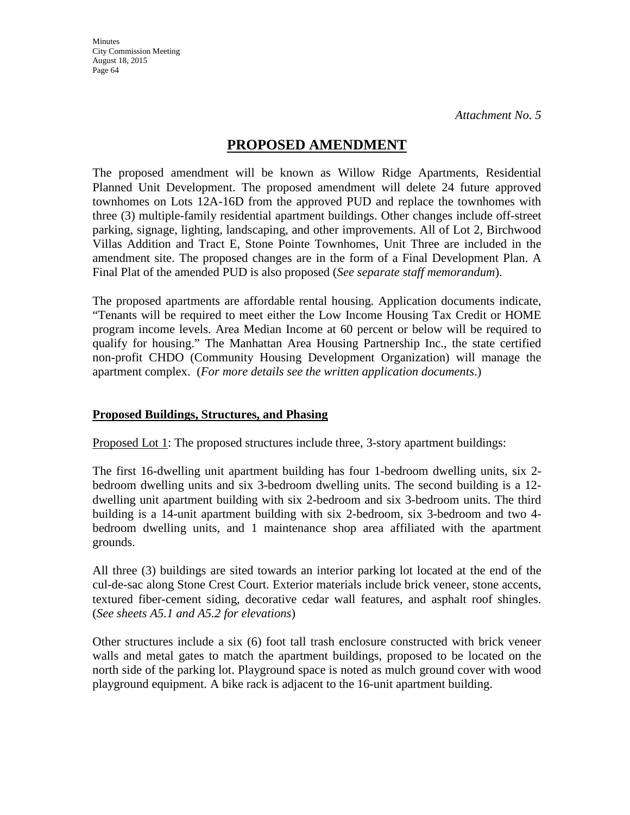## **PROPOSED AMENDMENT**

The proposed amendment will be known as Willow Ridge Apartments, Residential Planned Unit Development. The proposed amendment will delete 24 future approved townhomes on Lots 12A-16D from the approved PUD and replace the townhomes with three (3) multiple-family residential apartment buildings. Other changes include off-street parking, signage, lighting, landscaping, and other improvements. All of Lot 2, Birchwood Villas Addition and Tract E, Stone Pointe Townhomes, Unit Three are included in the amendment site. The proposed changes are in the form of a Final Development Plan. A Final Plat of the amended PUD is also proposed (*See separate staff memorandum*).

The proposed apartments are affordable rental housing. Application documents indicate, "Tenants will be required to meet either the Low Income Housing Tax Credit or HOME program income levels. Area Median Income at 60 percent or below will be required to qualify for housing." The Manhattan Area Housing Partnership Inc., the state certified non-profit CHDO (Community Housing Development Organization) will manage the apartment complex. (*For more details see the written application documents*.)

### **Proposed Buildings, Structures, and Phasing**

Proposed Lot 1: The proposed structures include three, 3-story apartment buildings:

The first 16-dwelling unit apartment building has four 1-bedroom dwelling units, six 2 bedroom dwelling units and six 3-bedroom dwelling units. The second building is a 12 dwelling unit apartment building with six 2-bedroom and six 3-bedroom units. The third building is a 14-unit apartment building with six 2-bedroom, six 3-bedroom and two 4 bedroom dwelling units, and 1 maintenance shop area affiliated with the apartment grounds.

All three (3) buildings are sited towards an interior parking lot located at the end of the cul-de-sac along Stone Crest Court. Exterior materials include brick veneer, stone accents, textured fiber-cement siding, decorative cedar wall features, and asphalt roof shingles. (*See sheets A5.1 and A5.2 for elevations*)

Other structures include a six (6) foot tall trash enclosure constructed with brick veneer walls and metal gates to match the apartment buildings, proposed to be located on the north side of the parking lot. Playground space is noted as mulch ground cover with wood playground equipment. A bike rack is adjacent to the 16-unit apartment building.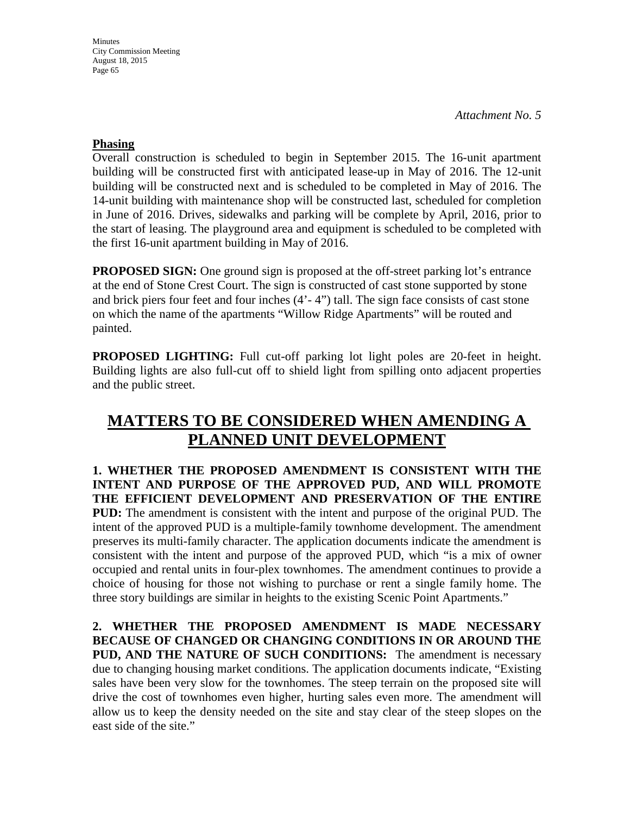*Attachment No. 5* 

### **Phasing**

Overall construction is scheduled to begin in September 2015. The 16-unit apartment building will be constructed first with anticipated lease-up in May of 2016. The 12-unit building will be constructed next and is scheduled to be completed in May of 2016. The 14-unit building with maintenance shop will be constructed last, scheduled for completion in June of 2016. Drives, sidewalks and parking will be complete by April, 2016, prior to the start of leasing. The playground area and equipment is scheduled to be completed with the first 16-unit apartment building in May of 2016.

**PROPOSED SIGN:** One ground sign is proposed at the off-street parking lot's entrance at the end of Stone Crest Court. The sign is constructed of cast stone supported by stone and brick piers four feet and four inches (4'- 4") tall. The sign face consists of cast stone on which the name of the apartments "Willow Ridge Apartments" will be routed and painted.

**PROPOSED LIGHTING:** Full cut-off parking lot light poles are 20-feet in height. Building lights are also full-cut off to shield light from spilling onto adjacent properties and the public street.

# **MATTERS TO BE CONSIDERED WHEN AMENDING A PLANNED UNIT DEVELOPMENT**

**1. WHETHER THE PROPOSED AMENDMENT IS CONSISTENT WITH THE INTENT AND PURPOSE OF THE APPROVED PUD, AND WILL PROMOTE THE EFFICIENT DEVELOPMENT AND PRESERVATION OF THE ENTIRE PUD:** The amendment is consistent with the intent and purpose of the original PUD. The intent of the approved PUD is a multiple-family townhome development. The amendment preserves its multi-family character. The application documents indicate the amendment is consistent with the intent and purpose of the approved PUD, which "is a mix of owner occupied and rental units in four-plex townhomes. The amendment continues to provide a choice of housing for those not wishing to purchase or rent a single family home. The three story buildings are similar in heights to the existing Scenic Point Apartments."

**2. WHETHER THE PROPOSED AMENDMENT IS MADE NECESSARY BECAUSE OF CHANGED OR CHANGING CONDITIONS IN OR AROUND THE PUD, AND THE NATURE OF SUCH CONDITIONS:** The amendment is necessary due to changing housing market conditions. The application documents indicate, "Existing sales have been very slow for the townhomes. The steep terrain on the proposed site will drive the cost of townhomes even higher, hurting sales even more. The amendment will allow us to keep the density needed on the site and stay clear of the steep slopes on the east side of the site."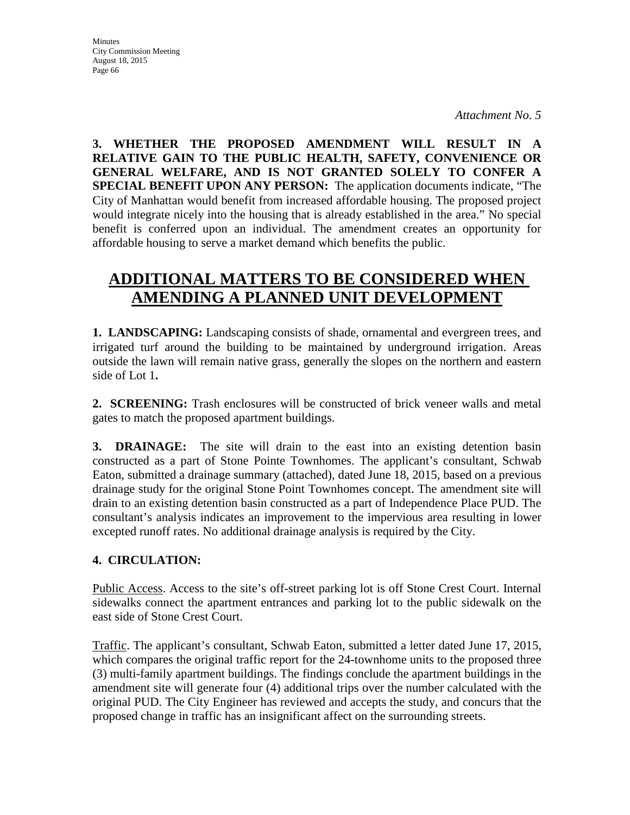**3. WHETHER THE PROPOSED AMENDMENT WILL RESULT IN A RELATIVE GAIN TO THE PUBLIC HEALTH, SAFETY, CONVENIENCE OR GENERAL WELFARE, AND IS NOT GRANTED SOLELY TO CONFER A SPECIAL BENEFIT UPON ANY PERSON:** The application documents indicate, "The City of Manhattan would benefit from increased affordable housing. The proposed project would integrate nicely into the housing that is already established in the area." No special benefit is conferred upon an individual. The amendment creates an opportunity for affordable housing to serve a market demand which benefits the public.

# **ADDITIONAL MATTERS TO BE CONSIDERED WHEN AMENDING A PLANNED UNIT DEVELOPMENT**

**1. LANDSCAPING:** Landscaping consists of shade, ornamental and evergreen trees, and irrigated turf around the building to be maintained by underground irrigation. Areas outside the lawn will remain native grass, generally the slopes on the northern and eastern side of Lot 1**.** 

**2. SCREENING:** Trash enclosures will be constructed of brick veneer walls and metal gates to match the proposed apartment buildings.

**3. DRAINAGE:** The site will drain to the east into an existing detention basin constructed as a part of Stone Pointe Townhomes. The applicant's consultant, Schwab Eaton, submitted a drainage summary (attached), dated June 18, 2015, based on a previous drainage study for the original Stone Point Townhomes concept. The amendment site will drain to an existing detention basin constructed as a part of Independence Place PUD. The consultant's analysis indicates an improvement to the impervious area resulting in lower excepted runoff rates. No additional drainage analysis is required by the City.

## **4. CIRCULATION:**

Public Access. Access to the site's off-street parking lot is off Stone Crest Court. Internal sidewalks connect the apartment entrances and parking lot to the public sidewalk on the east side of Stone Crest Court.

Traffic. The applicant's consultant, Schwab Eaton, submitted a letter dated June 17, 2015, which compares the original traffic report for the 24-townhome units to the proposed three (3) multi-family apartment buildings. The findings conclude the apartment buildings in the amendment site will generate four (4) additional trips over the number calculated with the original PUD. The City Engineer has reviewed and accepts the study, and concurs that the proposed change in traffic has an insignificant affect on the surrounding streets.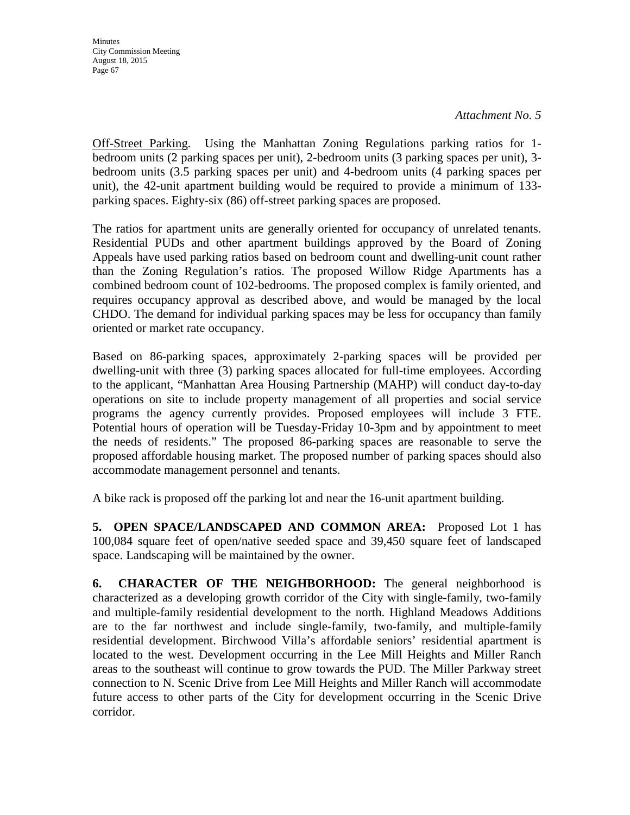**Minutes** City Commission Meeting August 18, 2015 Page 67

Off-Street Parking. Using the Manhattan Zoning Regulations parking ratios for 1 bedroom units (2 parking spaces per unit), 2-bedroom units (3 parking spaces per unit), 3 bedroom units (3.5 parking spaces per unit) and 4-bedroom units (4 parking spaces per unit), the 42-unit apartment building would be required to provide a minimum of 133 parking spaces. Eighty-six (86) off-street parking spaces are proposed.

The ratios for apartment units are generally oriented for occupancy of unrelated tenants. Residential PUDs and other apartment buildings approved by the Board of Zoning Appeals have used parking ratios based on bedroom count and dwelling-unit count rather than the Zoning Regulation's ratios. The proposed Willow Ridge Apartments has a combined bedroom count of 102-bedrooms. The proposed complex is family oriented, and requires occupancy approval as described above, and would be managed by the local CHDO. The demand for individual parking spaces may be less for occupancy than family oriented or market rate occupancy.

Based on 86-parking spaces, approximately 2-parking spaces will be provided per dwelling-unit with three (3) parking spaces allocated for full-time employees. According to the applicant, "Manhattan Area Housing Partnership (MAHP) will conduct day-to-day operations on site to include property management of all properties and social service programs the agency currently provides. Proposed employees will include 3 FTE. Potential hours of operation will be Tuesday-Friday 10-3pm and by appointment to meet the needs of residents." The proposed 86-parking spaces are reasonable to serve the proposed affordable housing market. The proposed number of parking spaces should also accommodate management personnel and tenants.

A bike rack is proposed off the parking lot and near the 16-unit apartment building.

**5. OPEN SPACE/LANDSCAPED AND COMMON AREA:** Proposed Lot 1 has 100,084 square feet of open/native seeded space and 39,450 square feet of landscaped space. Landscaping will be maintained by the owner.

**6. CHARACTER OF THE NEIGHBORHOOD:** The general neighborhood is characterized as a developing growth corridor of the City with single-family, two-family and multiple-family residential development to the north. Highland Meadows Additions are to the far northwest and include single-family, two-family, and multiple-family residential development. Birchwood Villa's affordable seniors' residential apartment is located to the west. Development occurring in the Lee Mill Heights and Miller Ranch areas to the southeast will continue to grow towards the PUD. The Miller Parkway street connection to N. Scenic Drive from Lee Mill Heights and Miller Ranch will accommodate future access to other parts of the City for development occurring in the Scenic Drive corridor.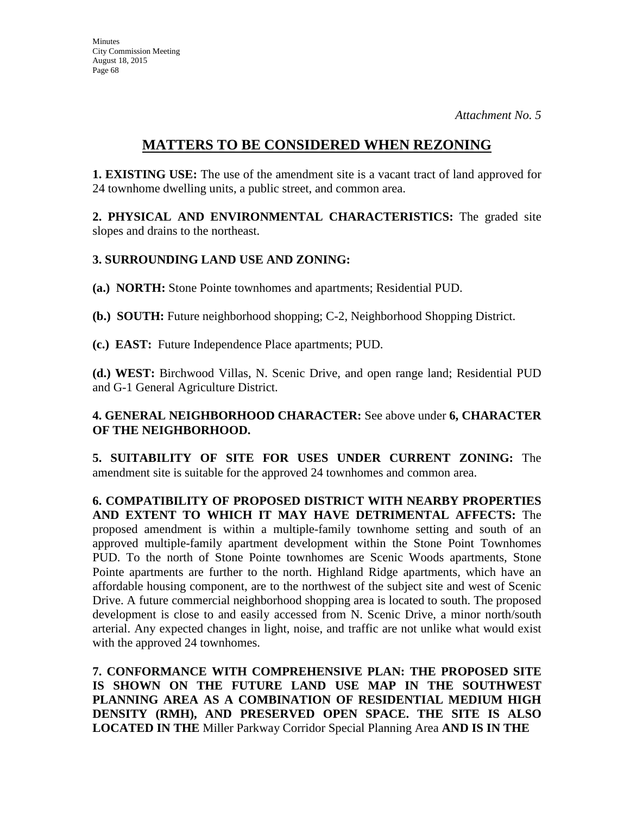## **MATTERS TO BE CONSIDERED WHEN REZONING**

**1. EXISTING USE:** The use of the amendment site is a vacant tract of land approved for 24 townhome dwelling units, a public street, and common area.

**2. PHYSICAL AND ENVIRONMENTAL CHARACTERISTICS:** The graded site slopes and drains to the northeast.

### **3. SURROUNDING LAND USE AND ZONING:**

**(a.) NORTH:** Stone Pointe townhomes and apartments; Residential PUD.

**(b.) SOUTH:** Future neighborhood shopping; C-2, Neighborhood Shopping District.

**(c.) EAST:** Future Independence Place apartments; PUD.

**(d.) WEST:** Birchwood Villas, N. Scenic Drive, and open range land; Residential PUD and G-1 General Agriculture District.

### **4. GENERAL NEIGHBORHOOD CHARACTER:** See above under **6, CHARACTER OF THE NEIGHBORHOOD.**

**5. SUITABILITY OF SITE FOR USES UNDER CURRENT ZONING:** The amendment site is suitable for the approved 24 townhomes and common area.

**6. COMPATIBILITY OF PROPOSED DISTRICT WITH NEARBY PROPERTIES AND EXTENT TO WHICH IT MAY HAVE DETRIMENTAL AFFECTS:** The proposed amendment is within a multiple-family townhome setting and south of an approved multiple-family apartment development within the Stone Point Townhomes PUD. To the north of Stone Pointe townhomes are Scenic Woods apartments, Stone Pointe apartments are further to the north. Highland Ridge apartments, which have an affordable housing component, are to the northwest of the subject site and west of Scenic Drive. A future commercial neighborhood shopping area is located to south. The proposed development is close to and easily accessed from N. Scenic Drive, a minor north/south arterial. Any expected changes in light, noise, and traffic are not unlike what would exist with the approved 24 townhomes.

**7. CONFORMANCE WITH COMPREHENSIVE PLAN: THE PROPOSED SITE IS SHOWN ON THE FUTURE LAND USE MAP IN THE SOUTHWEST PLANNING AREA AS A COMBINATION OF RESIDENTIAL MEDIUM HIGH DENSITY (RMH), AND PRESERVED OPEN SPACE. THE SITE IS ALSO LOCATED IN THE** Miller Parkway Corridor Special Planning Area **AND IS IN THE**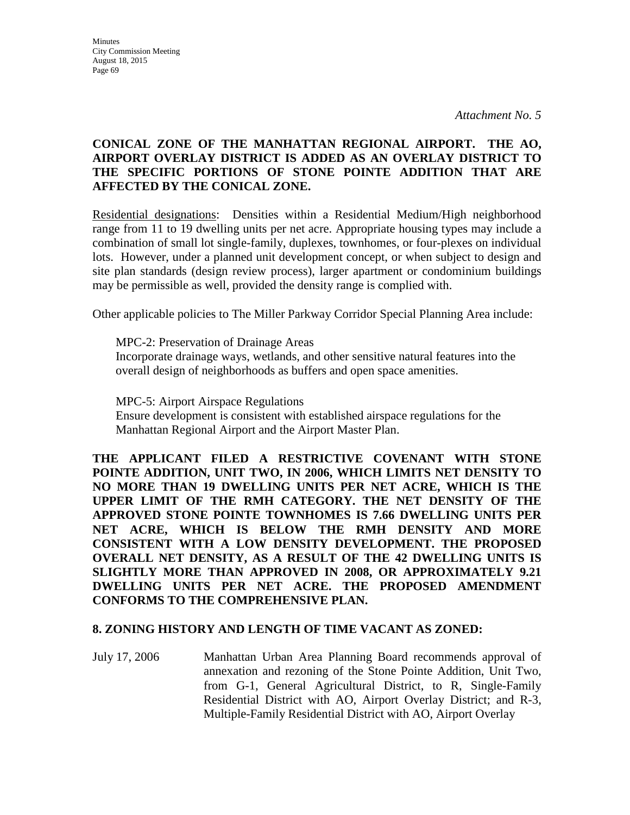### **CONICAL ZONE OF THE MANHATTAN REGIONAL AIRPORT. THE AO, AIRPORT OVERLAY DISTRICT IS ADDED AS AN OVERLAY DISTRICT TO THE SPECIFIC PORTIONS OF STONE POINTE ADDITION THAT ARE AFFECTED BY THE CONICAL ZONE.**

Residential designations: Densities within a Residential Medium/High neighborhood range from 11 to 19 dwelling units per net acre. Appropriate housing types may include a combination of small lot single-family, duplexes, townhomes, or four-plexes on individual lots. However, under a planned unit development concept, or when subject to design and site plan standards (design review process), larger apartment or condominium buildings may be permissible as well, provided the density range is complied with.

Other applicable policies to The Miller Parkway Corridor Special Planning Area include:

MPC-2: Preservation of Drainage Areas Incorporate drainage ways, wetlands, and other sensitive natural features into the overall design of neighborhoods as buffers and open space amenities.

MPC-5: Airport Airspace Regulations Ensure development is consistent with established airspace regulations for the Manhattan Regional Airport and the Airport Master Plan.

**THE APPLICANT FILED A RESTRICTIVE COVENANT WITH STONE POINTE ADDITION, UNIT TWO, IN 2006, WHICH LIMITS NET DENSITY TO NO MORE THAN 19 DWELLING UNITS PER NET ACRE, WHICH IS THE UPPER LIMIT OF THE RMH CATEGORY. THE NET DENSITY OF THE APPROVED STONE POINTE TOWNHOMES IS 7.66 DWELLING UNITS PER NET ACRE, WHICH IS BELOW THE RMH DENSITY AND MORE CONSISTENT WITH A LOW DENSITY DEVELOPMENT. THE PROPOSED OVERALL NET DENSITY, AS A RESULT OF THE 42 DWELLING UNITS IS SLIGHTLY MORE THAN APPROVED IN 2008, OR APPROXIMATELY 9.21 DWELLING UNITS PER NET ACRE. THE PROPOSED AMENDMENT CONFORMS TO THE COMPREHENSIVE PLAN.**

### **8. ZONING HISTORY AND LENGTH OF TIME VACANT AS ZONED:**

July 17, 2006 Manhattan Urban Area Planning Board recommends approval of annexation and rezoning of the Stone Pointe Addition, Unit Two, from G-1, General Agricultural District, to R, Single-Family Residential District with AO, Airport Overlay District; and R-3, Multiple-Family Residential District with AO, Airport Overlay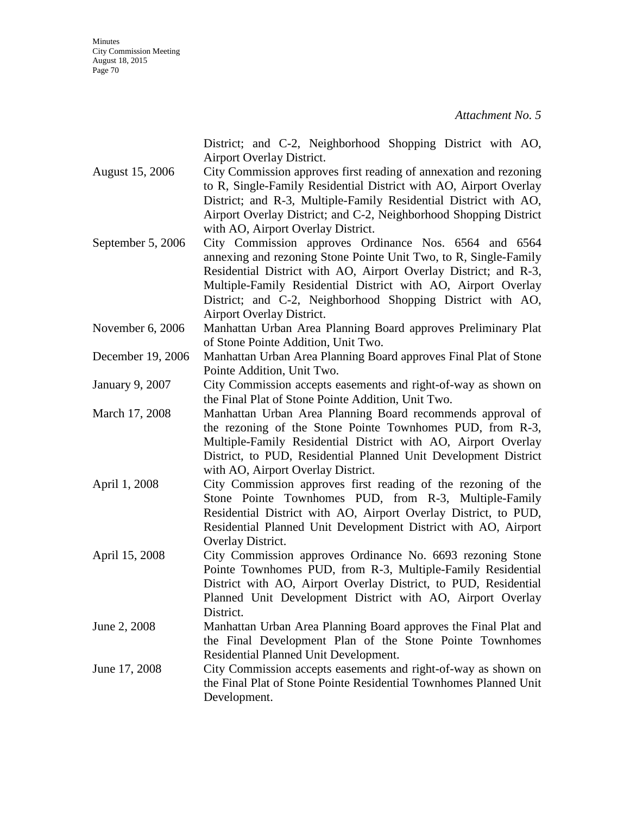|                   | District; and C-2, Neighborhood Shopping District with AO,        |
|-------------------|-------------------------------------------------------------------|
|                   | Airport Overlay District.                                         |
| August 15, 2006   | City Commission approves first reading of annexation and rezoning |
|                   | to R, Single-Family Residential District with AO, Airport Overlay |
|                   | District; and R-3, Multiple-Family Residential District with AO,  |
|                   | Airport Overlay District; and C-2, Neighborhood Shopping District |
|                   | with AO, Airport Overlay District.                                |
| September 5, 2006 | City Commission approves Ordinance Nos. 6564 and 6564             |
|                   | annexing and rezoning Stone Pointe Unit Two, to R, Single-Family  |
|                   | Residential District with AO, Airport Overlay District; and R-3,  |
|                   | Multiple-Family Residential District with AO, Airport Overlay     |
|                   | District; and C-2, Neighborhood Shopping District with AO,        |
|                   | Airport Overlay District.                                         |
| November 6, 2006  | Manhattan Urban Area Planning Board approves Preliminary Plat     |
|                   | of Stone Pointe Addition, Unit Two.                               |
| December 19, 2006 | Manhattan Urban Area Planning Board approves Final Plat of Stone  |
|                   | Pointe Addition, Unit Two.                                        |
| January 9, 2007   | City Commission accepts easements and right-of-way as shown on    |
|                   | the Final Plat of Stone Pointe Addition, Unit Two.                |
| March 17, 2008    | Manhattan Urban Area Planning Board recommends approval of        |
|                   | the rezoning of the Stone Pointe Townhomes PUD, from R-3,         |
|                   | Multiple-Family Residential District with AO, Airport Overlay     |
|                   | District, to PUD, Residential Planned Unit Development District   |
|                   | with AO, Airport Overlay District.                                |
| April 1, 2008     | City Commission approves first reading of the rezoning of the     |
|                   | Stone Pointe Townhomes PUD, from R-3, Multiple-Family             |
|                   | Residential District with AO, Airport Overlay District, to PUD,   |
|                   | Residential Planned Unit Development District with AO, Airport    |
|                   | Overlay District.                                                 |
| April 15, 2008    | City Commission approves Ordinance No. 6693 rezoning Stone        |
|                   | Pointe Townhomes PUD, from R-3, Multiple-Family Residential       |
|                   | District with AO, Airport Overlay District, to PUD, Residential   |
|                   | Planned Unit Development District with AO, Airport Overlay        |
|                   | District.                                                         |
| June 2, 2008      | Manhattan Urban Area Planning Board approves the Final Plat and   |
|                   | the Final Development Plan of the Stone Pointe Townhomes          |
|                   | Residential Planned Unit Development.                             |
| June 17, 2008     | City Commission accepts easements and right-of-way as shown on    |
|                   | the Final Plat of Stone Pointe Residential Townhomes Planned Unit |
|                   | Development.                                                      |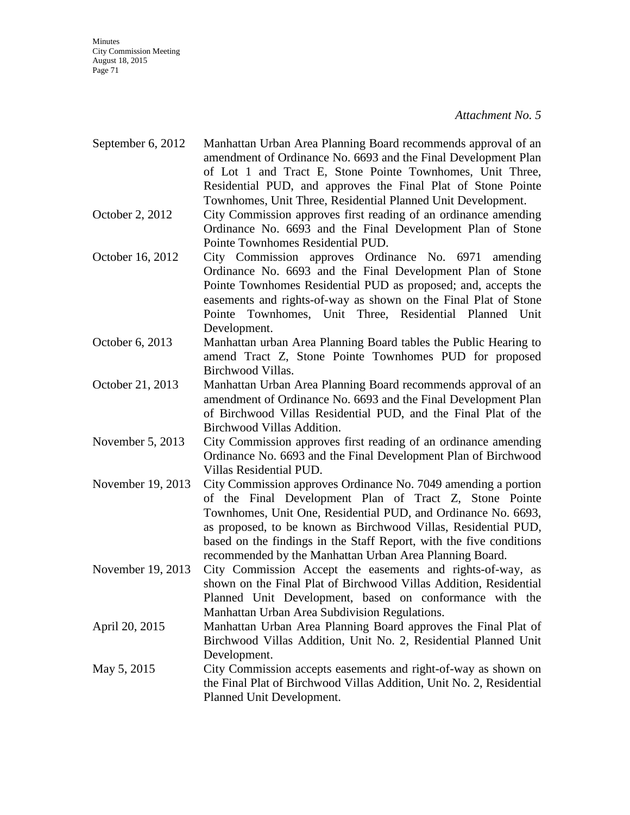- September 6, 2012 Manhattan Urban Area Planning Board recommends approval of an amendment of Ordinance No. 6693 and the Final Development Plan of Lot 1 and Tract E, Stone Pointe Townhomes, Unit Three, Residential PUD, and approves the Final Plat of Stone Pointe Townhomes, Unit Three, Residential Planned Unit Development.
- October 2, 2012 City Commission approves first reading of an ordinance amending Ordinance No. 6693 and the Final Development Plan of Stone Pointe Townhomes Residential PUD.
- October 16, 2012 City Commission approves Ordinance No. 6971 amending Ordinance No. 6693 and the Final Development Plan of Stone Pointe Townhomes Residential PUD as proposed; and, accepts the easements and rights-of-way as shown on the Final Plat of Stone Pointe Townhomes, Unit Three, Residential Planned Unit Development.
- October 6, 2013 Manhattan urban Area Planning Board tables the Public Hearing to amend Tract Z, Stone Pointe Townhomes PUD for proposed Birchwood Villas.
- October 21, 2013 Manhattan Urban Area Planning Board recommends approval of an amendment of Ordinance No. 6693 and the Final Development Plan of Birchwood Villas Residential PUD, and the Final Plat of the Birchwood Villas Addition.
- November 5, 2013 City Commission approves first reading of an ordinance amending Ordinance No. 6693 and the Final Development Plan of Birchwood Villas Residential PUD.
- November 19, 2013 City Commission approves Ordinance No. 7049 amending a portion of the Final Development Plan of Tract Z, Stone Pointe Townhomes, Unit One, Residential PUD, and Ordinance No. 6693, as proposed, to be known as Birchwood Villas, Residential PUD, based on the findings in the Staff Report, with the five conditions recommended by the Manhattan Urban Area Planning Board.
- November 19, 2013 City Commission Accept the easements and rights-of-way, as shown on the Final Plat of Birchwood Villas Addition, Residential Planned Unit Development, based on conformance with the Manhattan Urban Area Subdivision Regulations.
- April 20, 2015 Manhattan Urban Area Planning Board approves the Final Plat of Birchwood Villas Addition, Unit No. 2, Residential Planned Unit Development.
- May 5, 2015 City Commission accepts easements and right-of-way as shown on the Final Plat of Birchwood Villas Addition, Unit No. 2, Residential Planned Unit Development.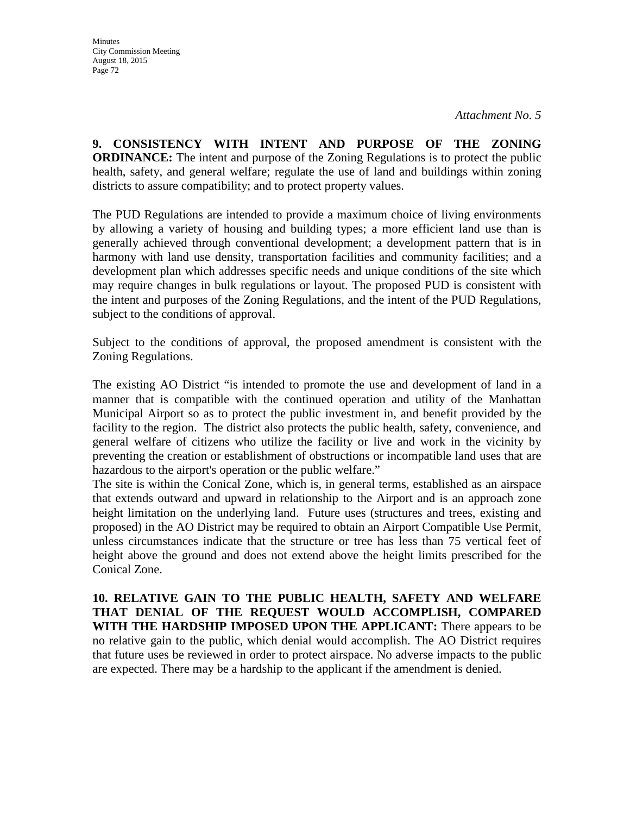**9. CONSISTENCY WITH INTENT AND PURPOSE OF THE ZONING ORDINANCE:** The intent and purpose of the Zoning Regulations is to protect the public health, safety, and general welfare; regulate the use of land and buildings within zoning districts to assure compatibility; and to protect property values.

The PUD Regulations are intended to provide a maximum choice of living environments by allowing a variety of housing and building types; a more efficient land use than is generally achieved through conventional development; a development pattern that is in harmony with land use density, transportation facilities and community facilities; and a development plan which addresses specific needs and unique conditions of the site which may require changes in bulk regulations or layout. The proposed PUD is consistent with the intent and purposes of the Zoning Regulations, and the intent of the PUD Regulations, subject to the conditions of approval.

Subject to the conditions of approval, the proposed amendment is consistent with the Zoning Regulations.

The existing AO District "is intended to promote the use and development of land in a manner that is compatible with the continued operation and utility of the Manhattan Municipal Airport so as to protect the public investment in, and benefit provided by the facility to the region. The district also protects the public health, safety, convenience, and general welfare of citizens who utilize the facility or live and work in the vicinity by preventing the creation or establishment of obstructions or incompatible land uses that are hazardous to the airport's operation or the public welfare."

The site is within the Conical Zone, which is, in general terms, established as an airspace that extends outward and upward in relationship to the Airport and is an approach zone height limitation on the underlying land. Future uses (structures and trees, existing and proposed) in the AO District may be required to obtain an Airport Compatible Use Permit, unless circumstances indicate that the structure or tree has less than 75 vertical feet of height above the ground and does not extend above the height limits prescribed for the Conical Zone.

**10. RELATIVE GAIN TO THE PUBLIC HEALTH, SAFETY AND WELFARE THAT DENIAL OF THE REQUEST WOULD ACCOMPLISH, COMPARED WITH THE HARDSHIP IMPOSED UPON THE APPLICANT:** There appears to be no relative gain to the public, which denial would accomplish. The AO District requires that future uses be reviewed in order to protect airspace. No adverse impacts to the public are expected. There may be a hardship to the applicant if the amendment is denied.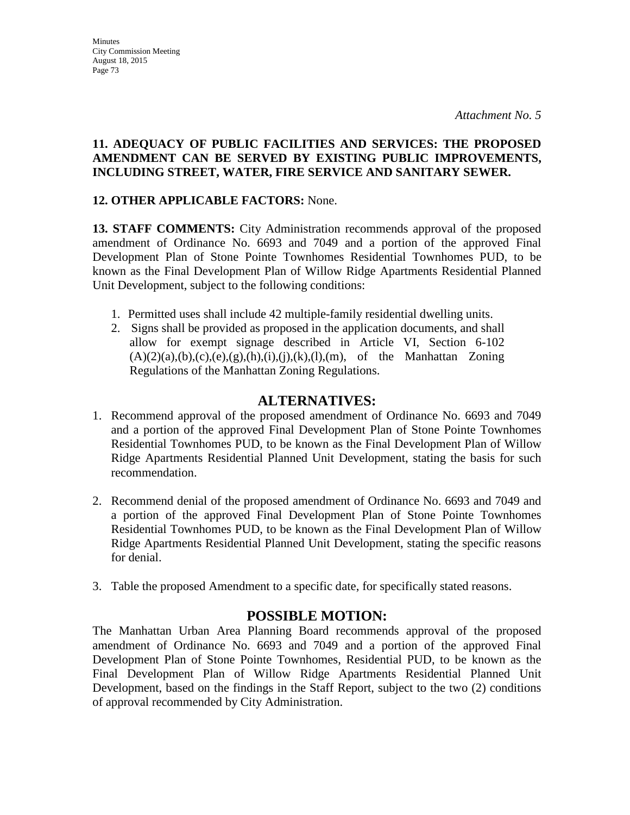*Attachment No. 5* 

#### **11. ADEQUACY OF PUBLIC FACILITIES AND SERVICES: THE PROPOSED AMENDMENT CAN BE SERVED BY EXISTING PUBLIC IMPROVEMENTS, INCLUDING STREET, WATER, FIRE SERVICE AND SANITARY SEWER.**

### **12. OTHER APPLICABLE FACTORS:** None.

**13. STAFF COMMENTS:** City Administration recommends approval of the proposed amendment of Ordinance No. 6693 and 7049 and a portion of the approved Final Development Plan of Stone Pointe Townhomes Residential Townhomes PUD, to be known as the Final Development Plan of Willow Ridge Apartments Residential Planned Unit Development, subject to the following conditions:

- 1. Permitted uses shall include 42 multiple-family residential dwelling units.
- 2. Signs shall be provided as proposed in the application documents, and shall allow for exempt signage described in Article VI, Section 6-102  $(A)(2)(a),(b),(c),(e),(g),(h),(i),(k),(l),(m))$ , of the Manhattan Zoning Regulations of the Manhattan Zoning Regulations.

# **ALTERNATIVES:**

- 1. Recommend approval of the proposed amendment of Ordinance No. 6693 and 7049 and a portion of the approved Final Development Plan of Stone Pointe Townhomes Residential Townhomes PUD, to be known as the Final Development Plan of Willow Ridge Apartments Residential Planned Unit Development, stating the basis for such recommendation.
- 2. Recommend denial of the proposed amendment of Ordinance No. 6693 and 7049 and a portion of the approved Final Development Plan of Stone Pointe Townhomes Residential Townhomes PUD, to be known as the Final Development Plan of Willow Ridge Apartments Residential Planned Unit Development, stating the specific reasons for denial.
- 3. Table the proposed Amendment to a specific date, for specifically stated reasons.

# **POSSIBLE MOTION:**

The Manhattan Urban Area Planning Board recommends approval of the proposed amendment of Ordinance No. 6693 and 7049 and a portion of the approved Final Development Plan of Stone Pointe Townhomes, Residential PUD, to be known as the Final Development Plan of Willow Ridge Apartments Residential Planned Unit Development, based on the findings in the Staff Report, subject to the two (2) conditions of approval recommended by City Administration.